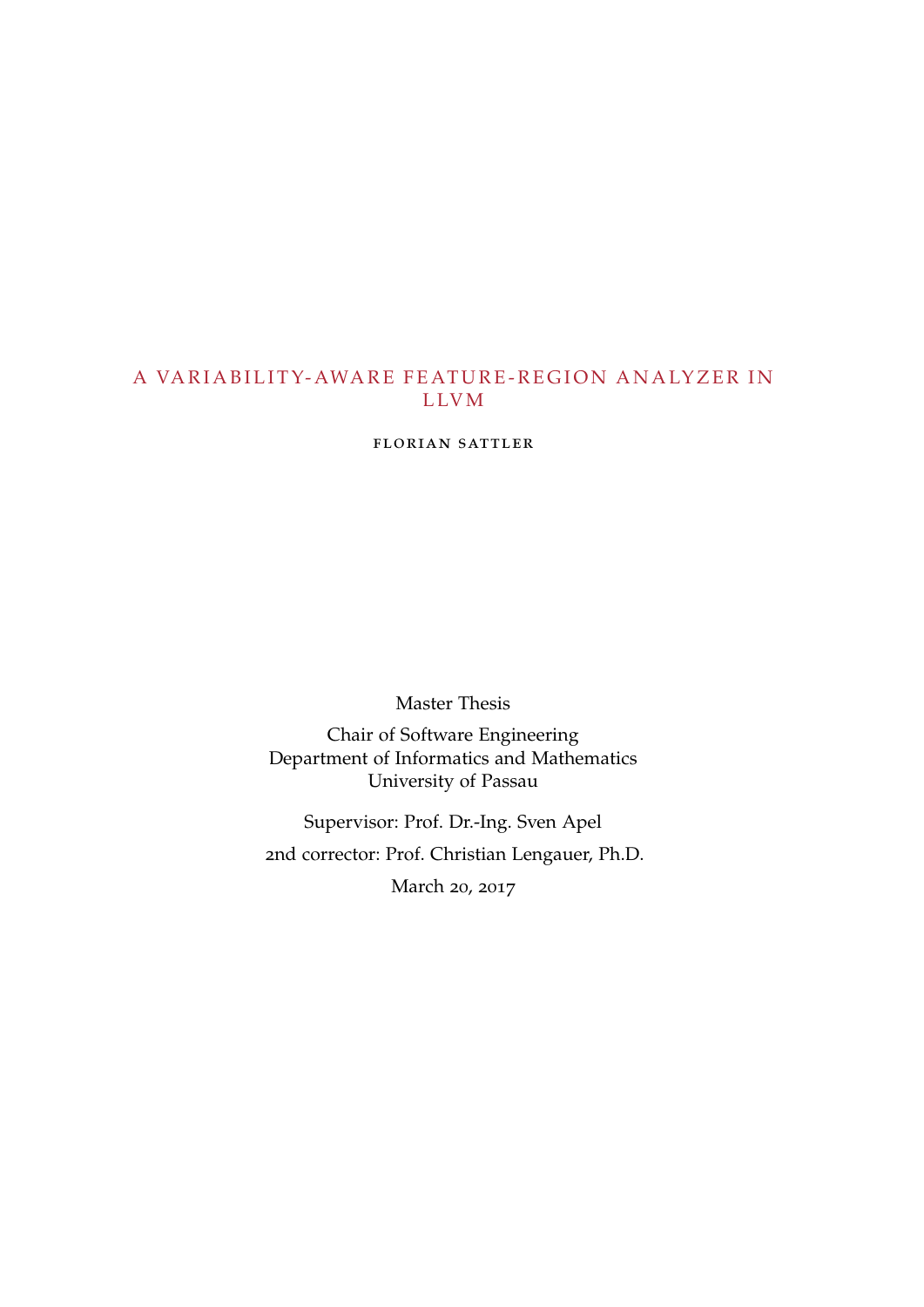# A VARIABILITY-AWARE FEATURE-REGION ANALYZER IN L LV M

florian sattler

Master Thesis

Chair of Software Engineering Department of Informatics and Mathematics University of Passau

Supervisor: Prof. Dr.-Ing. Sven Apel 2nd corrector: Prof. Christian Lengauer, Ph.D.

March 20, 2017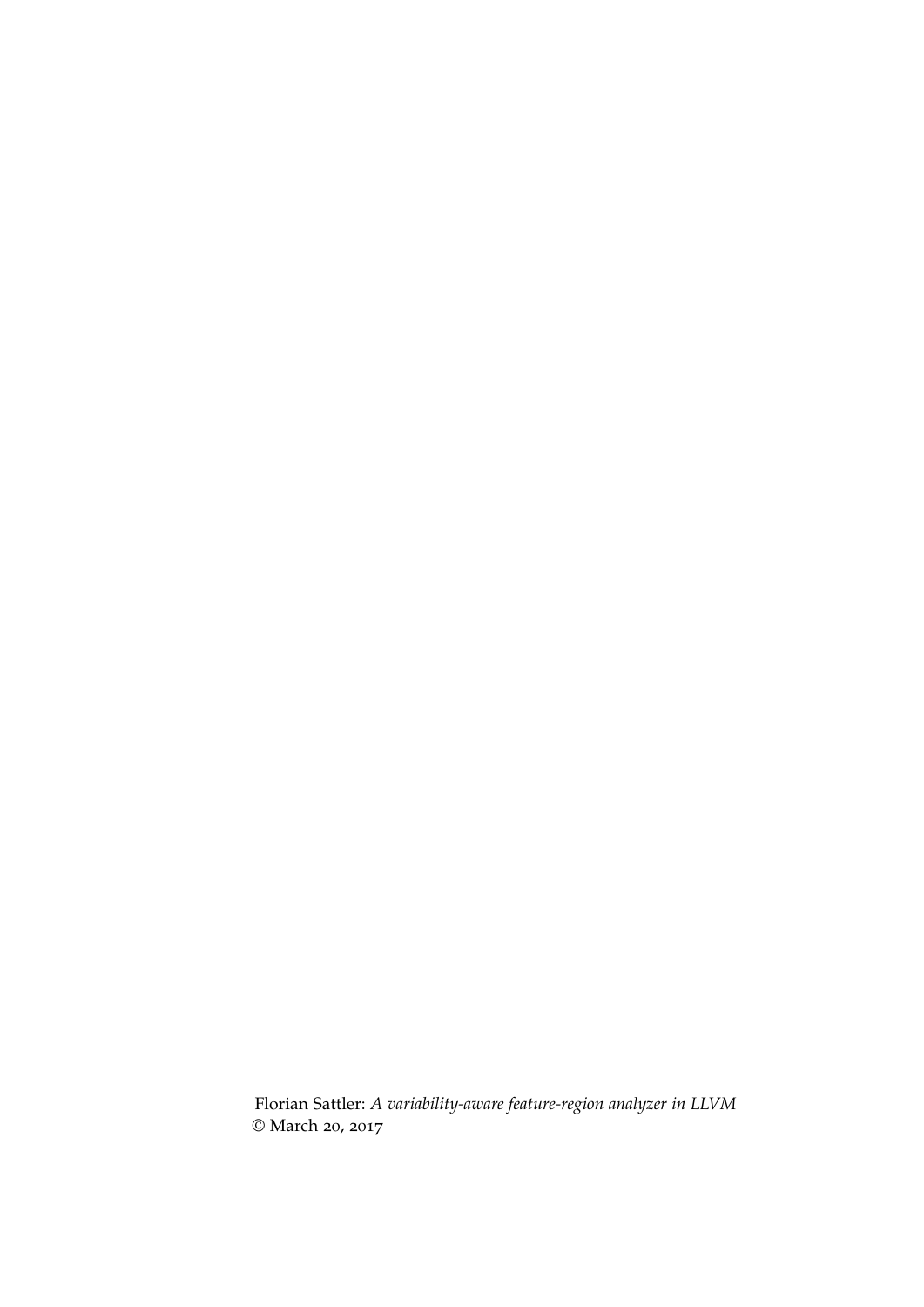Florian Sattler: *A variability-aware feature-region analyzer in LLVM* © March 20, 2017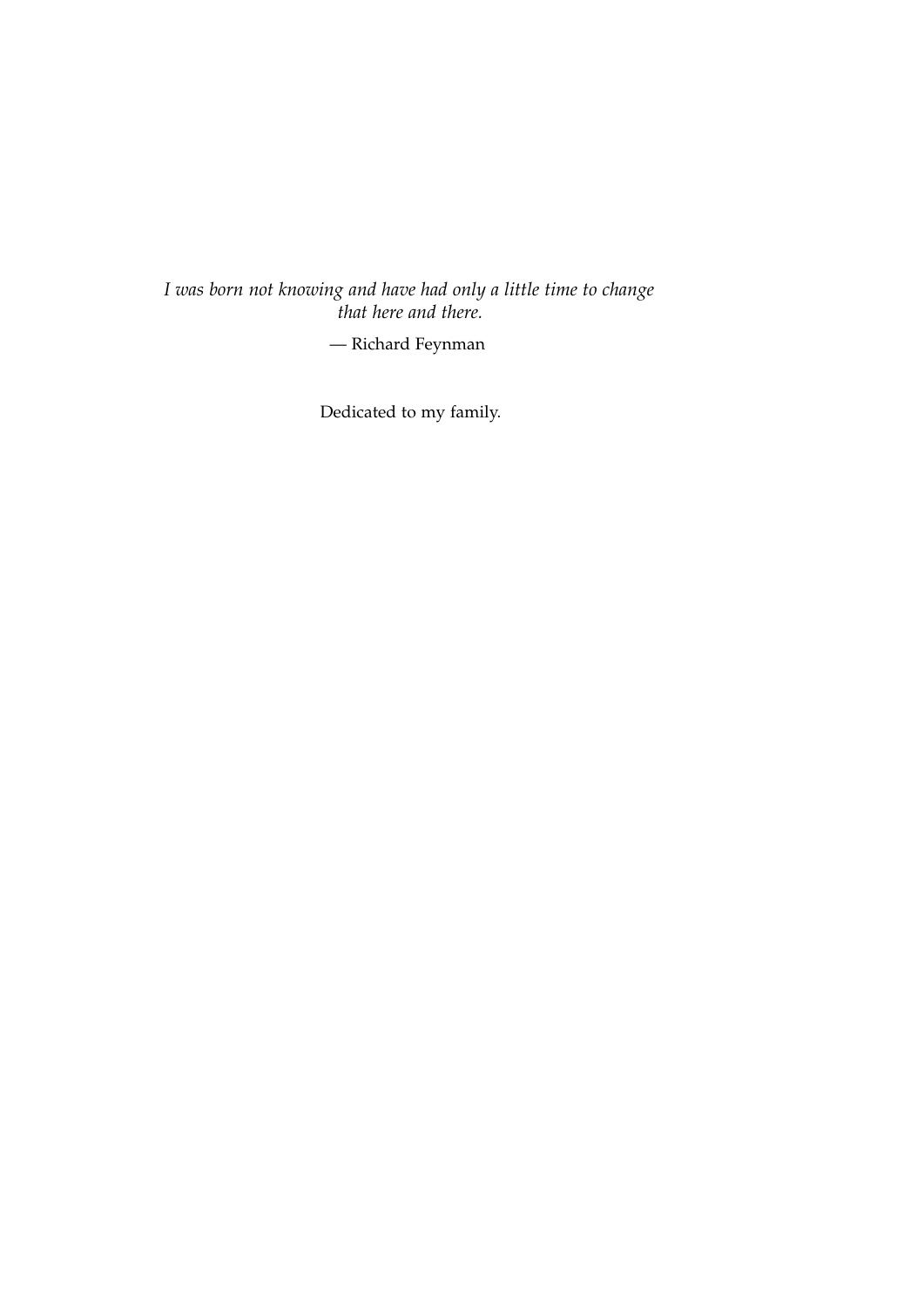*I was born not knowing and have had only a little time to change that here and there.*

— Richard Feynman

Dedicated to my family.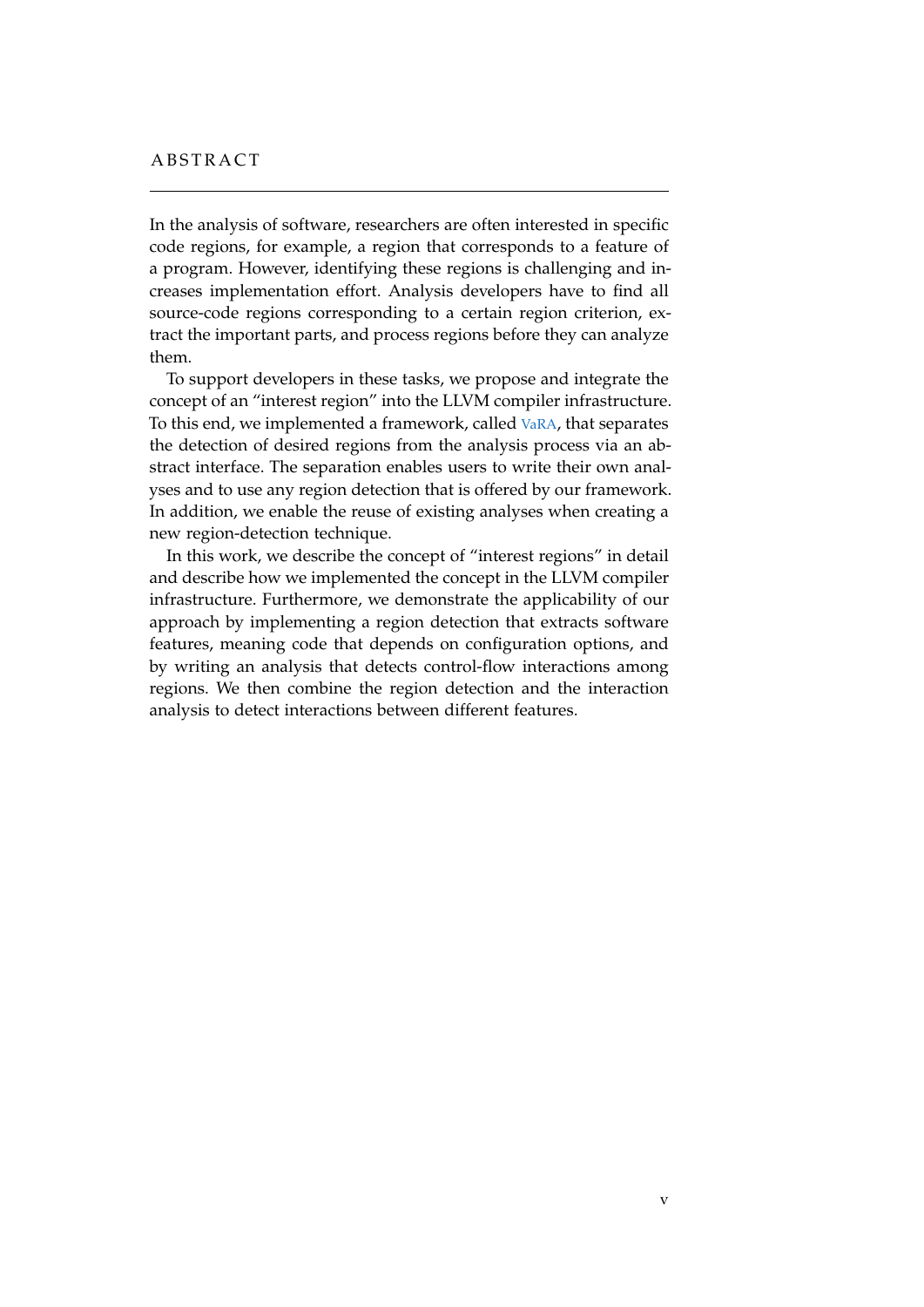# **ABSTRACT**

In the analysis of software, researchers are often interested in specific code regions, for example, a region that corresponds to a feature of a program. However, identifying these regions is challenging and increases implementation effort. Analysis developers have to find all source-code regions corresponding to a certain region criterion, extract the important parts, and process regions before they can analyze them.

To support developers in these tasks, we propose and integrate the concept of an "interest region" into the LLVM compiler infrastructure. To this end, we implemented a framework, called [VaRA](#page-11-0), that separates the detection of desired regions from the analysis process via an abstract interface. The separation enables users to write their own analyses and to use any region detection that is offered by our framework. In addition, we enable the reuse of existing analyses when creating a new region-detection technique.

In this work, we describe the concept of "interest regions" in detail and describe how we implemented the concept in the LLVM compiler infrastructure. Furthermore, we demonstrate the applicability of our approach by implementing a region detection that extracts software features, meaning code that depends on configuration options, and by writing an analysis that detects control-flow interactions among regions. We then combine the region detection and the interaction analysis to detect interactions between different features.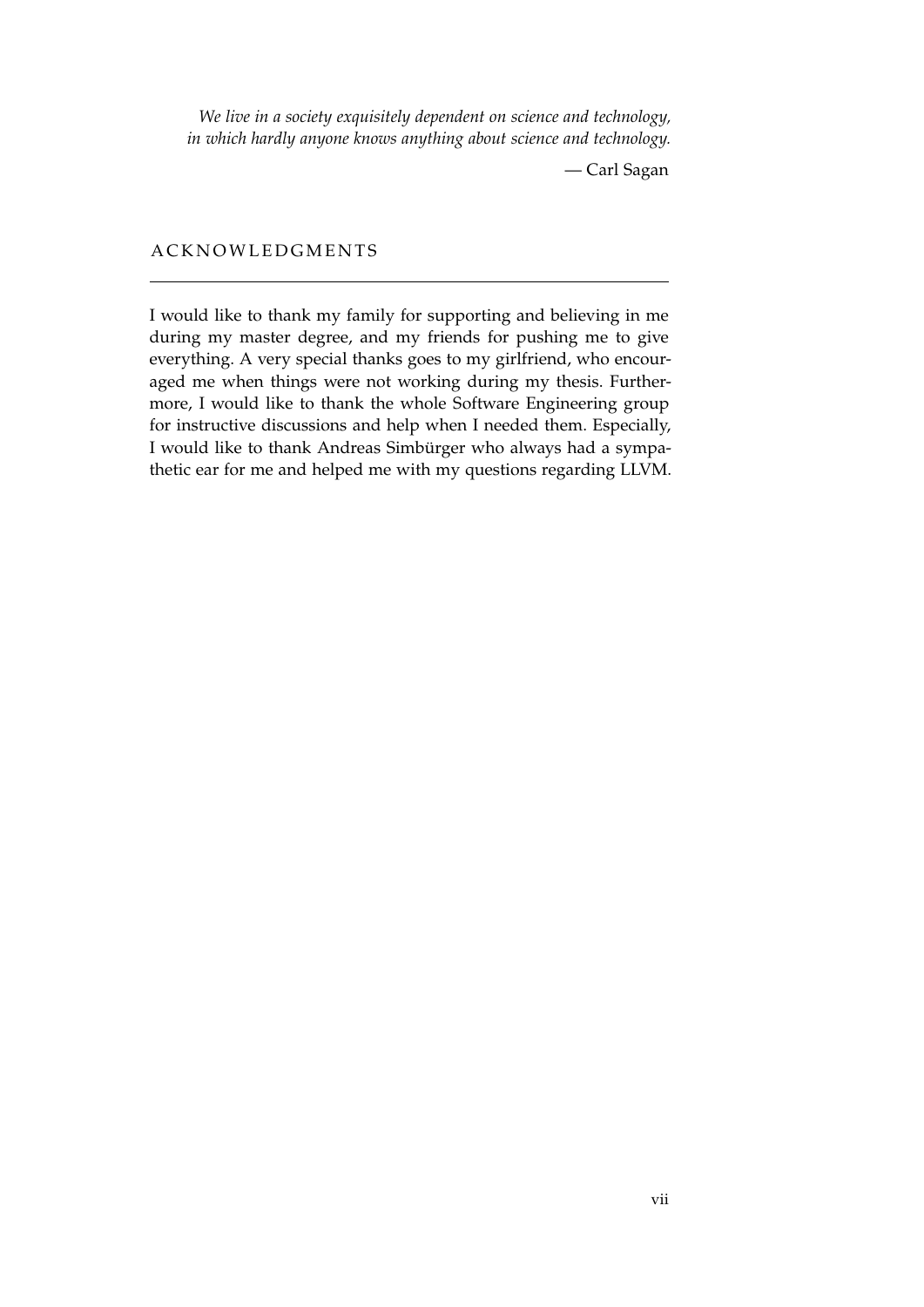*We live in a society exquisitely dependent on science and technology, in which hardly anyone knows anything about science and technology.*

— Carl Sagan

# **ACKNOWLEDGMENTS**

I would like to thank my family for supporting and believing in me during my master degree, and my friends for pushing me to give everything. A very special thanks goes to my girlfriend, who encouraged me when things were not working during my thesis. Furthermore, I would like to thank the whole Software Engineering group for instructive discussions and help when I needed them. Especially, I would like to thank Andreas Simbürger who always had a sympathetic ear for me and helped me with my questions regarding LLVM.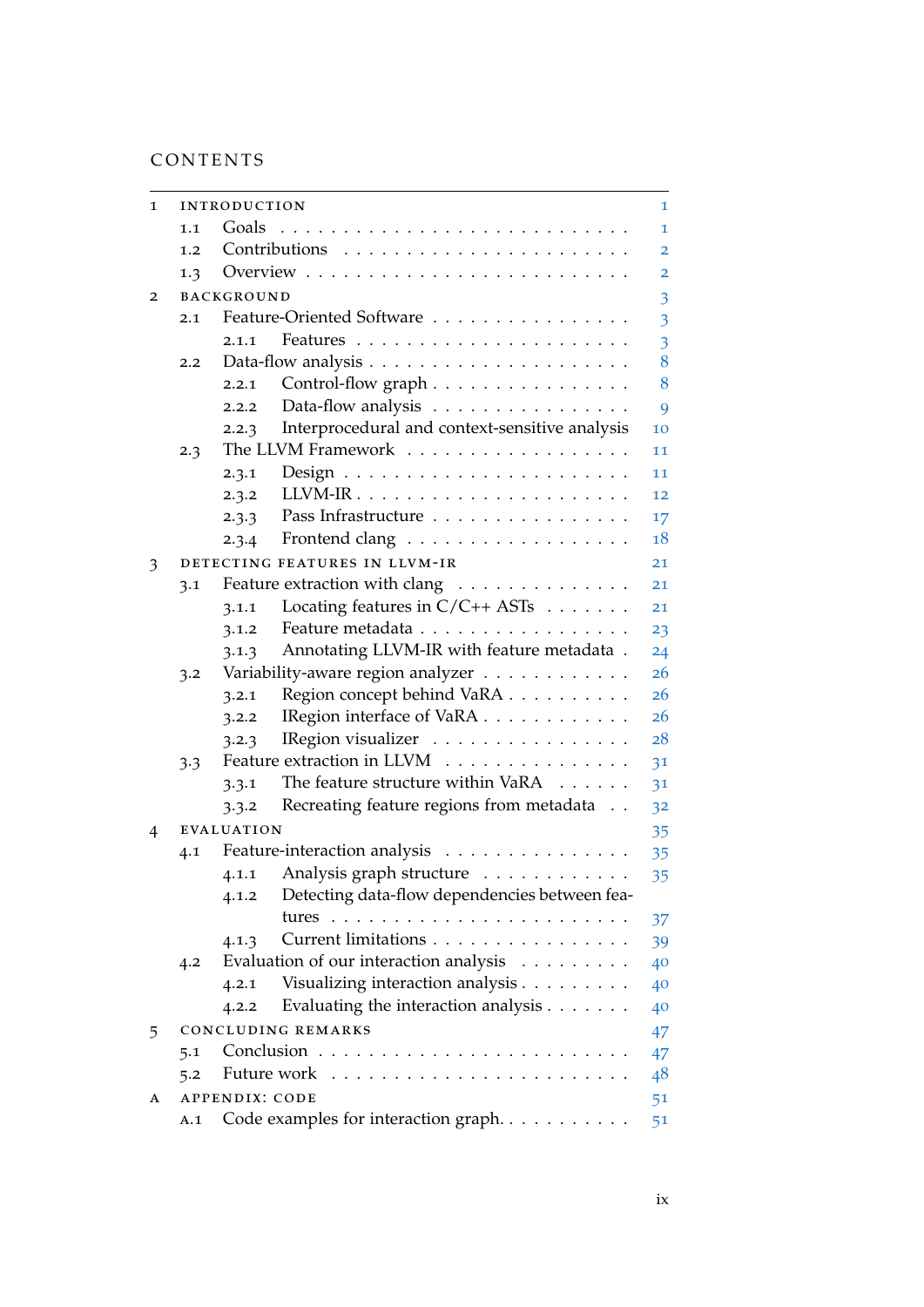# CONTENTS

| 1 |     | <b>INTRODUCTION</b>                                        | 1  |
|---|-----|------------------------------------------------------------|----|
|   | 1.1 | Goals                                                      | 1  |
|   | 1.2 |                                                            | 2  |
|   | 1.3 |                                                            | 2  |
| 2 |     | <b>BACKGROUND</b>                                          | 3  |
|   | 2.1 | Feature-Oriented Software                                  | 3  |
|   |     | 2.1.1                                                      | 3  |
|   | 2.2 |                                                            | 8  |
|   |     | Control-flow graph<br>2.2.1                                | 8  |
|   |     | Data-flow analysis<br>2.2.2                                | 9  |
|   |     | Interprocedural and context-sensitive analysis<br>2.2.3    | 10 |
|   | 2.3 | The LLVM Framework                                         | 11 |
|   |     | 2.3.1                                                      | 11 |
|   |     | 2.3.2                                                      | 12 |
|   |     | Pass Infrastructure<br>2.3.3                               | 17 |
|   |     | Frontend clang<br>2.3.4                                    | 18 |
| 3 |     | DETECTING FEATURES IN LLVM-IR                              | 21 |
|   | 3.1 | Feature extraction with clang                              | 21 |
|   |     | Locating features in $C/C++$ ASTs $\ldots \ldots$<br>3.1.1 | 21 |
|   |     | Feature metadata<br>3.1.2                                  | 23 |
|   |     | Annotating LLVM-IR with feature metadata.<br>3.1.3         | 24 |
|   | 3.2 | Variability-aware region analyzer                          | 26 |
|   |     | Region concept behind VaRA<br>3.2.1                        | 26 |
|   |     | IRegion interface of VaRA<br>3.2.2                         | 26 |
|   |     | IRegion visualizer<br>3.2.3                                | 28 |
|   | 3.3 | Feature extraction in LLVM                                 | 31 |
|   |     | The feature structure within VaRA<br>3.3.1                 | 31 |
|   |     | Recreating feature regions from metadata<br>3.3.2          | 32 |
| 4 |     | <b>EVALUATION</b>                                          | 35 |
|   | 4.1 | Feature-interaction analysis                               | 35 |
|   |     | Analysis graph structure<br>4.1.1                          | 35 |
|   |     | Detecting data-flow dependencies between fea-<br>4.1.2     |    |
|   |     | tures                                                      | 37 |
|   |     | Current limitations<br>4.1.3                               | 39 |
|   | 4.2 | Evaluation of our interaction analysis                     | 40 |
|   |     | Visualizing interaction analysis<br>4.2.1                  | 40 |
|   |     | Evaluating the interaction analysis<br>4.2.2               | 40 |
| 5 |     | <b>CONCLUDING REMARKS</b>                                  | 47 |
|   | 5.1 | Conclusion<br>.                                            | 47 |
|   | 5.2 | Future work                                                | 48 |
| A |     | <b>APPENDIX: CODE</b>                                      | 51 |
|   | A.1 | Code examples for interaction graph                        | 51 |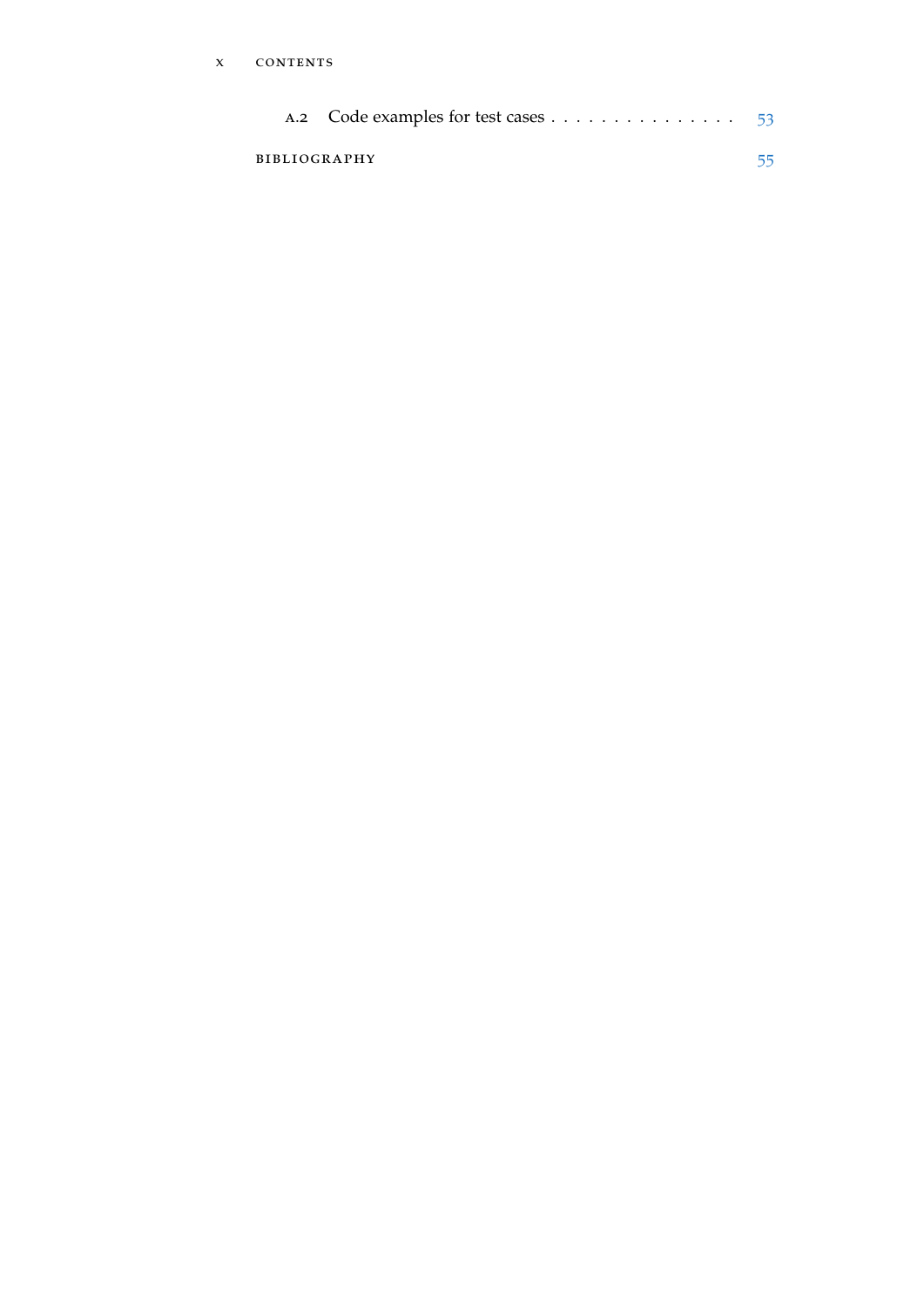| BIBLIOGRAPHY | 55 |
|--------------|----|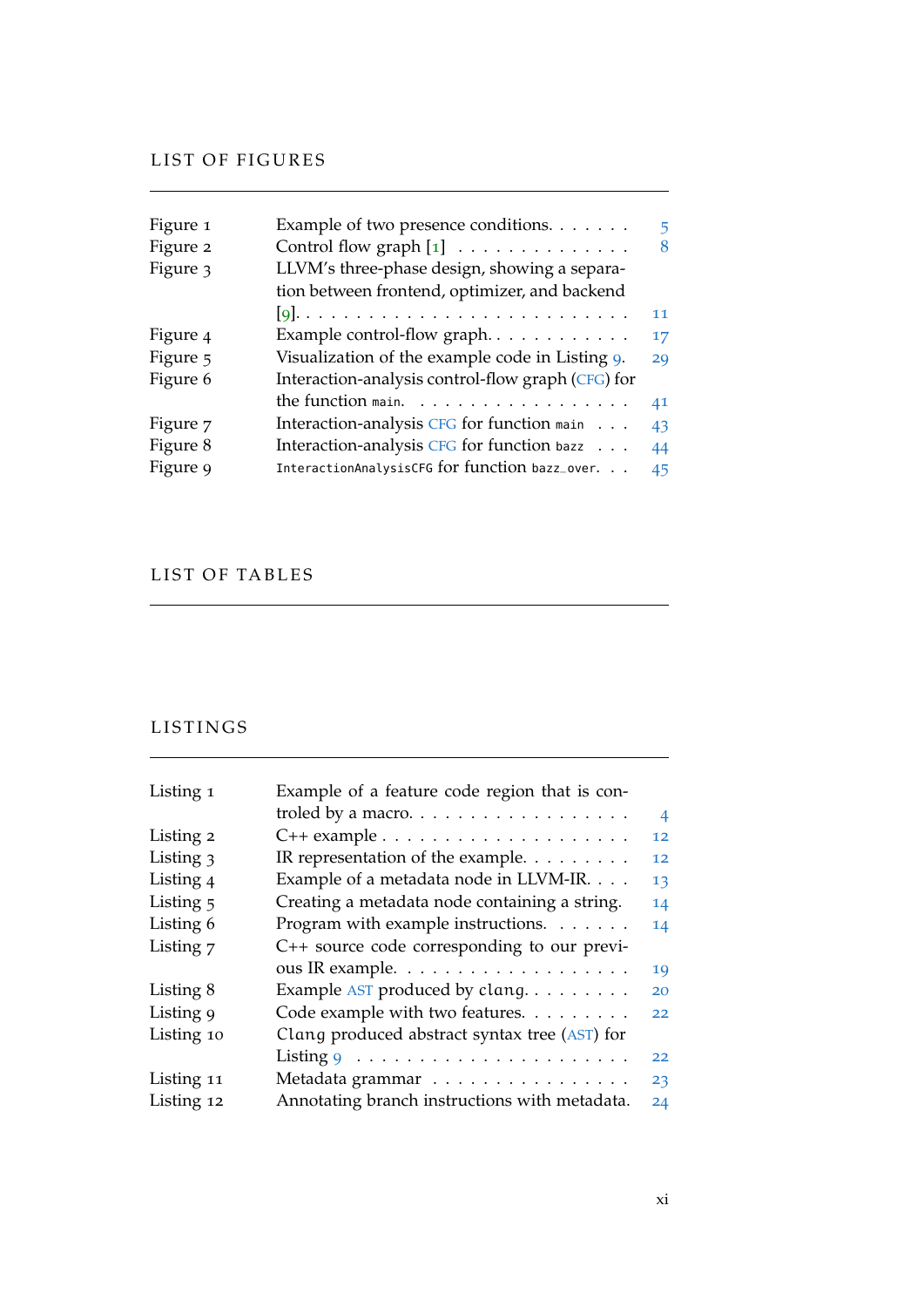# LIST OF FIGURES

| Figure 1 | Example of two presence conditions.                     | 5. |
|----------|---------------------------------------------------------|----|
| Figure 2 | Control flow graph $\begin{bmatrix} 1 \end{bmatrix}$    | 8  |
| Figure 3 | LLVM's three-phase design, showing a separa-            |    |
|          | tion between frontend, optimizer, and backend           |    |
|          |                                                         | 11 |
| Figure 4 |                                                         | 17 |
| Figure 5 | Visualization of the example code in Listing 9.         | 29 |
| Figure 6 | Interaction-analysis control-flow graph (CFG) for       |    |
|          | the function main. $\ldots \ldots \ldots \ldots \ldots$ | 41 |
| Figure 7 | Interaction-analysis CFG for function main              | 43 |
| Figure 8 | Interaction-analysis CFG for function bazz              | 44 |
| Figure 9 | InteractionAnalysisCFG for function bazz_over.          | 45 |

# LIST OF TABLES

the control of the control of the control of the control of

# LISTINGS

| Listing 1  | Example of a feature code region that is con-             |                |
|------------|-----------------------------------------------------------|----------------|
|            | troled by a macro. $\dots \dots \dots \dots \dots \dots$  | $\overline{4}$ |
| Listing 2  | $C++$ example $\ldots \ldots \ldots \ldots \ldots \ldots$ | 12             |
| Listing 3  | IR representation of the example. $\dots \dots$           | 12             |
| Listing 4  | Example of a metadata node in LLVM-IR.                    | 13             |
| Listing 5  | Creating a metadata node containing a string.             | 14             |
| Listing 6  | Program with example instructions. $\dots$                | 14             |
| Listing 7  | C++ source code corresponding to our previ-               |                |
|            | ous IR example.                                           | 19             |
| Listing 8  | Example AST produced by clang                             | 20             |
| Listing 9  | Code example with two features.                           | 22             |
| Listing 10 | Clang produced abstract syntax tree (AST) for             |                |
|            | Listing $9 \ldots \ldots \ldots \ldots \ldots \ldots$     | 22             |
| Listing 11 | Metadata grammar                                          | 23             |
| Listing 12 | Annotating branch instructions with metadata.             | 24             |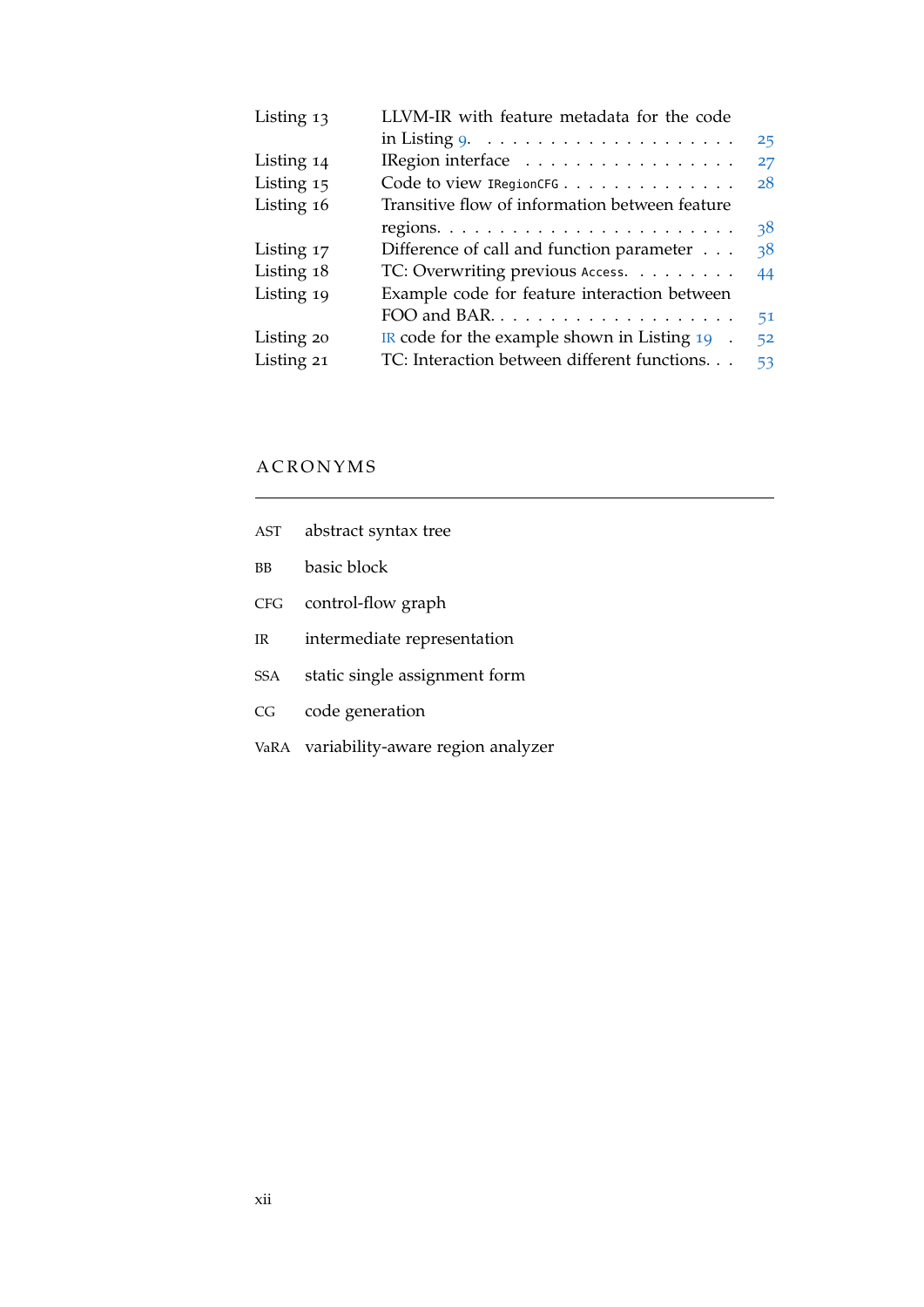| Listing 13 | LLVM-IR with feature metadata for the code                |    |
|------------|-----------------------------------------------------------|----|
|            | in Listing $9. \ldots \ldots \ldots \ldots \ldots \ldots$ | 25 |
| Listing 14 | IRegion interface $\dots \dots \dots \dots \dots$         | 27 |
| Listing 15 | Code to view IRegionCFG                                   | 28 |
| Listing 16 | Transitive flow of information between feature            |    |
|            |                                                           | 38 |
| Listing 17 | Difference of call and function parameter                 | 38 |
| Listing 18 | TC: Overwriting previous Access.                          | 44 |
| Listing 19 | Example code for feature interaction between              |    |
|            | FOO and BAR                                               | 51 |
| Listing 20 | IR code for the example shown in Listing $19$ .           | 52 |
| Listing 21 | TC: Interaction between different functions.              | 53 |
|            |                                                           |    |

# **A C R O N Y M S**

<span id="page-11-6"></span><span id="page-11-5"></span><span id="page-11-4"></span><span id="page-11-3"></span><span id="page-11-2"></span><span id="page-11-1"></span><span id="page-11-0"></span>

| AST               | abstract syntax tree                   |
|-------------------|----------------------------------------|
| BB                | basic block                            |
| CFG               | control-flow graph                     |
| IR $\blacksquare$ | intermediate representation            |
| SSA               | static single assignment form          |
| CG                | code generation                        |
|                   | VaRA variability-aware region analyzer |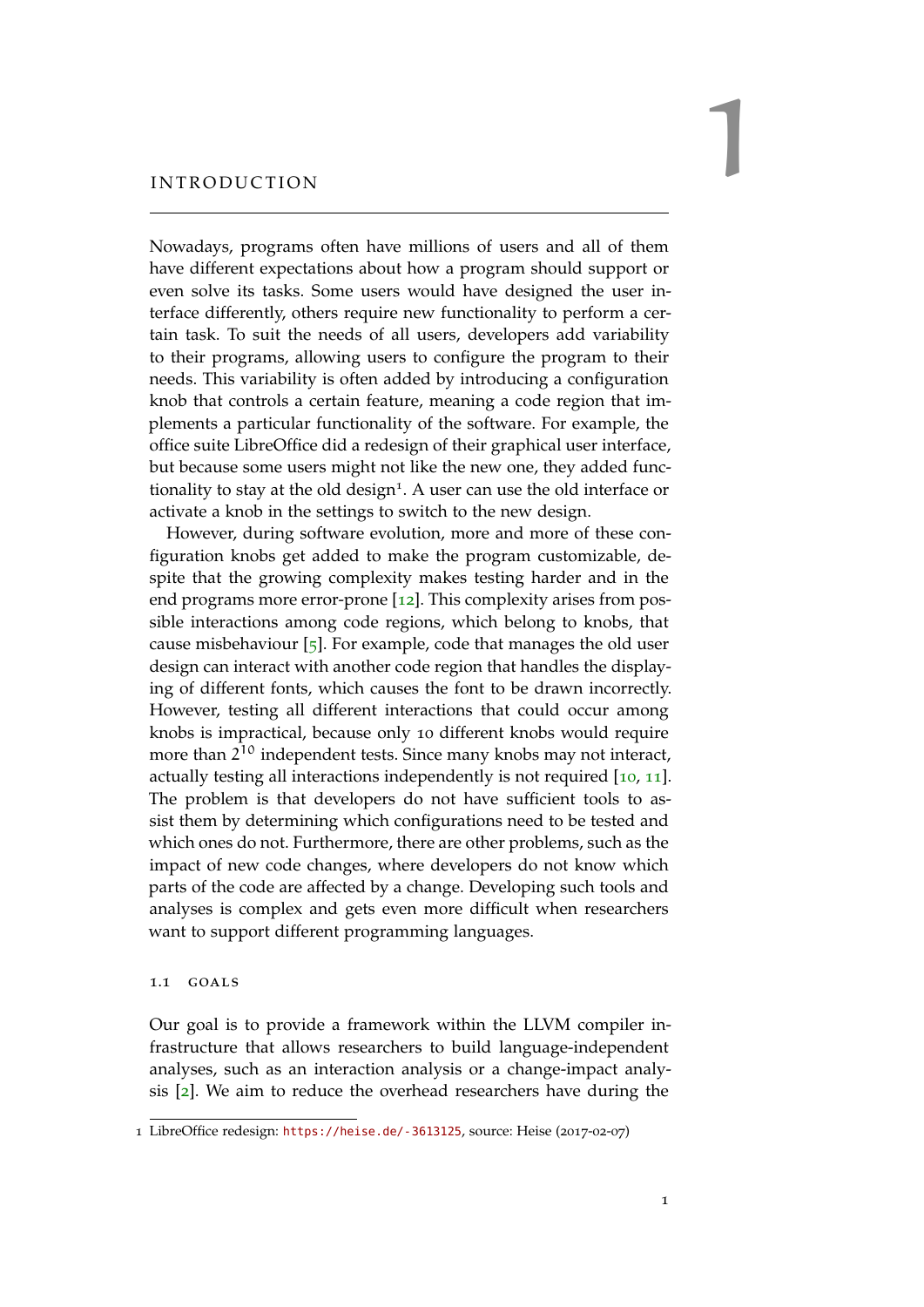# <span id="page-12-0"></span>INTRODUCTION

Nowadays, programs often have millions of users and all of them have different expectations about how a program should support or even solve its tasks. Some users would have designed the user interface differently, others require new functionality to perform a certain task. To suit the needs of all users, developers add variability to their programs, allowing users to configure the program to their needs. This variability is often added by introducing a configuration knob that controls a certain feature, meaning a code region that implements a particular functionality of the software. For example, the office suite LibreOffice did a redesign of their graphical user interface, but because some users might not like the new one, they added functionality to stay at the old design<sup>1</sup>. A user can use the old interface or activate a knob in the settings to switch to the new design.

However, during software evolution, more and more of these configuration knobs get added to make the program customizable, despite that the growing complexity makes testing harder and in the end programs more error-prone [[12](#page-67-0)]. This complexity arises from possible interactions among code regions, which belong to knobs, that cause misbehaviour [[5](#page-66-3)]. For example, code that manages the old user design can interact with another code region that handles the displaying of different fonts, which causes the font to be drawn incorrectly. However, testing all different interactions that could occur among knobs is impractical, because only 10 different knobs would require more than 2<sup>10</sup> independent tests. Since many knobs may not interact, actually testing all interactions independently is not required [[10](#page-66-4), [11](#page-67-1)]. The problem is that developers do not have sufficient tools to assist them by determining which configurations need to be tested and which ones do not. Furthermore, there are other problems, such as the impact of new code changes, where developers do not know which parts of the code are affected by a change. Developing such tools and analyses is complex and gets even more difficult when researchers want to support different programming languages.

#### <span id="page-12-1"></span>1.1 goals

Our goal is to provide a framework within the LLVM compiler infrastructure that allows researchers to build language-independent analyses, such as an interaction analysis or a change-impact analysis [[2](#page-66-5)]. We aim to reduce the overhead researchers have during the

<sup>1</sup> LibreOffice redesign: <https://heise.de/-3613125>, source: Heise (2017-02-07)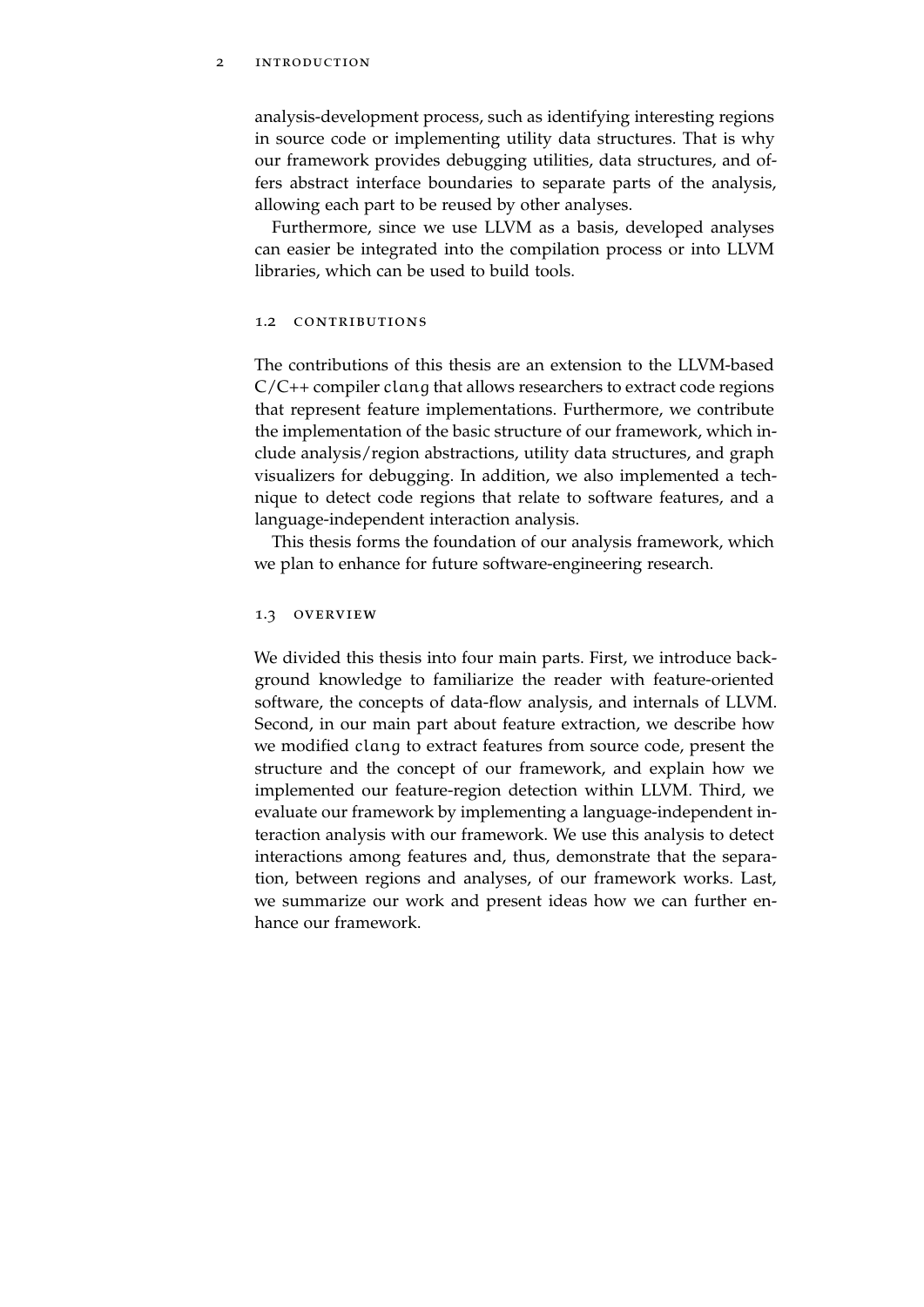#### 2 introduction

analysis-development process, such as identifying interesting regions in source code or implementing utility data structures. That is why our framework provides debugging utilities, data structures, and offers abstract interface boundaries to separate parts of the analysis, allowing each part to be reused by other analyses.

Furthermore, since we use LLVM as a basis, developed analyses can easier be integrated into the compilation process or into LLVM libraries, which can be used to build tools.

#### <span id="page-13-0"></span>1.2 CONTRIBUTIONS

The contributions of this thesis are an extension to the LLVM-based  $C/C++$  compiler clang that allows researchers to extract code regions that represent feature implementations. Furthermore, we contribute the implementation of the basic structure of our framework, which include analysis/region abstractions, utility data structures, and graph visualizers for debugging. In addition, we also implemented a technique to detect code regions that relate to software features, and a language-independent interaction analysis.

This thesis forms the foundation of our analysis framework, which we plan to enhance for future software-engineering research.

#### <span id="page-13-1"></span>1.3 OVERVIEW

We divided this thesis into four main parts. First, we introduce background knowledge to familiarize the reader with feature-oriented software, the concepts of data-flow analysis, and internals of LLVM. Second, in our main part about feature extraction, we describe how we modified clang to extract features from source code, present the structure and the concept of our framework, and explain how we implemented our feature-region detection within LLVM. Third, we evaluate our framework by implementing a language-independent interaction analysis with our framework. We use this analysis to detect interactions among features and, thus, demonstrate that the separation, between regions and analyses, of our framework works. Last, we summarize our work and present ideas how we can further enhance our framework.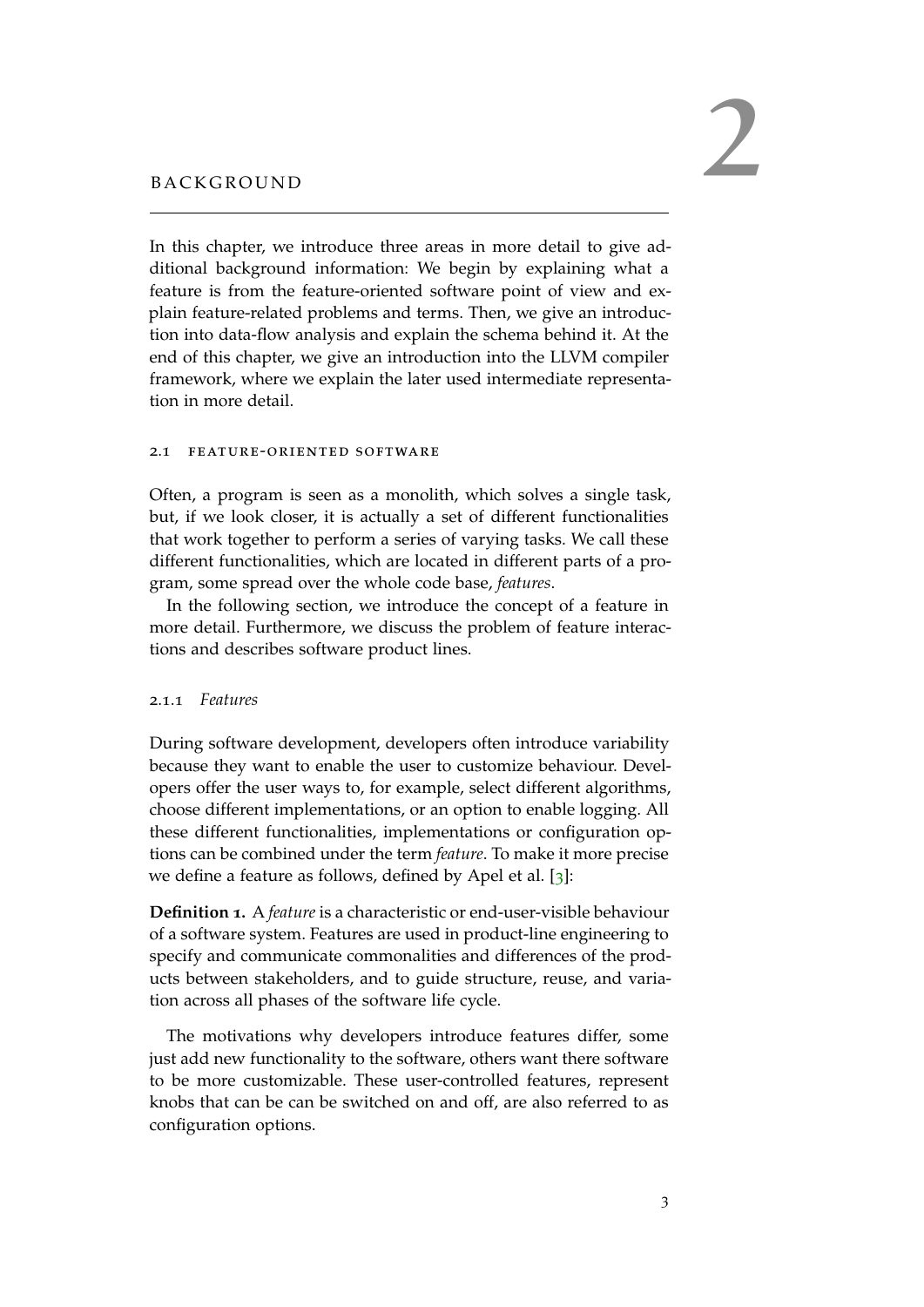<span id="page-14-0"></span>In this chapter, we introduce three areas in more detail to give additional background information: We begin by explaining what a feature is from the feature-oriented software point of view and explain feature-related problems and terms. Then, we give an introduction into data-flow analysis and explain the schema behind it. At the end of this chapter, we give an introduction into the LLVM compiler framework, where we explain the later used intermediate representation in more detail.

# <span id="page-14-1"></span>2.1 feature-oriented software

Often, a program is seen as a monolith, which solves a single task, but, if we look closer, it is actually a set of different functionalities that work together to perform a series of varying tasks. We call these different functionalities, which are located in different parts of a program, some spread over the whole code base, *features*.

In the following section, we introduce the concept of a feature in more detail. Furthermore, we discuss the problem of feature interactions and describes software product lines.

#### <span id="page-14-2"></span>2.1.1 *Features*

During software development, developers often introduce variability because they want to enable the user to customize behaviour. Developers offer the user ways to, for example, select different algorithms, choose different implementations, or an option to enable logging. All these different functionalities, implementations or configuration options can be combined under the term *feature*. To make it more precise we define a feature as follows, defined by Apel et al. [[3](#page-66-6)]:

**Definition 1.** A *feature* is a characteristic or end-user-visible behaviour of a software system. Features are used in product-line engineering to specify and communicate commonalities and differences of the products between stakeholders, and to guide structure, reuse, and variation across all phases of the software life cycle.

The motivations why developers introduce features differ, some just add new functionality to the software, others want there software to be more customizable. These user-controlled features, represent knobs that can be can be switched on and off, are also referred to as configuration options.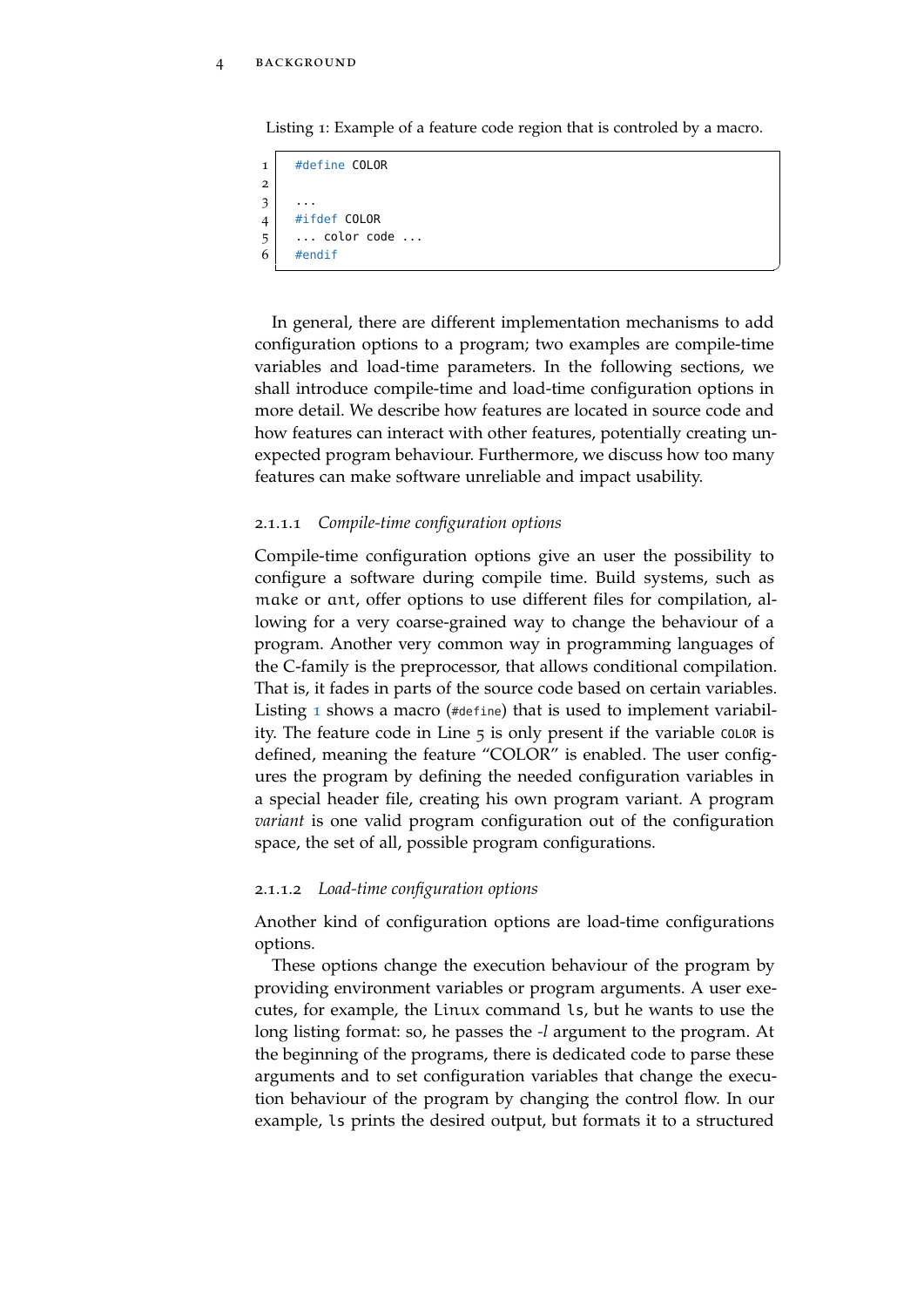<span id="page-15-0"></span>Listing 1: Example of a feature code region that is controled by a macro.

```
1 #define COLOR
2
3 \mid \ldots4 #ifdef COLOR
5 ... color code ...
6 #endif
```
In general, there are different implementation mechanisms to add configuration options to a program; two examples are compile-time variables and load-time parameters. In the following sections, we shall introduce compile-time and load-time configuration options in more detail. We describe how features are located in source code and how features can interact with other features, potentially creating unexpected program behaviour. Furthermore, we discuss how too many features can make software unreliable and impact usability.

 $^{\prime}$ 

# 2.1.1.1 *Compile-time configuration options*

Compile-time configuration options give an user the possibility to configure a software during compile time. Build systems, such as make or ant, offer options to use different files for compilation, allowing for a very coarse-grained way to change the behaviour of a program. Another very common way in programming languages of the C-family is the preprocessor, that allows conditional compilation. That is, it fades in parts of the source code based on certain variables. Listing [1](#page-15-0) shows a macro (#define) that is used to implement variability. The feature code in Line 5 is only present if the variable COLOR is defined, meaning the feature "COLOR" is enabled. The user configures the program by defining the needed configuration variables in a special header file, creating his own program variant. A program *variant* is one valid program configuration out of the configuration space, the set of all, possible program configurations.

#### 2.1.1.2 *Load-time configuration options*

Another kind of configuration options are load-time configurations options.

These options change the execution behaviour of the program by providing environment variables or program arguments. A user executes, for example, the Linux command ls, but he wants to use the long listing format: so, he passes the *-l* argument to the program. At the beginning of the programs, there is dedicated code to parse these arguments and to set configuration variables that change the execution behaviour of the program by changing the control flow. In our example, ls prints the desired output, but formats it to a structured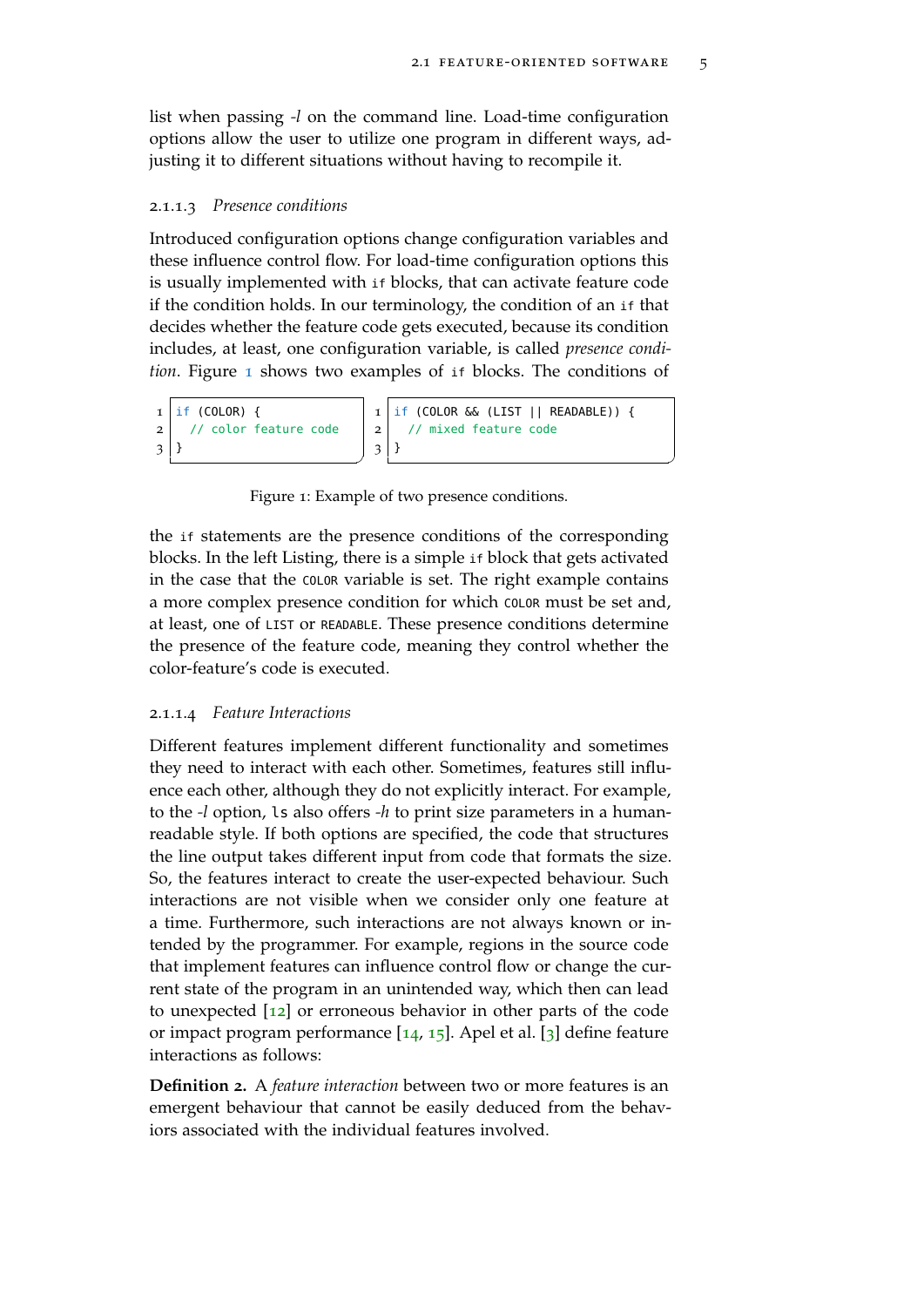$^{\prime}$ 

list when passing *-l* on the command line. Load-time configuration options allow the user to utilize one program in different ways, adjusting it to different situations without having to recompile it.

#### 2.1.1.3 *Presence conditions*

Introduced configuration options change configuration variables and these influence control flow. For load-time configuration options this is usually implemented with if blocks, that can activate feature code if the condition holds. In our terminology, the condition of an if that decides whether the feature code gets executed, because its condition includes, at least, one configuration variable, is called *presence condition*. Figure [1](#page-16-0) shows two examples of if blocks. The conditions of

```
1 \mid \text{if} (COLOR) {
2 // color feature code
3 }
                                   ^{\prime}1 \mid \text{if} (COLOR && (LIST || READABLE)) {
                                    2 // mixed feature code
                                    3
```
Figure 1: Example of two presence conditions.

the if statements are the presence conditions of the corresponding blocks. In the left Listing, there is a simple if block that gets activated in the case that the COLOR variable is set. The right example contains a more complex presence condition for which COLOR must be set and, at least, one of LIST or READABLE. These presence conditions determine the presence of the feature code, meaning they control whether the color-feature's code is executed.

#### 2.1.1.4 *Feature Interactions*

Different features implement different functionality and sometimes they need to interact with each other. Sometimes, features still influence each other, although they do not explicitly interact. For example, to the *-l* option, ls also offers *-h* to print size parameters in a humanreadable style. If both options are specified, the code that structures the line output takes different input from code that formats the size. So, the features interact to create the user-expected behaviour. Such interactions are not visible when we consider only one feature at a time. Furthermore, such interactions are not always known or intended by the programmer. For example, regions in the source code that implement features can influence control flow or change the current state of the program in an unintended way, which then can lead to unexpected [[12](#page-67-0)] or erroneous behavior in other parts of the code or impact program performance  $[14, 15]$  $[14, 15]$  $[14, 15]$  $[14, 15]$  $[14, 15]$ . Apel et al.  $[3]$  $[3]$  $[3]$  define feature interactions as follows:

**Definition 2.** A *feature interaction* between two or more features is an emergent behaviour that cannot be easily deduced from the behaviors associated with the individual features involved.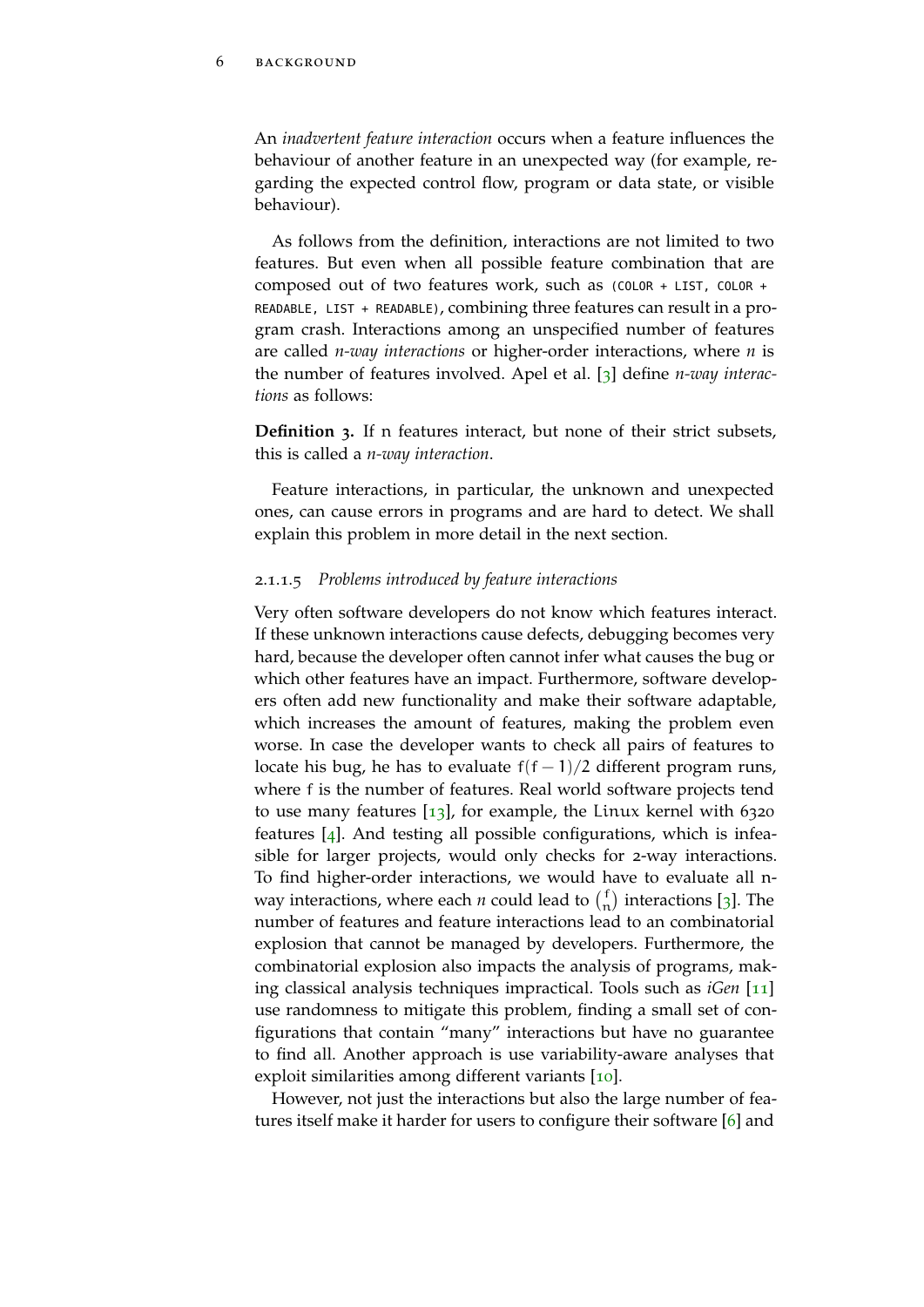An *inadvertent feature interaction* occurs when a feature influences the behaviour of another feature in an unexpected way (for example, regarding the expected control flow, program or data state, or visible behaviour).

As follows from the definition, interactions are not limited to two features. But even when all possible feature combination that are composed out of two features work, such as (COLOR + LIST, COLOR + READABLE, LIST + READABLE), combining three features can result in a program crash. Interactions among an unspecified number of features are called *n-way interactions* or higher-order interactions, where *n* is the number of features involved. Apel et al. [[3](#page-66-6)] define *n-way interactions* as follows:

**Definition 3.** If n features interact, but none of their strict subsets, this is called a *n-way interaction*.

Feature interactions, in particular, the unknown and unexpected ones, can cause errors in programs and are hard to detect. We shall explain this problem in more detail in the next section.

#### <span id="page-17-0"></span>2.1.1.5 *Problems introduced by feature interactions*

Very often software developers do not know which features interact. If these unknown interactions cause defects, debugging becomes very hard, because the developer often cannot infer what causes the bug or which other features have an impact. Furthermore, software developers often add new functionality and make their software adaptable, which increases the amount of features, making the problem even worse. In case the developer wants to check all pairs of features to locate his bug, he has to evaluate  $f(f-1)/2$  different program runs, where f is the number of features. Real world software projects tend to use many features  $\begin{bmatrix} 13 \end{bmatrix}$  $\begin{bmatrix} 13 \end{bmatrix}$  $\begin{bmatrix} 13 \end{bmatrix}$ , for example, the Linux kernel with 6320 features [[4](#page-66-7)]. And testing all possible configurations, which is infeasible for larger projects, would only checks for 2-way interactions. To find higher-order interactions, we would have to evaluate all nway interactions, where each *n* could lead to  $\binom{f}{n}$  $\binom{f}{n}$  interactions [[3](#page-66-6)]. The number of features and feature interactions lead to an combinatorial explosion that cannot be managed by developers. Furthermore, the combinatorial explosion also impacts the analysis of programs, making classical analysis techniques impractical. Tools such as *iGen* [[11](#page-67-1)] use randomness to mitigate this problem, finding a small set of configurations that contain "many" interactions but have no guarantee to find all. Another approach is use variability-aware analyses that exploit similarities among different variants [[10](#page-66-4)].

However, not just the interactions but also the large number of features itself make it harder for users to configure their software [[6](#page-66-8)] and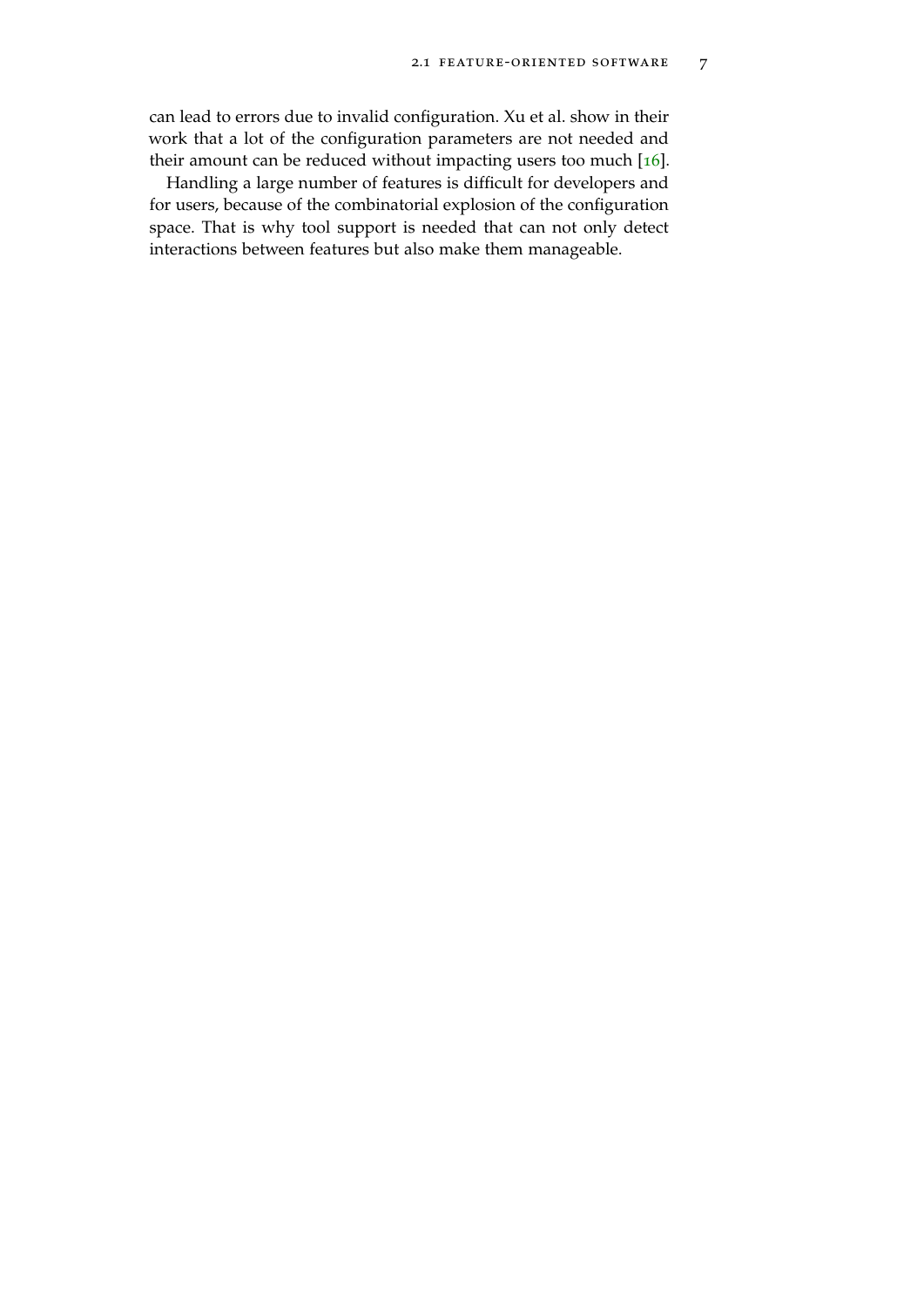can lead to errors due to invalid configuration. Xu et al. show in their work that a lot of the configuration parameters are not needed and their amount can be reduced without impacting users too much  $[16]$  $[16]$  $[16]$ .

Handling a large number of features is difficult for developers and for users, because of the combinatorial explosion of the configuration space. That is why tool support is needed that can not only detect interactions between features but also make them manageable.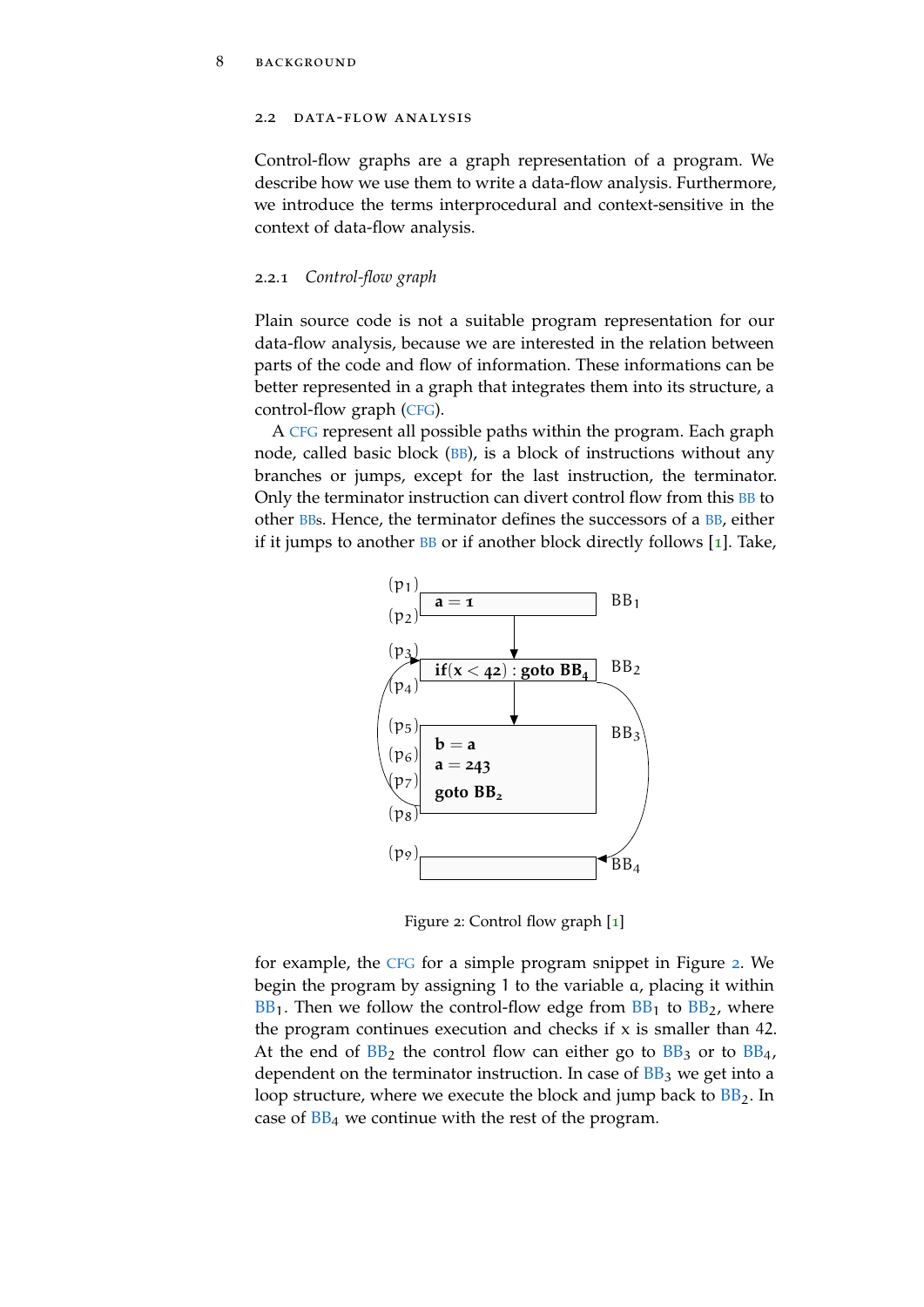#### <span id="page-19-0"></span>2.2 DATA-FLOW ANALYSIS

Control-flow graphs are a graph representation of a program. We describe how we use them to write a data-flow analysis. Furthermore, we introduce the terms interprocedural and context-sensitive in the context of data-flow analysis.

#### <span id="page-19-1"></span>2.2.1 *Control-flow graph*

Plain source code is not a suitable program representation for our data-flow analysis, because we are interested in the relation between parts of the code and flow of information. These informations can be better represented in a graph that integrates them into its structure, a control-flow graph ([CFG](#page-11-1)).

A [CFG](#page-11-1) represent all possible paths within the program. Each graph node, called basic block ([BB](#page-11-4)), is a block of instructions without any branches or jumps, except for the last instruction, the terminator. Only the terminator instruction can divert control flow from this **[BB](#page-11-4)** to other [BBs](#page-11-4). Hence, the terminator defines the successors of a [BB](#page-11-4), either if it jumps to another  $BB$  or if another block directly follows [[1](#page-66-1)]. Take,

<span id="page-19-2"></span>

Figure 2: Control flow graph [[1](#page-66-1)]

for example, the [CFG](#page-11-1) for a simple program snippet in Figure [2](#page-19-2). We begin the program by assigning 1 to the variable a, placing it within  $BB_1$  $BB_1$ . Then we follow the control-flow edge from  $BB_1$  to  $BB_2$ , where the program continues execution and checks if  $x$  is smaller than 42. At the end of  $BB_2$  $BB_2$  the control flow can either go to  $BB_3$  or to  $BB_4$ , dependent on the terminator instruction. In case of  $BB<sub>3</sub>$  $BB<sub>3</sub>$  we get into a loop structure, where we execute the block and jump back to  $BB<sub>2</sub>$  $BB<sub>2</sub>$ . In case of  $BB<sub>4</sub>$  $BB<sub>4</sub>$  we continue with the rest of the program.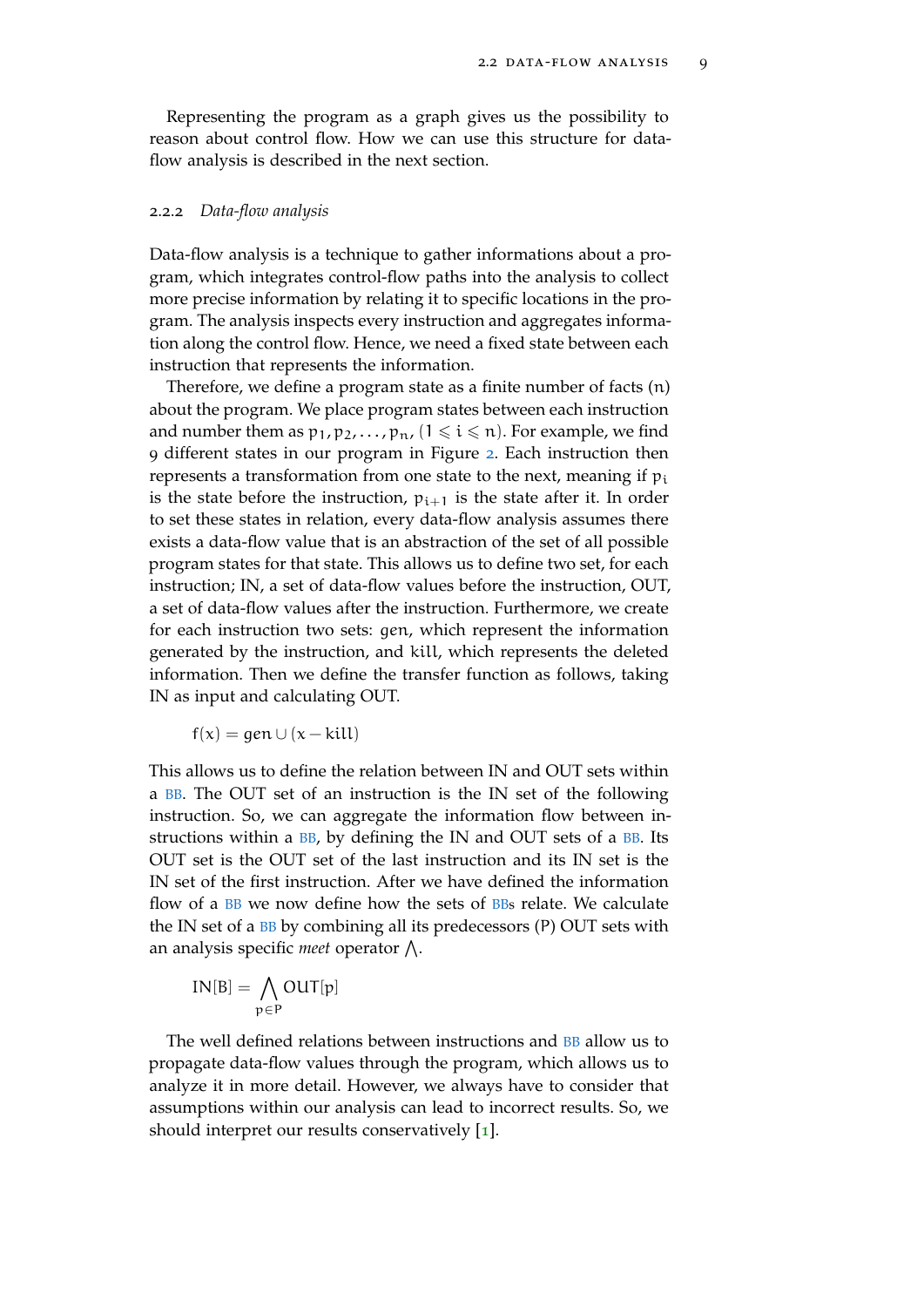Representing the program as a graph gives us the possibility to reason about control flow. How we can use this structure for dataflow analysis is described in the next section.

#### <span id="page-20-0"></span>2.2.2 *Data-flow analysis*

Data-flow analysis is a technique to gather informations about a program, which integrates control-flow paths into the analysis to collect more precise information by relating it to specific locations in the program. The analysis inspects every instruction and aggregates information along the control flow. Hence, we need a fixed state between each instruction that represents the information.

Therefore, we define a program state as a finite number of facts (n) about the program. We place program states between each instruction and number them as  $p_1, p_2, \ldots, p_n$ ,  $(1 \leq i \leq n)$ . For example, we find 9 different states in our program in Figure [2](#page-19-2). Each instruction then represents a transformation from one state to the next, meaning if  $p_i$ is the state before the instruction,  $p_{i+1}$  is the state after it. In order to set these states in relation, every data-flow analysis assumes there exists a data-flow value that is an abstraction of the set of all possible program states for that state. This allows us to define two set, for each instruction; IN, a set of data-flow values before the instruction, OUT, a set of data-flow values after the instruction. Furthermore, we create for each instruction two sets: gen, which represent the information generated by the instruction, and kill, which represents the deleted information. Then we define the transfer function as follows, taking IN as input and calculating OUT.

$$
f(x) = gen \cup (x - kill)
$$

This allows us to define the relation between IN and OUT sets within a [BB](#page-11-4). The OUT set of an instruction is the IN set of the following instruction. So, we can aggregate the information flow between in-structions within a [BB](#page-11-4), by defining the IN and OUT sets of a BB. Its OUT set is the OUT set of the last instruction and its IN set is the IN set of the first instruction. After we have defined the information flow of a [BB](#page-11-4) we now define how the sets of [BBs](#page-11-4) relate. We calculate the IN set of a [BB](#page-11-4) by combining all its predecessors (P) OUT sets with an analysis specific *meet* operator  $\bigwedge$ .

$$
IN[B] = \bigwedge_{p \in P} OUT[p]
$$

<span id="page-20-1"></span>The well defined relations between instructions and **[BB](#page-11-4)** allow us to propagate data-flow values through the program, which allows us to analyze it in more detail. However, we always have to consider that assumptions within our analysis can lead to incorrect results. So, we should interpret our results conservatively [[1](#page-66-1)].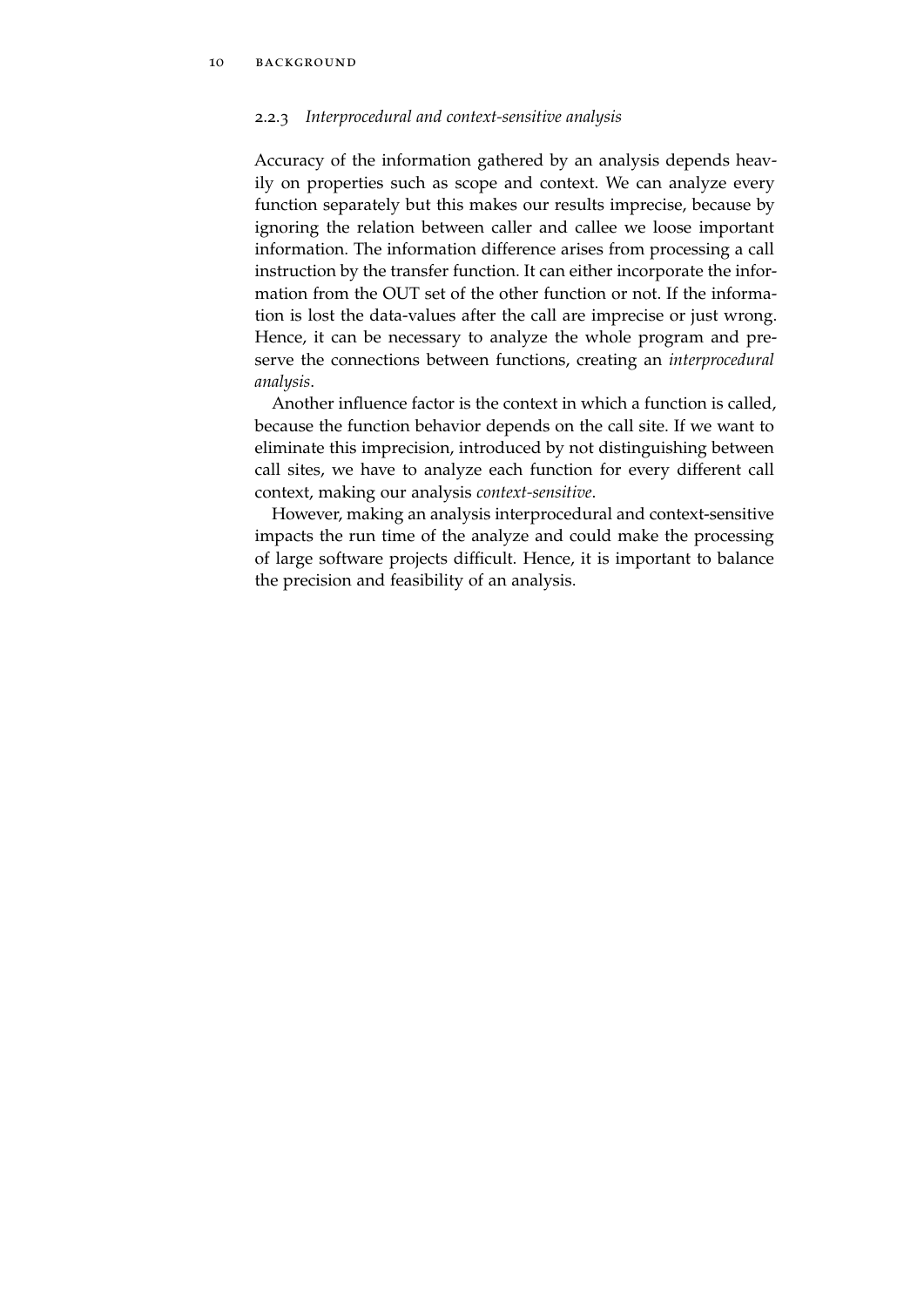## 2.2.3 *Interprocedural and context-sensitive analysis*

Accuracy of the information gathered by an analysis depends heavily on properties such as scope and context. We can analyze every function separately but this makes our results imprecise, because by ignoring the relation between caller and callee we loose important information. The information difference arises from processing a call instruction by the transfer function. It can either incorporate the information from the OUT set of the other function or not. If the information is lost the data-values after the call are imprecise or just wrong. Hence, it can be necessary to analyze the whole program and preserve the connections between functions, creating an *interprocedural analysis*.

Another influence factor is the context in which a function is called, because the function behavior depends on the call site. If we want to eliminate this imprecision, introduced by not distinguishing between call sites, we have to analyze each function for every different call context, making our analysis *context-sensitive*.

However, making an analysis interprocedural and context-sensitive impacts the run time of the analyze and could make the processing of large software projects difficult. Hence, it is important to balance the precision and feasibility of an analysis.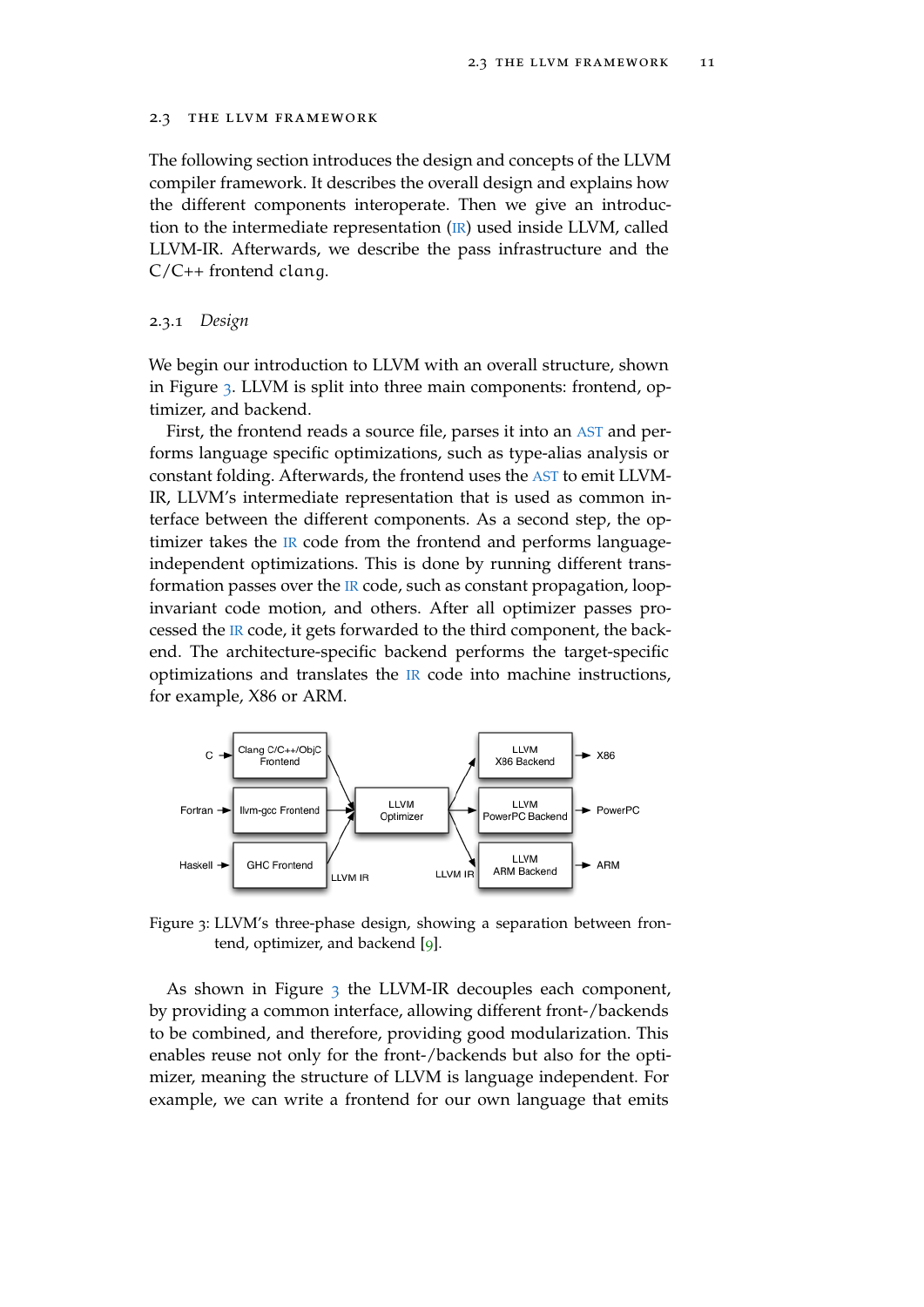#### <span id="page-22-0"></span>2.3 the llvm framework

The following section introduces the design and concepts of the LLVM compiler framework. It describes the overall design and explains how the different components interoperate. Then we give an introduction to the intermediate representation ([IR](#page-11-3)) used inside LLVM, called LLVM-IR. Afterwards, we describe the pass infrastructure and the C/C++ frontend clang.

#### <span id="page-22-1"></span>2.3.1 *Design*

We begin our introduction to LLVM with an overall structure, shown in Figure [3](#page-22-2). LLVM is split into three main components: frontend, optimizer, and backend.

First, the frontend reads a source file, parses it into an [AST](#page-11-2) and performs language specific optimizations, such as type-alias analysis or constant folding. Afterwards, the frontend uses the [AST](#page-11-2) to emit LLVM-IR, LLVM's intermediate representation that is used as common interface between the different components. As a second step, the optimizer takes the [IR](#page-11-3) code from the frontend and performs languageindependent optimizations. This is done by running different transformation passes over the [IR](#page-11-3) code, such as constant propagation, loopinvariant code motion, and others. After all optimizer passes processed the [IR](#page-11-3) code, it gets forwarded to the third component, the backend. The architecture-specific backend performs the target-specific optimizations and translates the [IR](#page-11-3) code into machine instructions, for example, X86 or ARM.

<span id="page-22-2"></span>

Figure 3: LLVM's three-phase design, showing a separation between frontend, optimizer, and backend [[9](#page-66-2)].

As shown in Figure  $_3$  $_3$  the LLVM-IR decouples each component, by providing a common interface, allowing different front-/backends to be combined, and therefore, providing good modularization. This enables reuse not only for the front-/backends but also for the optimizer, meaning the structure of LLVM is language independent. For example, we can write a frontend for our own language that emits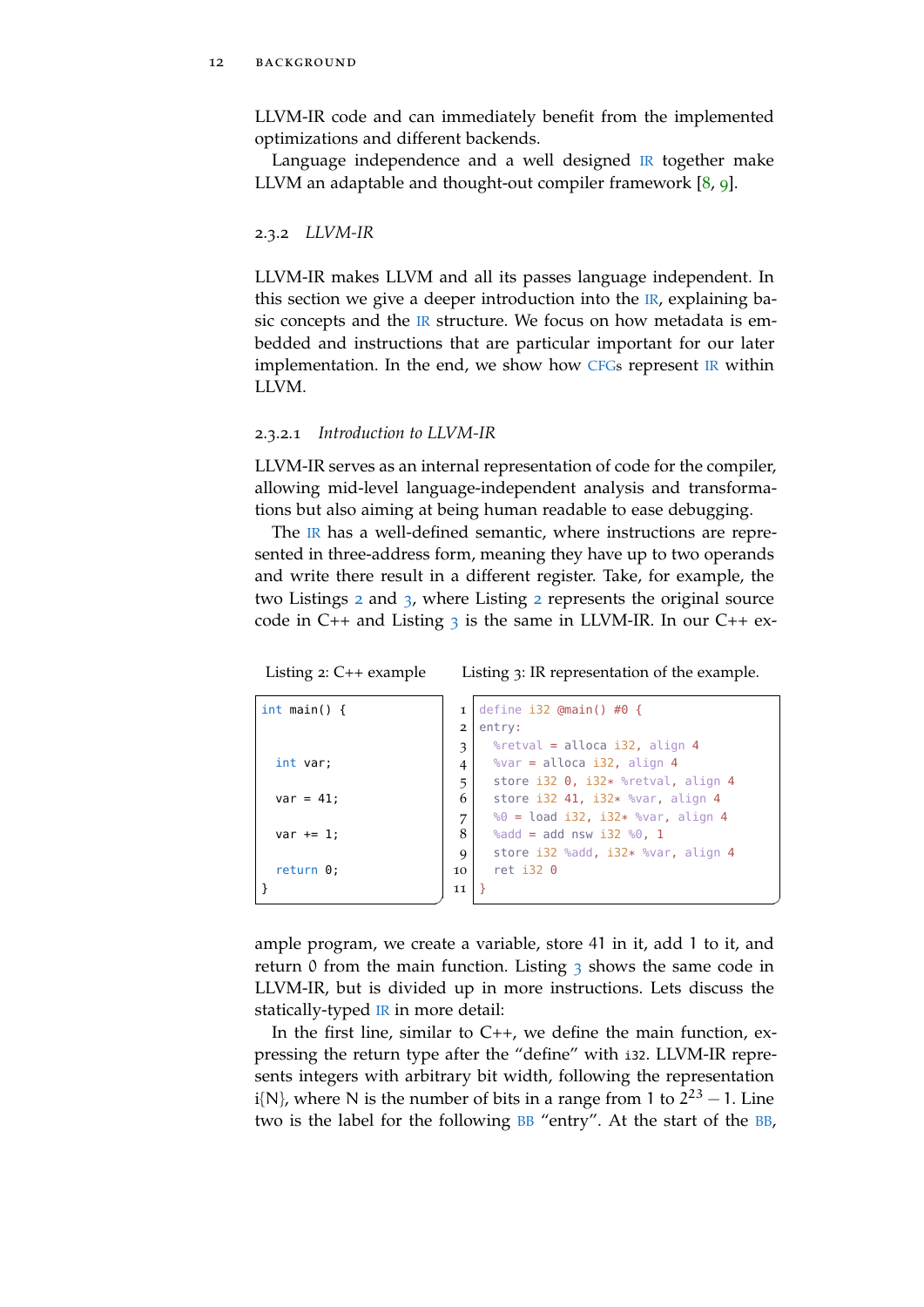LLVM-IR code and can immediately benefit from the implemented optimizations and different backends.

Language independence and a well designed [IR](#page-11-3) together make LLVM an adaptable and thought-out compiler framework [[8](#page-66-9), [9](#page-66-2)].

<span id="page-23-0"></span>2.3.2 *LLVM-IR*

LLVM-IR makes LLVM and all its passes language independent. In this section we give a deeper introduction into the  $IR$ , explaining basic concepts and the  $IR$  structure. We focus on how metadata is embedded and instructions that are particular important for our later implementation. In the end, we show how [CFGs](#page-11-1) represent [IR](#page-11-3) within LLVM.

#### 2.3.2.1 *Introduction to LLVM-IR*

LLVM-IR serves as an internal representation of code for the compiler, allowing mid-level language-independent analysis and transformations but also aiming at being human readable to ease debugging.

The [IR](#page-11-3) has a well-defined semantic, where instructions are represented in three-address form, meaning they have up to two operands and write there result in a different register. Take, for example, the two Listings [2](#page-23-1) and [3](#page-23-2), where Listing [2](#page-23-1) represents the original source code in  $C_{++}$  and Listing [3](#page-23-2) is the same in LLVM-IR. In our  $C_{++}$  ex-

```
Listing 2: C++ example
```
<span id="page-23-2"></span>Listing 3: IR representation of the example.

✆

```
int main() {
  int var;
  var = 41;
 var := 1;return 0;
}
                          ^{\prime}1 define i32 @main() #0 {
                            2 entry:
                            3 \mid %retval = alloca i32, align 4
                            4 \mid %var = alloca i32, align 4
                            5 store i32 0, i32* %retval, align 4
                            6 store i32 41, i32* %var, align 4
                            7 | %0 = load i32, i32* %var, align 4
                            8 \mid %add = add nsw i32 %0, 1
                            9 store i32 %add, i32* %var, align 4
                            10 ret i32 0
                            11 }
```
ample program, we create a variable, store 41 in it, add 1 to it, and return 0 from the main function. Listing  $\frac{1}{3}$  $\frac{1}{3}$  $\frac{1}{3}$  shows the same code in LLVM-IR, but is divided up in more instructions. Lets discuss the statically-typed [IR](#page-11-3) in more detail:

In the first line, similar to  $C_{++}$ , we define the main function, expressing the return type after the "define" with i32. LLVM-IR represents integers with arbitrary bit width, following the representation i{N}, where N is the number of bits in a range from 1 to  $2^{23} - 1$ . Line two is the label for the following [BB](#page-11-4) "entry". At the start of the [BB](#page-11-4),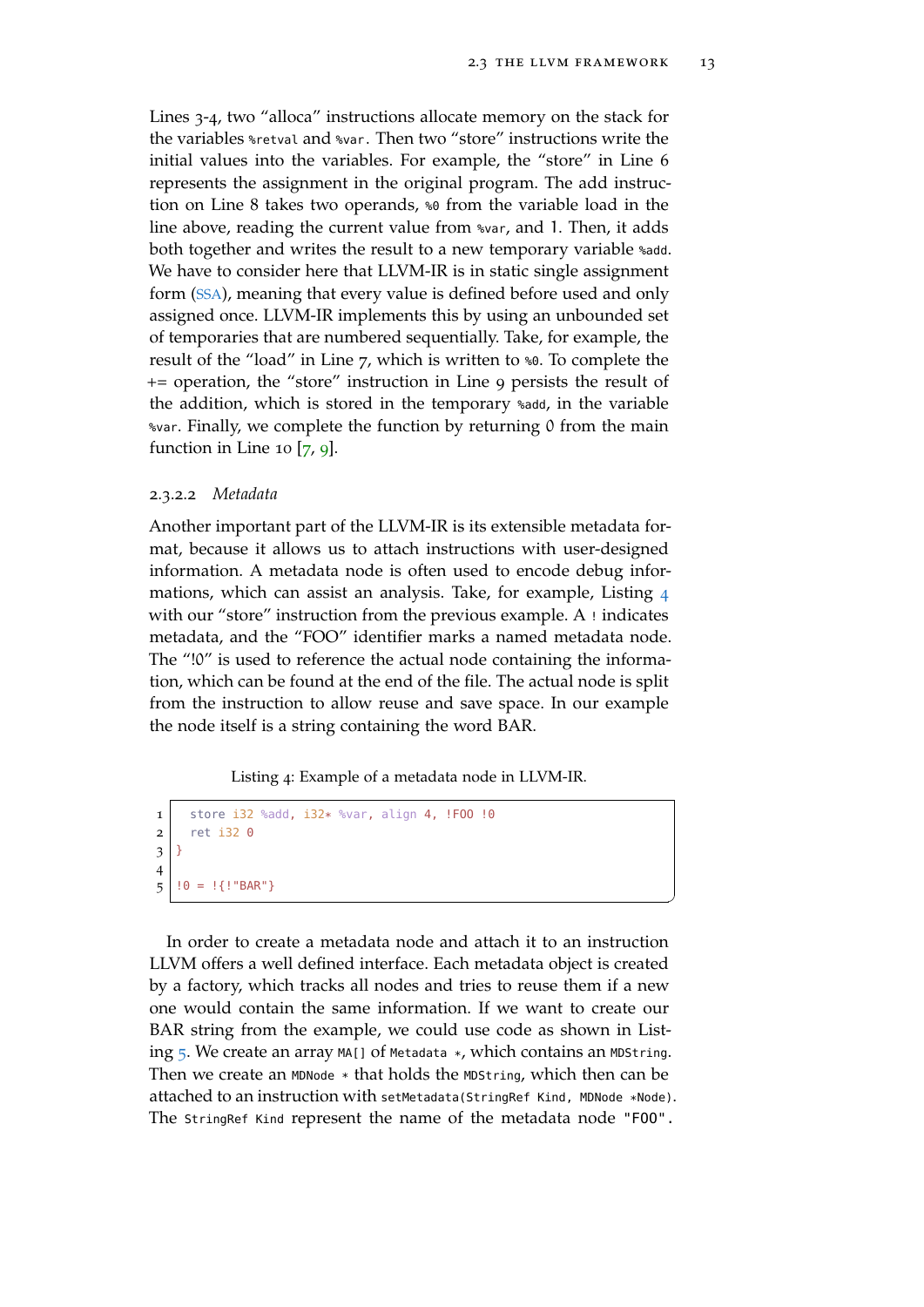$^{\prime}$ 

Lines 3-4, two "alloca" instructions allocate memory on the stack for the variables %retval and %var. Then two "store" instructions write the initial values into the variables. For example, the "store" in Line 6 represents the assignment in the original program. The add instruction on Line 8 takes two operands, %0 from the variable load in the line above, reading the current value from %var, and 1. Then, it adds both together and writes the result to a new temporary variable %add. We have to consider here that LLVM-IR is in static single assignment form ([SSA](#page-11-5)), meaning that every value is defined before used and only assigned once. LLVM-IR implements this by using an unbounded set of temporaries that are numbered sequentially. Take, for example, the result of the "load" in Line 7, which is written to %0. To complete the += operation, the "store" instruction in Line 9 persists the result of the addition, which is stored in the temporary %add, in the variable %var. Finally, we complete the function by returning 0 from the main function in Line 10  $[7, 9]$  $[7, 9]$  $[7, 9]$  $[7, 9]$  $[7, 9]$ .

#### 2.3.2.2 *Metadata*

Another important part of the LLVM-IR is its extensible metadata format, because it allows us to attach instructions with user-designed information. A metadata node is often used to encode debug informations, which can assist an analysis. Take, for example, Listing [4](#page-24-0) with our "store" instruction from the previous example. A ! indicates metadata, and the "FOO" identifier marks a named metadata node. The "!0" is used to reference the actual node containing the information, which can be found at the end of the file. The actual node is split from the instruction to allow reuse and save space. In our example the node itself is a string containing the word BAR.

Listing 4: Example of a metadata node in LLVM-IR.

```
1 store i32 %add, i32* %var, align 4, !FOO !0
2 ret i32 0
3 }
4
5 | !0 = 1 {! "BAR"}
```
In order to create a metadata node and attach it to an instruction LLVM offers a well defined interface. Each metadata object is created by a factory, which tracks all nodes and tries to reuse them if a new one would contain the same information. If we want to create our BAR string from the example, we could use code as shown in Listing  $\overline{5}$  $\overline{5}$  $\overline{5}$ . We create an array MA[] of Metadata \*, which contains an MDString. Then we create an MDNode  $*$  that holds the MDString, which then can be attached to an instruction with setMetadata(StringRef Kind, MDNode \*Node). The StringRef Kind represent the name of the metadata node "FOO".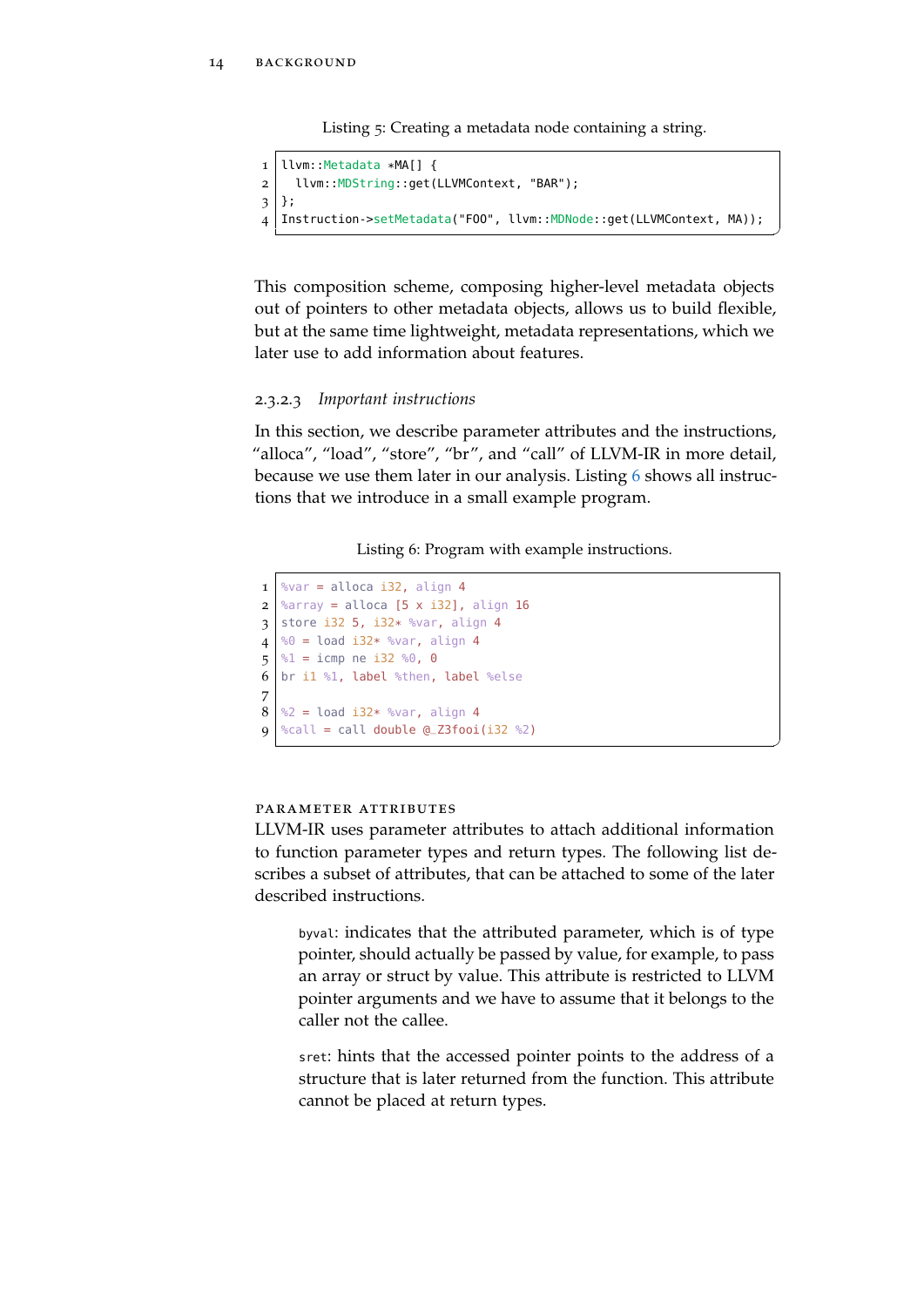Listing 5: Creating a metadata node containing a string.

```
1 llvm::Metadata *MA[] {
2 llvm::MDString::get(LLVMContext, "BAR");
3 };
4 Instruction->setMetadata("FOO", llvm::MDNode::get(LLVMContext, MA));
```
✆

✆

This composition scheme, composing higher-level metadata objects out of pointers to other metadata objects, allows us to build flexible, but at the same time lightweight, metadata representations, which we later use to add information about features.

#### 2.3.2.3 *Important instructions*

In this section, we describe parameter attributes and the instructions, "alloca", "load", "store", "br", and "call" of LLVM-IR in more detail, because we use them later in our analysis. Listing [6](#page-25-1) shows all instructions that we introduce in a small example program.

Listing 6: Program with example instructions.

```
1 \text{ %var} = \text{alloca i32, align 4}2 \text{~} %array = alloca [5 x i32], align 16
3 store i32 5, i32* %var, align 4
4 \mid %0 = load i32* %var, align 45 \times 1 = icmp ne i32 %0, 0
6 br i1 %1, label %then, label %else
7
8 \text{ } %2 = load i32* %var, align 4
9 \timescall = call double Q_Z3fooi(i32 %2)
```
#### parameter attributes

LLVM-IR uses parameter attributes to attach additional information to function parameter types and return types. The following list describes a subset of attributes, that can be attached to some of the later described instructions.

byval: indicates that the attributed parameter, which is of type pointer, should actually be passed by value, for example, to pass an array or struct by value. This attribute is restricted to LLVM pointer arguments and we have to assume that it belongs to the caller not the callee.

sret: hints that the accessed pointer points to the address of a structure that is later returned from the function. This attribute cannot be placed at return types.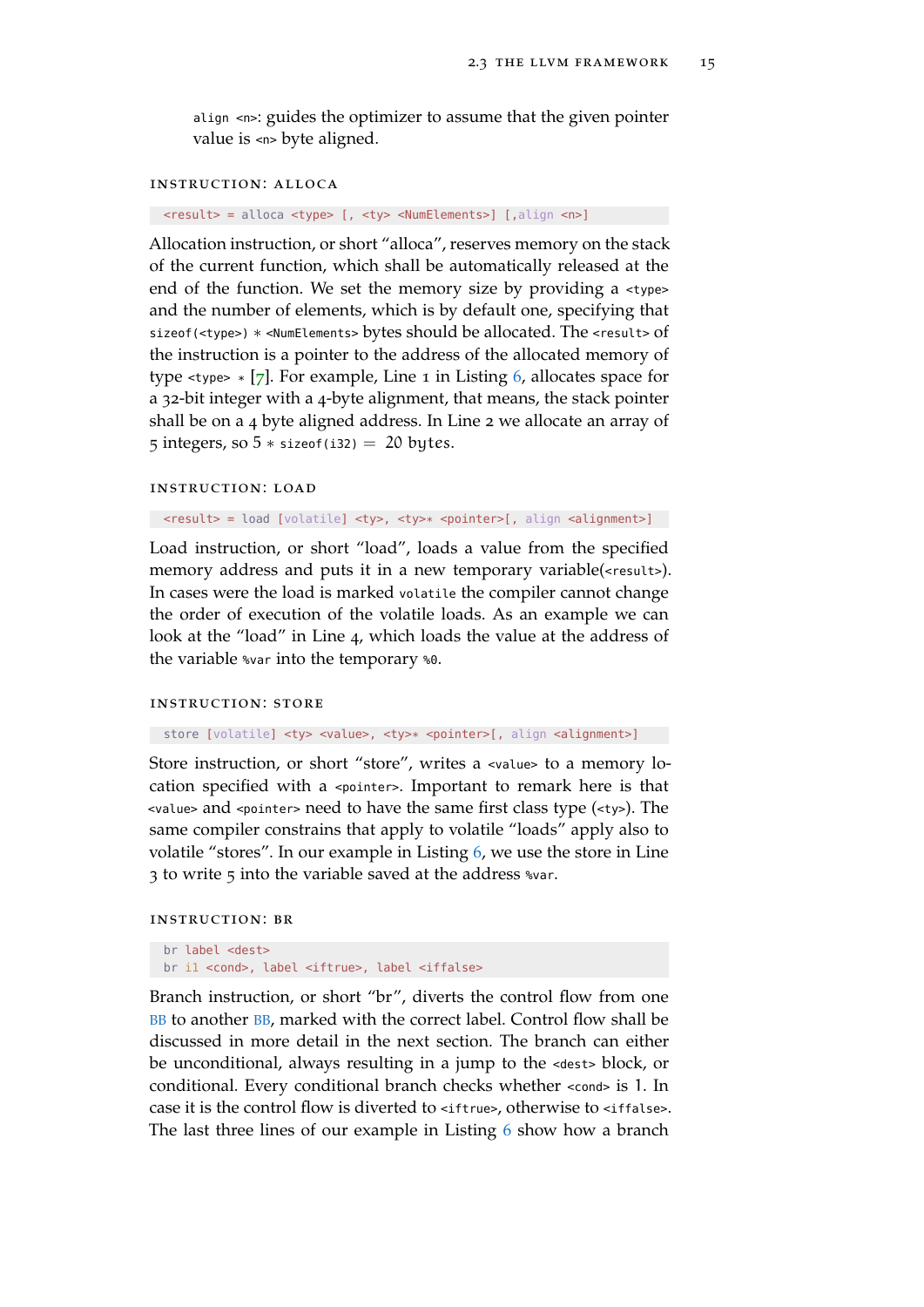align <n>: guides the optimizer to assume that the given pointer value is <n> byte aligned.

#### instruction: alloca

<result> = alloca <type> [, <ty> <NumElements>] [,align <n>]

Allocation instruction, or short "alloca", reserves memory on the stack of the current function, which shall be automatically released at the end of the function. We set the memory size by providing a <type> and the number of elements, which is by default one, specifying that sizeof(<type>) \* <NumElements> bytes should be allocated. The <result> of the instruction is a pointer to the address of the allocated memory of type  $\langle$  type>  $*$  [[7](#page-66-10)]. For example, Line 1 in Listing [6](#page-25-1), allocates space for a 32-bit integer with a 4-byte alignment, that means, the stack pointer shall be on a 4 byte aligned address. In Line 2 we allocate an array of 5 integers, so  $5 *$  sizeof(i32) = 20 bytes.

#### instruction: load

<result> = load [volatile] <ty>, <ty>\* <pointer>[, align <alignment>]

Load instruction, or short "load", loads a value from the specified memory address and puts it in a new temporary variable(<result>). In cases were the load is marked volatile the compiler cannot change the order of execution of the volatile loads. As an example we can look at the "load" in Line 4, which loads the value at the address of the variable %var into the temporary %0.

#### instruction: store

store [volatile] <ty> <value>, <ty>\* <pointer>[, align <alignment>]

Store instruction, or short "store", writes a <value> to a memory location specified with a <pointer>. Important to remark here is that <value> and <pointer> need to have the same first class type (<ty>). The same compiler constrains that apply to volatile "loads" apply also to volatile "stores". In our example in Listing [6](#page-25-1), we use the store in Line 3 to write 5 into the variable saved at the address %var.

#### instruction: br

br label <dest> br i1 <cond>, label <iftrue>, label <iffalse>

Branch instruction, or short "br", diverts the control flow from one [BB](#page-11-4) to another [BB](#page-11-4), marked with the correct label. Control flow shall be discussed in more detail in the next section. The branch can either be unconditional, always resulting in a jump to the <dest> block, or conditional. Every conditional branch checks whether <cond> is 1. In case it is the control flow is diverted to <iffulne>, otherwise to <iffalse>. The last three lines of our example in Listing [6](#page-25-1) show how a branch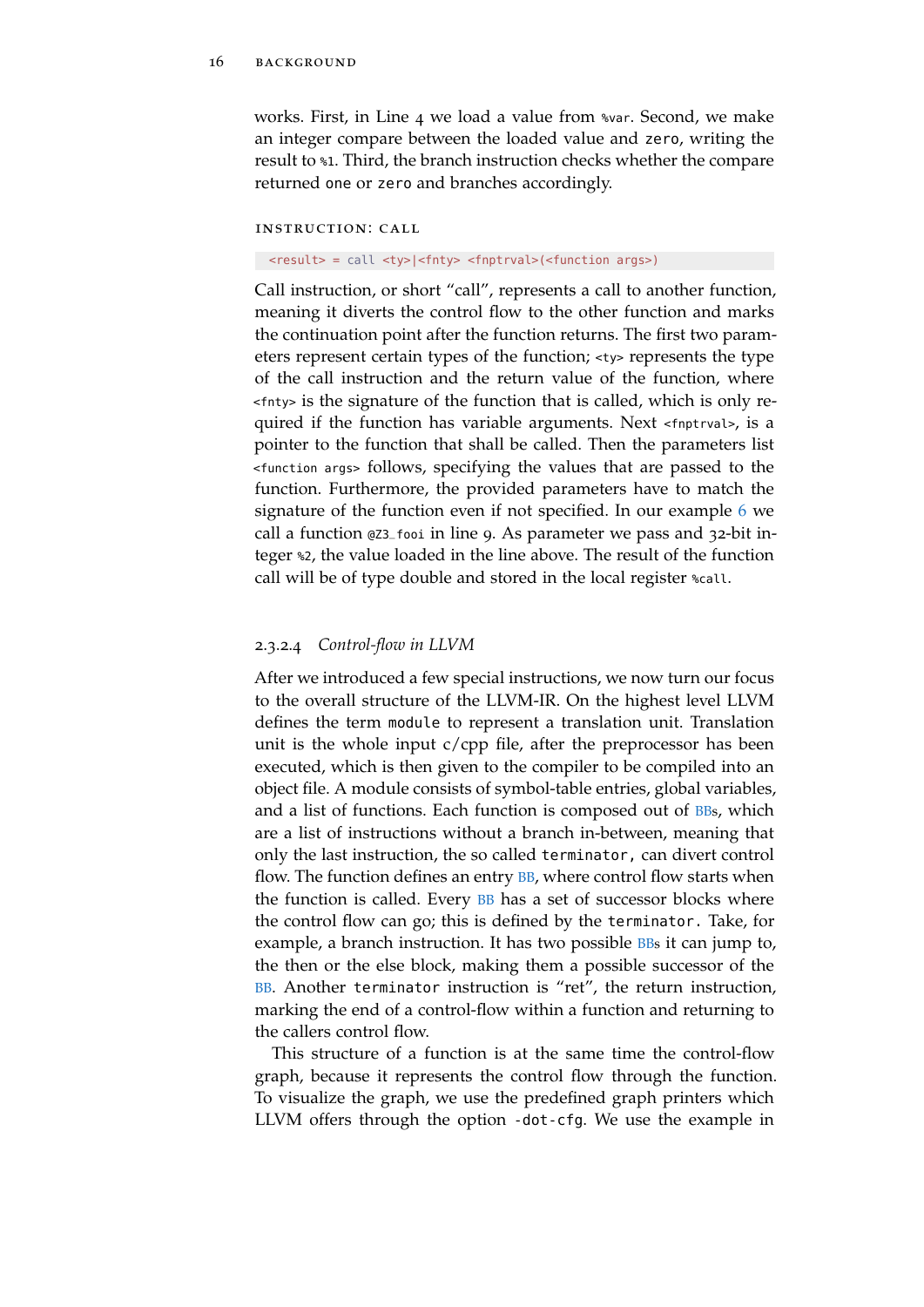works. First, in Line 4 we load a value from %var. Second, we make an integer compare between the loaded value and zero, writing the result to %1. Third, the branch instruction checks whether the compare returned one or zero and branches accordingly.

# instruction: call

<result> = call <ty>|<fnty> <fnptrval>(<function args>)

Call instruction, or short "call", represents a call to another function, meaning it diverts the control flow to the other function and marks the continuation point after the function returns. The first two parameters represent certain types of the function; <ty> represents the type of the call instruction and the return value of the function, where <fnty> is the signature of the function that is called, which is only required if the function has variable arguments. Next <fnptrval>, is a pointer to the function that shall be called. Then the parameters list <function args> follows, specifying the values that are passed to the function. Furthermore, the provided parameters have to match the signature of the function even if not specified. In our example [6](#page-25-1) we call a function @Z3\_fooi in line 9. As parameter we pass and 32-bit integer %2, the value loaded in the line above. The result of the function call will be of type double and stored in the local register %call.

#### 2.3.2.4 *Control-flow in LLVM*

After we introduced a few special instructions, we now turn our focus to the overall structure of the LLVM-IR. On the highest level LLVM defines the term module to represent a translation unit. Translation unit is the whole input c/cpp file, after the preprocessor has been executed, which is then given to the compiler to be compiled into an object file. A module consists of symbol-table entries, global variables, and a list of functions. Each function is composed out of [BBs](#page-11-4), which are a list of instructions without a branch in-between, meaning that only the last instruction, the so called terminator, can divert control flow. The function defines an entry **[BB](#page-11-4)**, where control flow starts when the function is called. Every [BB](#page-11-4) has a set of successor blocks where the control flow can go; this is defined by the terminator. Take, for example, a branch instruction. It has two possible [BBs](#page-11-4) it can jump to, the then or the else block, making them a possible successor of the [BB](#page-11-4). Another terminator instruction is "ret", the return instruction, marking the end of a control-flow within a function and returning to the callers control flow.

This structure of a function is at the same time the control-flow graph, because it represents the control flow through the function. To visualize the graph, we use the predefined graph printers which LLVM offers through the option -dot-cfg. We use the example in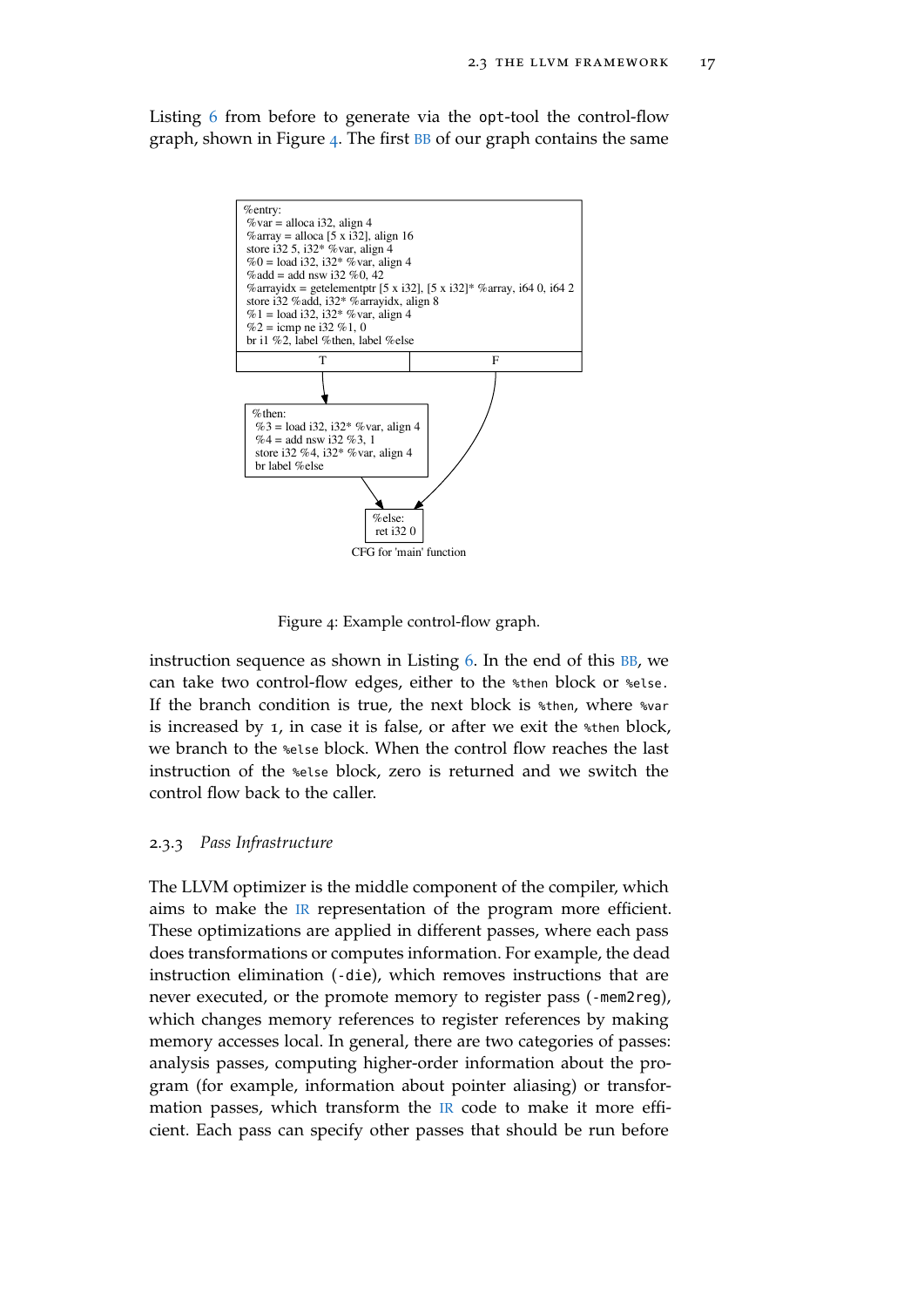<span id="page-28-1"></span>Listing [6](#page-25-1) from before to generate via the opt-tool the control-flow graph, shown in Figure [4](#page-28-1). The first  $BB$  of our graph contains the same



Figure 4: Example control-flow graph.

instruction sequence as shown in Listing  $6$ . In the end of this  $BB$ , we can take two control-flow edges, either to the %then block or %else. If the branch condition is true, the next block is \*then, where \*var is increased by 1, in case it is false, or after we exit the %then block, we branch to the %else block. When the control flow reaches the last instruction of the %else block, zero is returned and we switch the control flow back to the caller.

#### <span id="page-28-0"></span>2.3.3 *Pass Infrastructure*

The LLVM optimizer is the middle component of the compiler, which aims to make the [IR](#page-11-3) representation of the program more efficient. These optimizations are applied in different passes, where each pass does transformations or computes information. For example, the dead instruction elimination (-die), which removes instructions that are never executed, or the promote memory to register pass (-mem2reg), which changes memory references to register references by making memory accesses local. In general, there are two categories of passes: analysis passes, computing higher-order information about the program (for example, information about pointer aliasing) or transformation passes, which transform the  $\mathbb R$  code to make it more efficient. Each pass can specify other passes that should be run before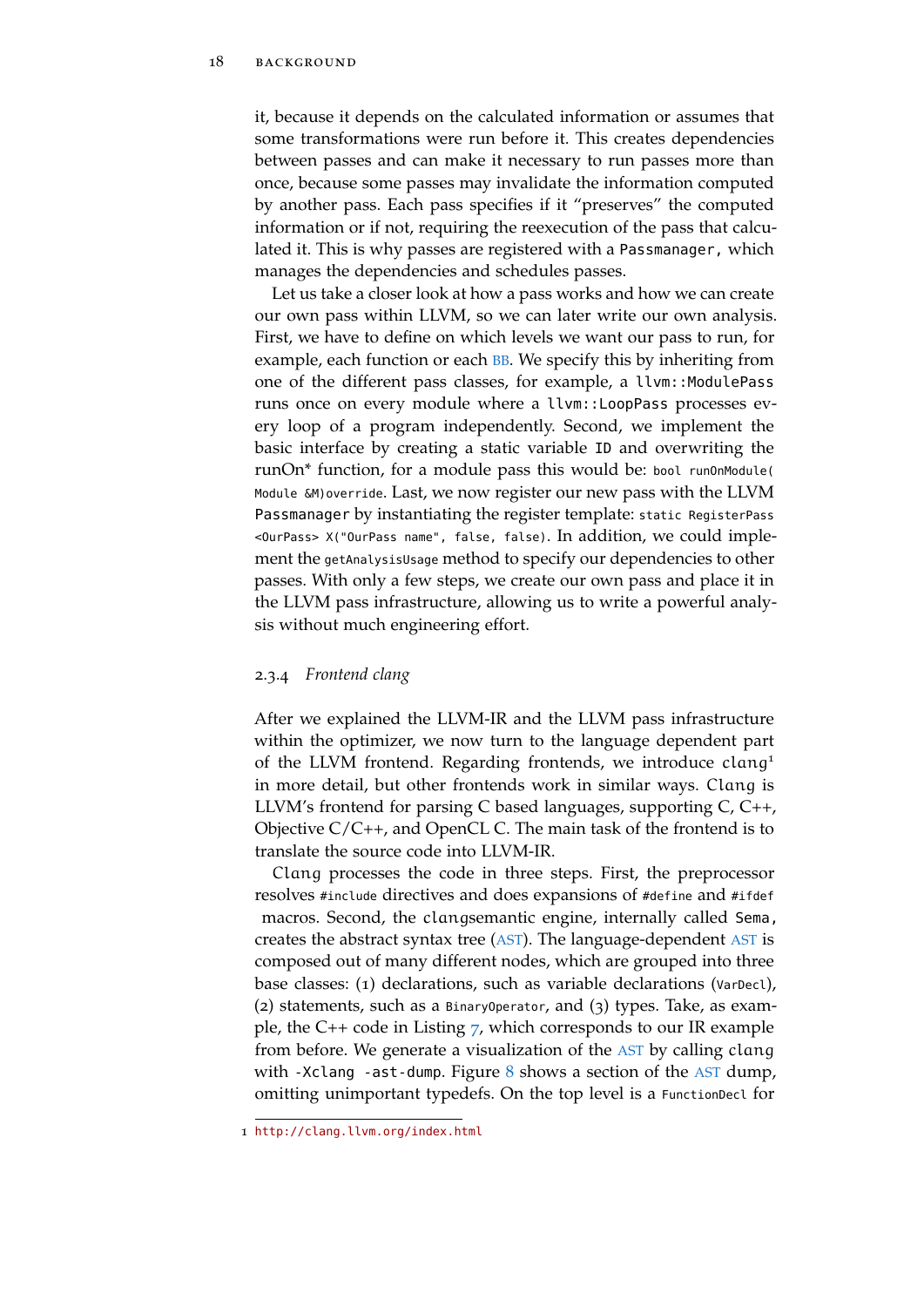it, because it depends on the calculated information or assumes that some transformations were run before it. This creates dependencies between passes and can make it necessary to run passes more than once, because some passes may invalidate the information computed by another pass. Each pass specifies if it "preserves" the computed information or if not, requiring the reexecution of the pass that calculated it. This is why passes are registered with a Passmanager, which manages the dependencies and schedules passes.

Let us take a closer look at how a pass works and how we can create our own pass within LLVM, so we can later write our own analysis. First, we have to define on which levels we want our pass to run, for example, each function or each **[BB](#page-11-4)**. We specify this by inheriting from one of the different pass classes, for example, a llvm::ModulePass runs once on every module where a llvm::LoopPass processes every loop of a program independently. Second, we implement the basic interface by creating a static variable ID and overwriting the runOn<sup>\*</sup> function, for a module pass this would be: bool run0nModule( Module &M)override. Last, we now register our new pass with the LLVM Passmanager by instantiating the register template: static RegisterPass <OurPass> X("OurPass name", false, false). In addition, we could implement the getAnalysisUsage method to specify our dependencies to other passes. With only a few steps, we create our own pass and place it in the LLVM pass infrastructure, allowing us to write a powerful analysis without much engineering effort.

# <span id="page-29-0"></span>2.3.4 *Frontend clang*

After we explained the LLVM-IR and the LLVM pass infrastructure within the optimizer, we now turn to the language dependent part of the LLVM frontend. Regarding frontends, we introduce clang<sup>1</sup> in more detail, but other frontends work in similar ways. Clang is LLVM's frontend for parsing C based languages, supporting C, C++, Objective C/C++, and OpenCL C. The main task of the frontend is to translate the source code into LLVM-IR.

Clang processes the code in three steps. First, the preprocessor resolves #include directives and does expansions of #define and #ifdef macros. Second, the clangsemantic engine, internally called Sema, creates the abstract syntax tree ([AST](#page-11-2)). The language-dependent [AST](#page-11-2) is composed out of many different nodes, which are grouped into three base classes: (1) declarations, such as variable declarations (VarDecl), (2) statements, such as a BinaryOperator, and (3) types. Take, as example, the C++ code in Listing [7](#page-30-0), which corresponds to our IR example from before. We generate a visualization of the [AST](#page-11-2) by calling clang with -Xclang -ast-dump. Figure  $8$  shows a section of the [AST](#page-11-2) dump, omitting unimportant typedefs. On the top level is a FunctionDecl for

<sup>1</sup> <http://clang.llvm.org/index.html>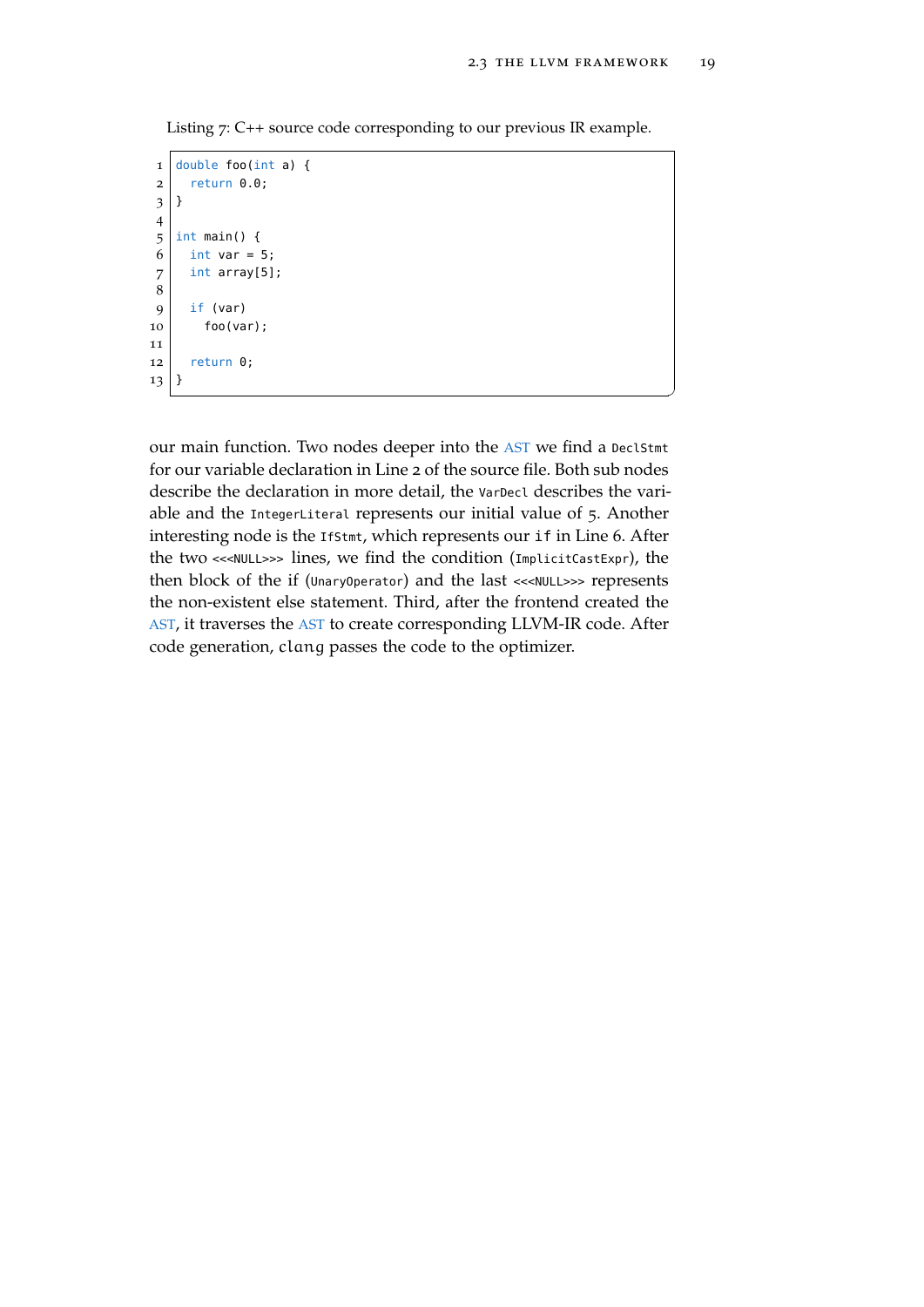$^{\prime}$ 

<span id="page-30-0"></span>Listing 7: C++ source code corresponding to our previous IR example.

```
1 double foo(int a) {
2 return 0.0;
3 }
4
5 \int \text{int } \text{main}()6 int var = 5;
7 int array[5];
8
9 if (var)
10 foo(var);
11
12 return 0;13}
```
our main function. Two nodes deeper into the [AST](#page-11-2) we find a DeclStmt for our variable declaration in Line 2 of the source file. Both sub nodes describe the declaration in more detail, the VarDecl describes the variable and the IntegerLiteral represents our initial value of 5. Another interesting node is the IfStmt, which represents our if in Line 6. After the two <<<NULL>>> lines, we find the condition (ImplicitCastExpr), the then block of the if (UnaryOperator) and the last <<<NULL>>> represents the non-existent else statement. Third, after the frontend created the [AST](#page-11-2), it traverses the [AST](#page-11-2) to create corresponding LLVM-IR code. After code generation, clang passes the code to the optimizer.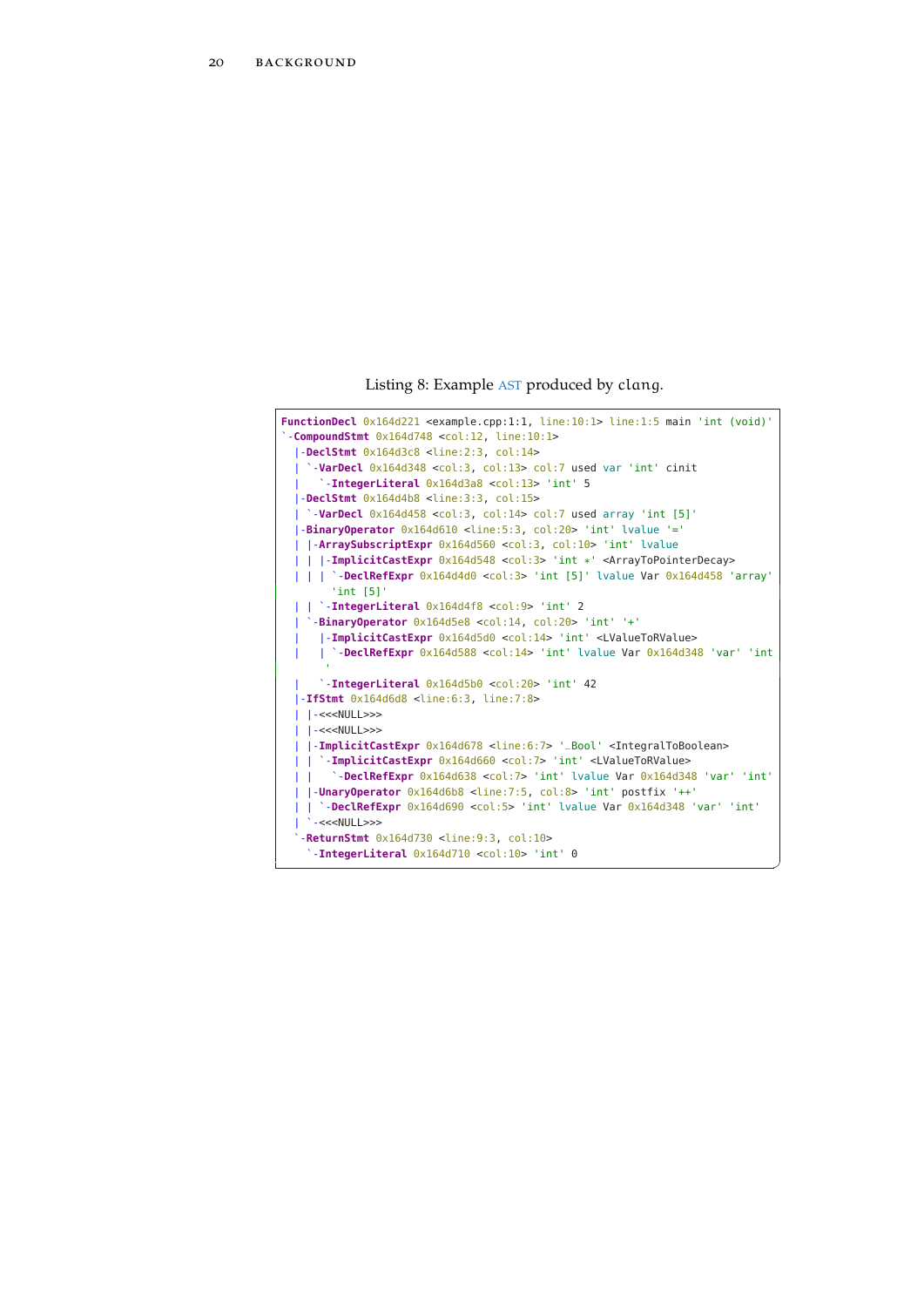Listing 8: Example [AST](#page-11-2) produced by clang.

<span id="page-31-0"></span>

| <b>FunctionDecl</b> $0x164d221$ <example.cpp:1:1, <math="">line:10:1&gt; line:1:5 main 'int (void)'</example.cpp:1:1,> |
|------------------------------------------------------------------------------------------------------------------------|
| $-{\rm CompoundStm}t$ 0x164d748 <col:12, line:10:1=""></col:12,>                                                       |
| $\textsf{I}-\texttt{DeclStmt}$ $0x164d3c8$ <line:2:3, col:14=""></line:2:3,>                                           |
| '-VarDecl 0x164d348 <col:3, col:13=""> col:7 used var 'int' cinit</col:3,>                                             |
| '-IntegerLiteral 0x164d3a8 <col:13> 'int' 5</col:13>                                                                   |
| $-$ DeclStmt $0x164d4b8$ <line:3:3, col:15=""></line:3:3,>                                                             |
| $\degree$ -VarDecl $0 \times 164d458$ <col:3, col:14=""> col:7 used array 'int [5]'</col:3,>                           |
| $\vert$ -BinaryOperator $0 \times 164d610$ <line:5:3, col:20=""> 'int' lvalue '='</line:5:3,>                          |
| -ArraySubscriptExpr 0x164d560 <col:3, col:10=""> 'int' lvalue</col:3,>                                                 |
| -ImplicitCastExpr 0x164d548 <col:3> 'int *' <arraytopointerdecay></arraytopointerdecay></col:3>                        |
| `- <b>DeclRefExpr</b> $0x164d4d0$ <col:3> 'int [5]' lvalue Var <math>0x164d458</math> 'array'</col:3>                  |
| $'$ int [5] $'$                                                                                                        |
| $\vert$ $\vert$ -IntegerLiteral $0 \times 164d4f8$ <col:9> 'int' 2</col:9>                                             |
| $\degree$ -BinaryOperator $0 \times 164$ d5e8 <col:14, col:20=""> 'int' '+'</col:14,>                                  |
| -ImplicitCastExpr 0x164d5d0 <col:14> 'int' <lvaluetorvalue></lvaluetorvalue></col:14>                                  |
| `-DeclRefExpr 0x164d588 <col:14> 'int' lyalue Var 0x164d348 'var' 'int</col:14>                                        |
|                                                                                                                        |
| '-IntegerLiteral 0x164d5b0 <col:20> 'int' 42</col:20>                                                                  |
| $-$ IfStmt $0x164d6d8$ <line:6:3, line:7:8=""></line:6:3,>                                                             |
| $\left  - \right  < \left  \right $                                                                                    |
| $\left  - \right  < \left  \right $                                                                                    |
| -ImplicitCastExpr 0x164d678 <line:6:7> '_Bool' <integraltoboolean></integraltoboolean></line:6:7>                      |
| `-ImplicitCastExpr 0x164d660 <col:7> 'int' <lvaluetorvalue></lvaluetorvalue></col:7>                                   |
| '-DeclRefExpr 0x164d638 <col:7> 'int' lvalue Var 0x164d348 'var' 'int'</col:7>                                         |
| $\vert$ -UnaryOperator $0 \times 164d6b8$ <line:7:5, col:8=""> 'int' postfix '++'</line:7:5,>                          |
| -DeclRefExpr 0x164d690 <col:5> 'int' lyalue Var 0x164d348 'var' 'int'</col:5>                                          |
| $\cdot$ -<< <null>&gt;&gt;</null>                                                                                      |
| -ReturnStmt $0x164d730$ <line:9:3, <math="">col:10&gt;</line:9:3,>                                                     |
| $\texttt{`-Integer Literal}$ $0x164d710$ <col:10> 'int' 0</col:10>                                                     |
|                                                                                                                        |

✆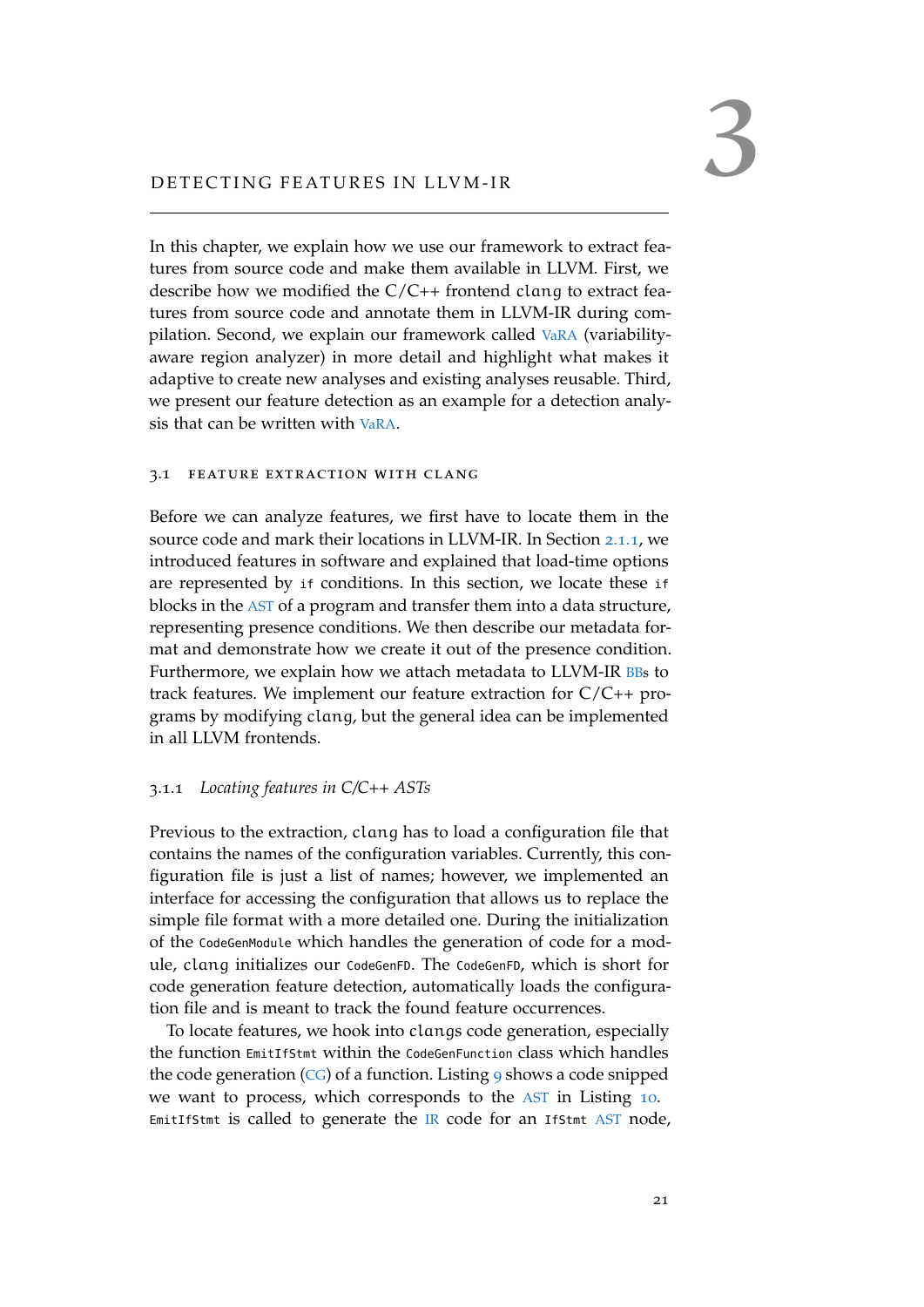<span id="page-32-0"></span>In this chapter, we explain how we use our framework to extract features from source code and make them available in LLVM. First, we describe how we modified the  $C/C++$  frontend clang to extract features from source code and annotate them in LLVM-IR during compilation. Second, we explain our framework called [VaRA](#page-11-0) (variabilityaware region analyzer) in more detail and highlight what makes it adaptive to create new analyses and existing analyses reusable. Third, we present our feature detection as an example for a detection analysis that can be written with [VaRA](#page-11-0).

#### <span id="page-32-1"></span>3.1 feature extraction with clang

Before we can analyze features, we first have to locate them in the source code and mark their locations in LLVM-IR. In Section [2](#page-14-2).1.1, we introduced features in software and explained that load-time options are represented by if conditions. In this section, we locate these if blocks in the [AST](#page-11-2) of a program and transfer them into a data structure, representing presence conditions. We then describe our metadata format and demonstrate how we create it out of the presence condition. Furthermore, we explain how we attach metadata to LLVM-IR [BBs](#page-11-4) to track features. We implement our feature extraction for C/C++ programs by modifying clang, but the general idea can be implemented in all LLVM frontends.

# <span id="page-32-2"></span>3.1.1 *Locating features in C/C++ ASTs*

Previous to the extraction, clang has to load a configuration file that contains the names of the configuration variables. Currently, this configuration file is just a list of names; however, we implemented an interface for accessing the configuration that allows us to replace the simple file format with a more detailed one. During the initialization of the CodeGenModule which handles the generation of code for a module, clang initializes our CodeGenFD. The CodeGenFD, which is short for code generation feature detection, automatically loads the configuration file and is meant to track the found feature occurrences.

To locate features, we hook into clangs code generation, especially the function EmitIfStmt within the CodeGenFunction class which handles the code generation  $(CG)$  $(CG)$  $(CG)$  of a function. Listing [9](#page-33-0) shows a code snipped we want to process, which corresponds to the [AST](#page-11-2) in Listing [10](#page-33-1). EmitIfStmt is called to generate the  $IR$  code for an IfStmt  $AST$  node,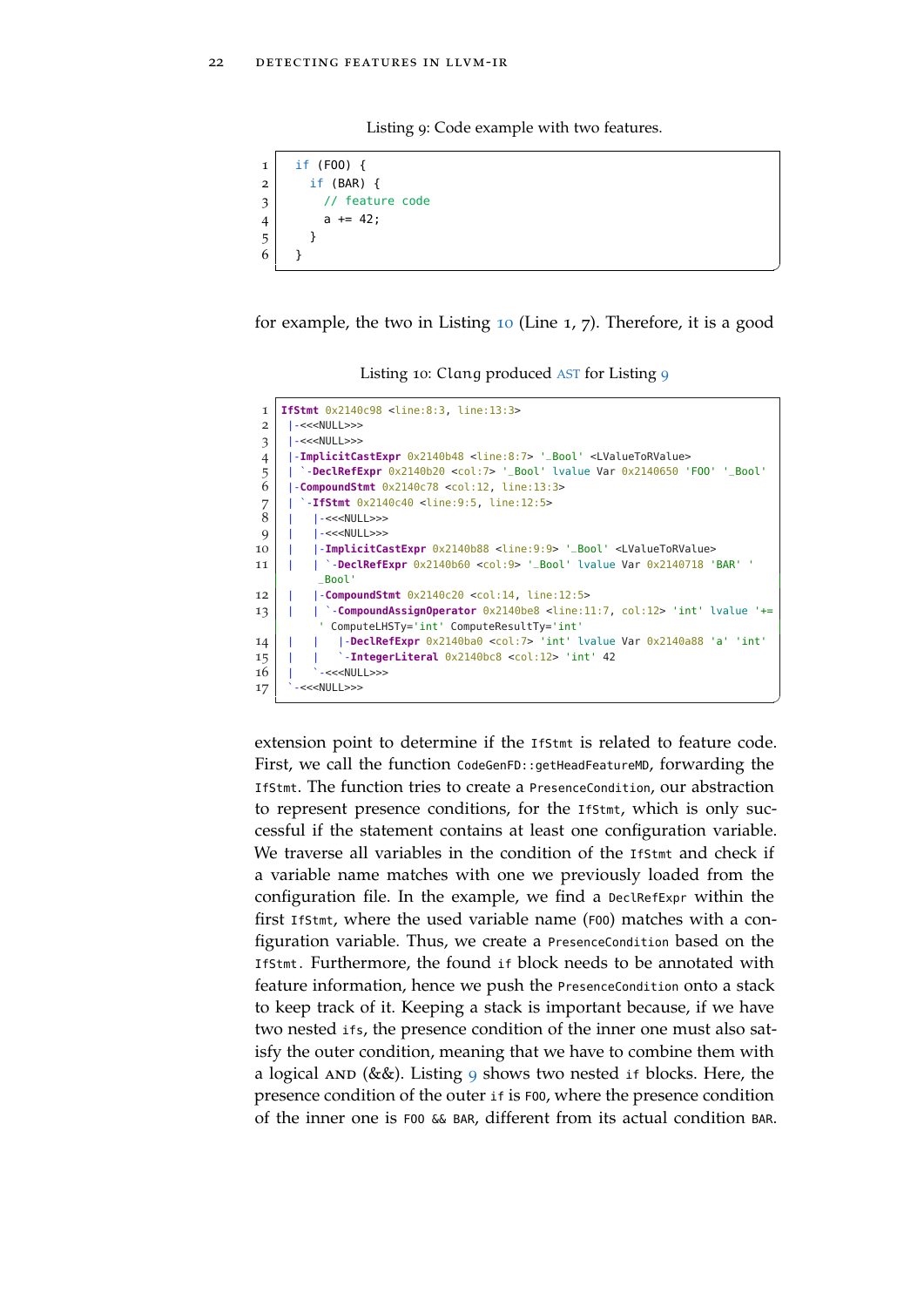Listing 9: Code example with two features.

```
1 if (F00) {
2 \mid \text{if (BAR)} \in3 // feature code
4 | a += 42;5 }
6 }
```
for example, the two in Listing [10](#page-33-1) (Line 1, 7). Therefore, it is a good

 $^{\prime}$ 

✆

Listing 10: Clang produced [AST](#page-11-2) for Listing [9](#page-33-0)

<span id="page-33-1"></span>

| $\mathbf{I}$   | <b>IfStmt</b> 0x2140c98 <line:8:3, line:13:3=""></line:8:3,>                                                               |
|----------------|----------------------------------------------------------------------------------------------------------------------------|
| 2              | $-<>>$                                                                                                                     |
| 3              | $-<>>$                                                                                                                     |
| $\overline{4}$ | -ImplicitCastExpr 0x2140b48 <line:8:7> '_Bool' <lvaluetorvalue></lvaluetorvalue></line:8:7>                                |
| 5              | -DeclRefExpr $0 \times 2140b20$ <col:7> '_Bool' lvalue Var <math>0 \times 2140650</math> 'FOO' '_Bool'</col:7>             |
| 6              | $-{\rm Compounds}$ ${\rm tr}$ $0 \times 2140 \text{c}$ $78$ $\text{ccol}:12$ , line:13:3>                                  |
| 7              | $-IfStmt$ $0x2140c40$ <line:9:5, line:12:5=""></line:9:5,>                                                                 |
| 8              | $\left  - <<\right $ NULL>>>                                                                                               |
| $\mathbf Q$    | -<< <null>&gt;&gt;</null>                                                                                                  |
| 10             | -ImplicitCastExpr 0x2140b88 <line:9:9> '_Bool' <lvaluetorvalue></lvaluetorvalue></line:9:9>                                |
| 11             | $\degree$ - <b>DeclRefExpr</b> $0 \times 2140b60$ <col:9> '_Bool' lvalue Var <math>0 \times 2140718</math> 'BAR' '</col:9> |
|                | Bool'                                                                                                                      |
| 12             | $\sim$ CompoundStmt $0x2140c20$ <col:14, line:12:5=""></col:14,>                                                           |
| 13             | `-CompoundAssignOperator 0x2140be8 <line:11:7, col:12=""> 'int' lvalue '+=</line:11:7,>                                    |
|                | ComputeLHSTy='int' ComputeResultTy='int'                                                                                   |
| 14             | -DeclRefExpr 0x2140ba0 <col:7> 'int' lvalue Var 0x2140a88 'a' 'int'</col:7>                                                |
| 15             | $-$ <b>IntegerLiteral</b> $0x2140bc8 <$ col: $12$ > 'int' 42                                                               |
| 16             | $-<>>$                                                                                                                     |
| 17             | $-<>>$                                                                                                                     |

extension point to determine if the IfStmt is related to feature code. First, we call the function CodeGenFD::getHeadFeatureMD, forwarding the IfStmt. The function tries to create a PresenceCondition, our abstraction to represent presence conditions, for the IfStmt, which is only successful if the statement contains at least one configuration variable. We traverse all variables in the condition of the Ifstmt and check if a variable name matches with one we previously loaded from the configuration file. In the example, we find a DeclRefExpr within the first IfStmt, where the used variable name (FOO) matches with a configuration variable. Thus, we create a PresenceCondition based on the IfStmt. Furthermore, the found if block needs to be annotated with feature information, hence we push the PresenceCondition onto a stack to keep track of it. Keeping a stack is important because, if we have two nested ifs, the presence condition of the inner one must also satisfy the outer condition, meaning that we have to combine them with a logical AND (&&). Listing [9](#page-33-0) shows two nested if blocks. Here, the presence condition of the outer if is FOO, where the presence condition of the inner one is FOO && BAR, different from its actual condition BAR.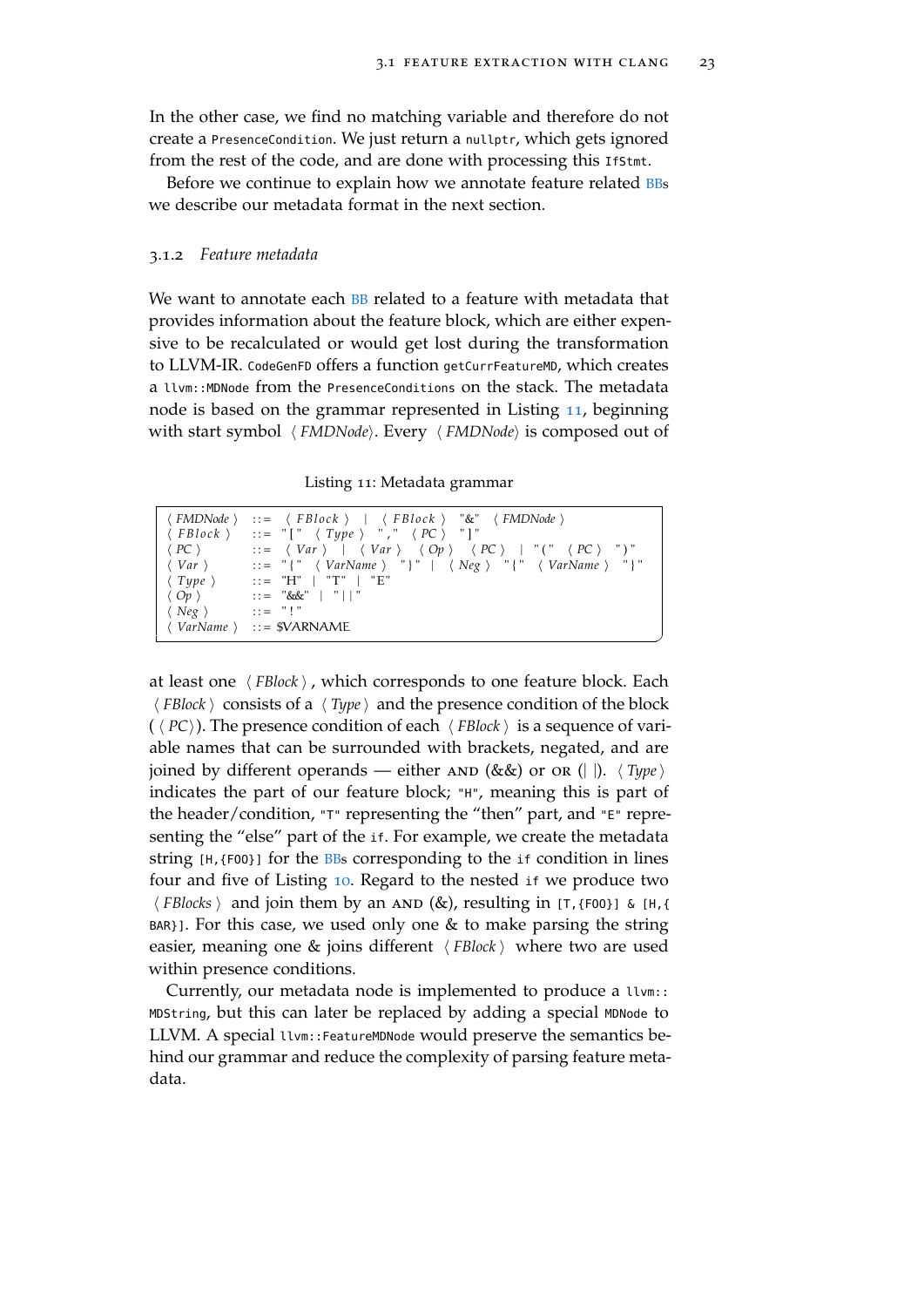$^{\prime}$ 

In the other case, we find no matching variable and therefore do not create a PresenceCondition. We just return a nullptr, which gets ignored from the rest of the code, and are done with processing this IfStmt.

<span id="page-34-0"></span>Before we continue to explain how we annotate feature related **[BBs](#page-11-4)** we describe our metadata format in the next section.

#### 3.1.2 *Feature metadata*

We want to annotate each **[BB](#page-11-4)** related to a feature with metadata that provides information about the feature block, which are either expensive to be recalculated or would get lost during the transformation to LLVM-IR. CodeGenFD offers a function getCurrFeatureMD, which creates a llvm::MDNode from the PresenceConditions on the stack. The metadata node is based on the grammar represented in Listing [11](#page-34-2), beginning with start symbol  $\langle FMDNode \rangle$ . Every  $\langle FMDNode \rangle$  is composed out of

Listing 11: Metadata grammar

<span id="page-34-2"></span>

|                                 | $\langle \text{FMDNode} \rangle$ ::= $\langle \text{FBlock} \rangle$   $\langle \text{FBlock} \rangle$ "&" $\langle \text{FMDNode} \rangle$        |
|---------------------------------|----------------------------------------------------------------------------------------------------------------------------------------------------|
|                                 | $\langle \text{ FBlock } \rangle$ ::= "[" $\langle \text{ Type } \rangle$ "," $\langle \text{ PC } \rangle$ "]"                                    |
|                                 | $\langle PC \rangle$ ::= $\langle Var \rangle$   $\langle Var \rangle$ $\langle Op \rangle$ $\langle PC \rangle$   " $(" \langle PC \rangle "")$ " |
|                                 | $\langle Var \rangle$ ::= "{" $\langle VarName \rangle$ "}"   $\langle Neg \rangle$ "{" $\langle VarName \rangle$ "}"                              |
|                                 | $\langle Type \rangle$ ::= "H"   "T"   "E"                                                                                                         |
|                                 | $\langle \n\begin{array}{ccc} Op \end{array} \rangle$ ::= "&&"   "  "                                                                              |
| $\langle$ Neg $\rangle$ ::= "!" |                                                                                                                                                    |
|                                 | $\langle VarName \rangle$ ::= \$VARNAME                                                                                                            |

at least one  $\langle \textit{FBlock} \rangle$ , which corresponds to one feature block. Each  $\langle$  *FBlock*  $\rangle$  consists of a  $\langle$  *Type* $\rangle$  and the presence condition of the block ( $\langle PC \rangle$ ). The presence condition of each  $\langle FBlock \rangle$  is a sequence of variable names that can be surrounded with brackets, negated, and are joined by different operands — either  $AND (\&\&)$  or  $OR (||)$ .  $\langle Type \rangle$ indicates the part of our feature block; "H", meaning this is part of the header/condition, "T" representing the "then" part, and "E" representing the "else" part of the if. For example, we create the metadata string [H,{FOO}] for the [BBs](#page-11-4) corresponding to the if condition in lines four and five of Listing [10](#page-33-1). Regard to the nested if we produce two  $\langle$  *FBlocks*  $\rangle$  and join them by an AND (&), resulting in [T, {F00}] & [H, { BAR}]. For this case, we used only one & to make parsing the string easier, meaning one  $\&$  joins different  $\langle \textit{FBlock} \rangle$  where two are used within presence conditions.

<span id="page-34-1"></span>Currently, our metadata node is implemented to produce a llvm:: MDString, but this can later be replaced by adding a special MDNode to LLVM. A special llvm::FeatureMDNode would preserve the semantics behind our grammar and reduce the complexity of parsing feature metadata.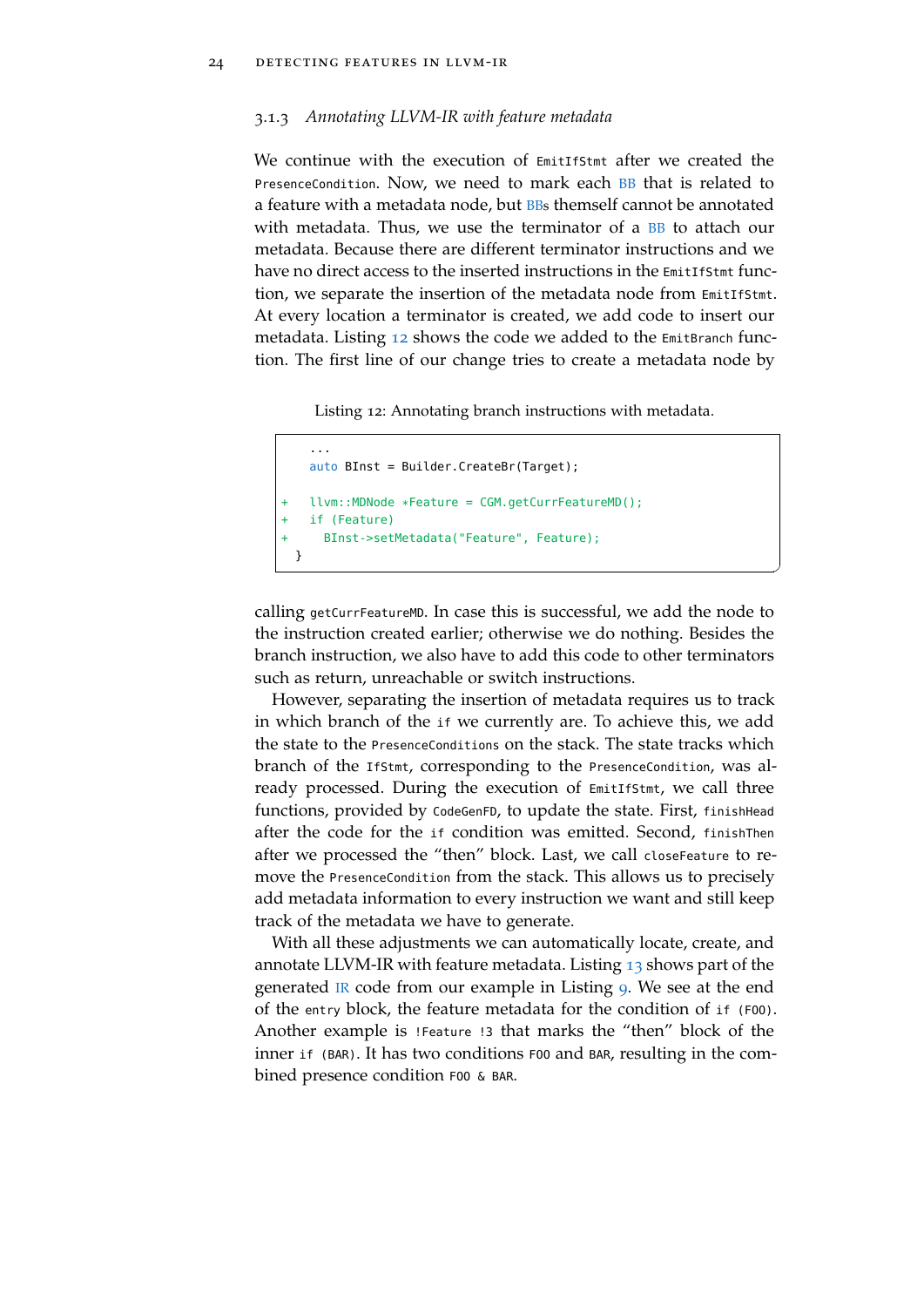# 3.1.3 *Annotating LLVM-IR with feature metadata*

We continue with the execution of EmitIfStmt after we created the PresenceCondition. Now, we need to mark each [BB](#page-11-4) that is related to a feature with a metadata node, but **[BBs](#page-11-4)** themself cannot be annotated with metadata. Thus, we use the terminator of a [BB](#page-11-4) to attach our metadata. Because there are different terminator instructions and we have no direct access to the inserted instructions in the EmitIfStmt function, we separate the insertion of the metadata node from EmitIfStmt. At every location a terminator is created, we add code to insert our metadata. Listing [12](#page-35-0) shows the code we added to the EmitBranch function. The first line of our change tries to create a metadata node by

Listing 12: Annotating branch instructions with metadata.

```
...
  auto BInst = Builder.CreateBr(Target);
  + llvm::MDNode *Feature = CGM.getCurrFeatureMD();
 if (Feature)
    BInst->setMetadata("Feature", Feature);
}
```
calling getCurrFeatureMD. In case this is successful, we add the node to the instruction created earlier; otherwise we do nothing. Besides the branch instruction, we also have to add this code to other terminators such as return, unreachable or switch instructions.

✆

However, separating the insertion of metadata requires us to track in which branch of the if we currently are. To achieve this, we add the state to the PresenceConditions on the stack. The state tracks which branch of the IfStmt, corresponding to the PresenceCondition, was already processed. During the execution of EmitIfStmt, we call three functions, provided by CodeGenFD, to update the state. First, finishHead after the code for the if condition was emitted. Second, finishThen after we processed the "then" block. Last, we call closeFeature to remove the PresenceCondition from the stack. This allows us to precisely add metadata information to every instruction we want and still keep track of the metadata we have to generate.

With all these adjustments we can automatically locate, create, and annotate LLVM-IR with feature metadata. Listing [13](#page-36-0) shows part of the generated [IR](#page-11-3) code from our example in Listing [9](#page-33-0). We see at the end of the entry block, the feature metadata for the condition of if (FOO). Another example is !Feature !3 that marks the "then" block of the inner if (BAR). It has two conditions FOO and BAR, resulting in the combined presence condition F00 & BAR.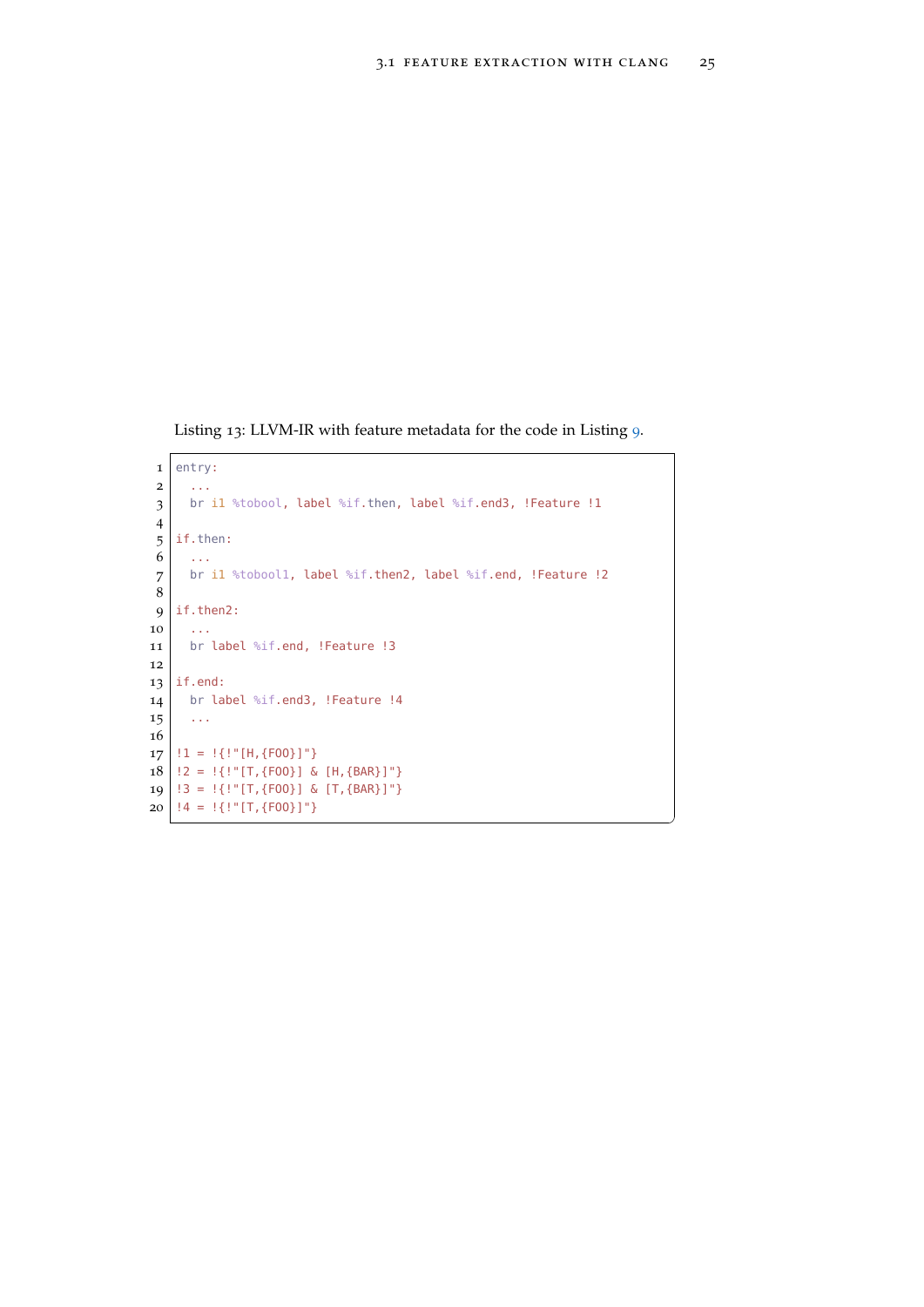$^{\prime}$ 

<span id="page-36-0"></span>Listing 13: LLVM-IR with feature metadata for the code in Listing [9](#page-33-0).

```
1 entry:
2 ...
3 \mid br il %tobool, label %if.then, label %if.end3, !Feature !1
4
5 if.then:
6 ...
7 br i1 %tobool1, label %if.then2, label %if.end, !Feature !2
8
9 | if.then2:
10 ...
11 br label %if.end, !Feature !3
12
13 if.end:
14 br label %if.end3, !Feature !4
15 ...
16
17 | !1 = !{!"[H,{F00}]"}
18 | !2 = !{!"[T,{F00}] & [H,{BAR}]"}
19 | !3 = !\{!"[T,\{F00\}] & [T,\{BAR\}]"}
20 | !4 = !\{!"[T,\{F00\}]"}
```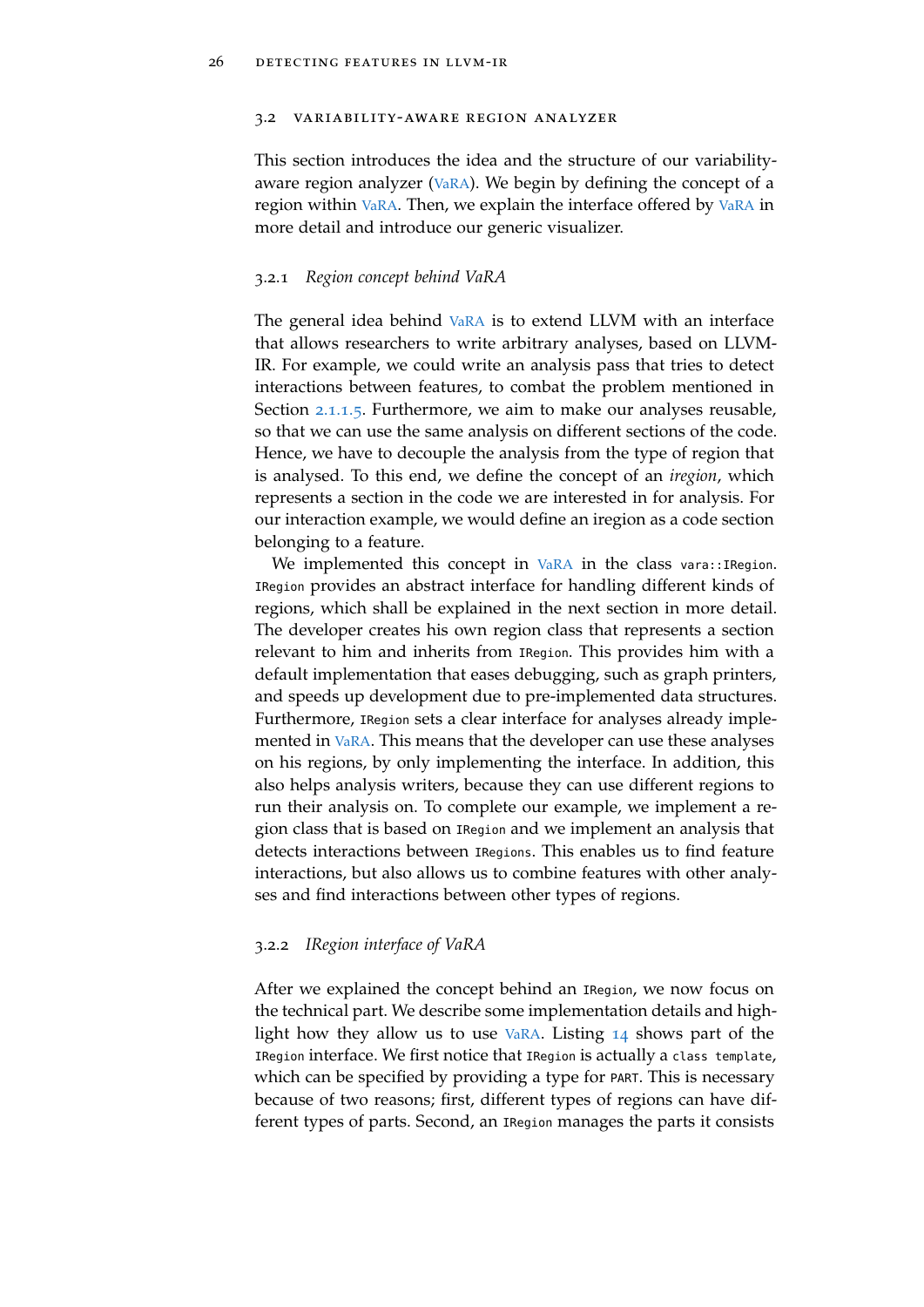#### <span id="page-37-0"></span>3.2 variability-aware region analyzer

This section introduces the idea and the structure of our variabilityaware region analyzer ( $VaRA$ ). We begin by defining the concept of a region within [VaRA](#page-11-0). Then, we explain the interface offered by [VaRA](#page-11-0) in more detail and introduce our generic visualizer.

#### <span id="page-37-1"></span>3.2.1 *Region concept behind VaRA*

The general idea behind [VaRA](#page-11-0) is to extend LLVM with an interface that allows researchers to write arbitrary analyses, based on LLVM-IR. For example, we could write an analysis pass that tries to detect interactions between features, to combat the problem mentioned in Section [2](#page-17-0).1.1.5. Furthermore, we aim to make our analyses reusable, so that we can use the same analysis on different sections of the code. Hence, we have to decouple the analysis from the type of region that is analysed. To this end, we define the concept of an *iregion*, which represents a section in the code we are interested in for analysis. For our interaction example, we would define an iregion as a code section belonging to a feature.

We implemented this concept in [VaRA](#page-11-0) in the class vara::IRegion. IRegion provides an abstract interface for handling different kinds of regions, which shall be explained in the next section in more detail. The developer creates his own region class that represents a section relevant to him and inherits from IRegion. This provides him with a default implementation that eases debugging, such as graph printers, and speeds up development due to pre-implemented data structures. Furthermore, IRegion sets a clear interface for analyses already implemented in [VaRA](#page-11-0). This means that the developer can use these analyses on his regions, by only implementing the interface. In addition, this also helps analysis writers, because they can use different regions to run their analysis on. To complete our example, we implement a region class that is based on IRegion and we implement an analysis that detects interactions between IRegions. This enables us to find feature interactions, but also allows us to combine features with other analyses and find interactions between other types of regions.

#### <span id="page-37-2"></span>3.2.2 *IRegion interface of VaRA*

After we explained the concept behind an IRegion, we now focus on the technical part. We describe some implementation details and highlight how they allow us to use [VaRA](#page-11-0). Listing [14](#page-38-0) shows part of the IRegion interface. We first notice that IRegion is actually a class template, which can be specified by providing a type for PART. This is necessary because of two reasons; first, different types of regions can have different types of parts. Second, an IRegion manages the parts it consists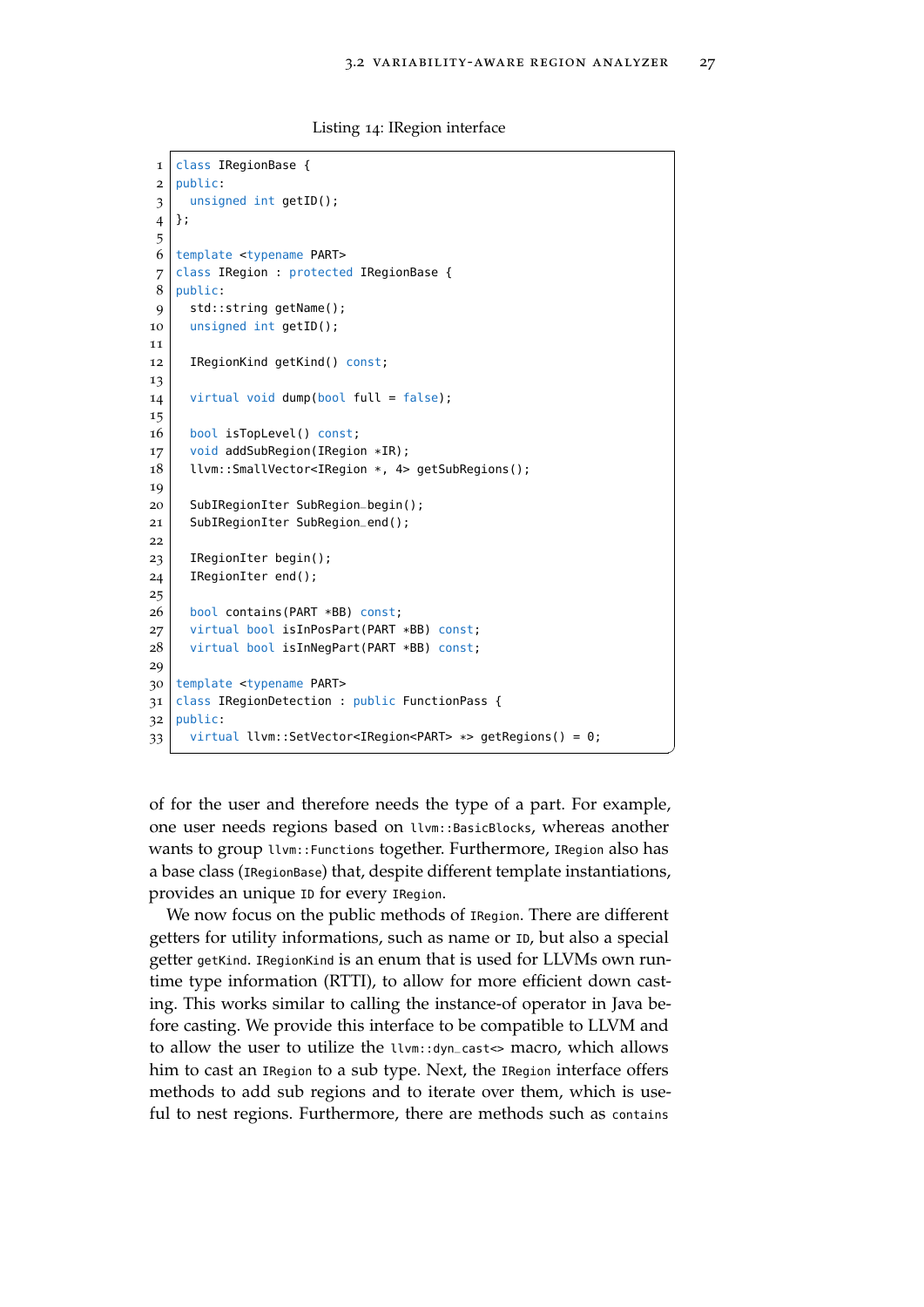Listing 14: IRegion interface

```
1 class IRegionBase {
2 public:
3 unsigned int getID();
4 };
5
6 template <typename PART>
7 class IRegion : protected IRegionBase {
8 | public:
9 std::string getName();
10 unsigned int getID();
11
12 IRegionKind getKind() const;
13
14 virtual void dump(bool full = false);
15
16 bool isTopLevel() const;
17 void addSubRegion(IRegion *IR);
18 | llvm::SmallVector<IRegion *, 4> getSubRegions();
19
20 SubIRegionIter SubRegion_begin();
21 SubIRegionIter SubRegion_end();
2223 IRegionIter begin():
24 IRegionIter end();
25
26 bool contains(PART *BB) const;
27 virtual bool isInPosPart(PART *BB) const;
28 virtual bool isInNegPart(PART *BB) const;
29
30 template <typename PART>
31 class IRegionDetection : public FunctionPass {
32 public:
33 virtual llvm::SetVector<IRegion<PART> *> getRegions() = 0;
```
of for the user and therefore needs the type of a part. For example, one user needs regions based on llvm::BasicBlocks, whereas another wants to group llvm::Functions together. Furthermore, IRegion also has a base class (IRegionBase) that, despite different template instantiations, provides an unique ID for every IRegion.

✆

We now focus on the public methods of IRegion. There are different getters for utility informations, such as name or ID, but also a special getter getKind. IRegionKind is an enum that is used for LLVMs own runtime type information (RTTI), to allow for more efficient down casting. This works similar to calling the instance-of operator in Java before casting. We provide this interface to be compatible to LLVM and to allow the user to utilize the llvm::dyn\_cast<> macro, which allows him to cast an IRegion to a sub type. Next, the IRegion interface offers methods to add sub regions and to iterate over them, which is useful to nest regions. Furthermore, there are methods such as contains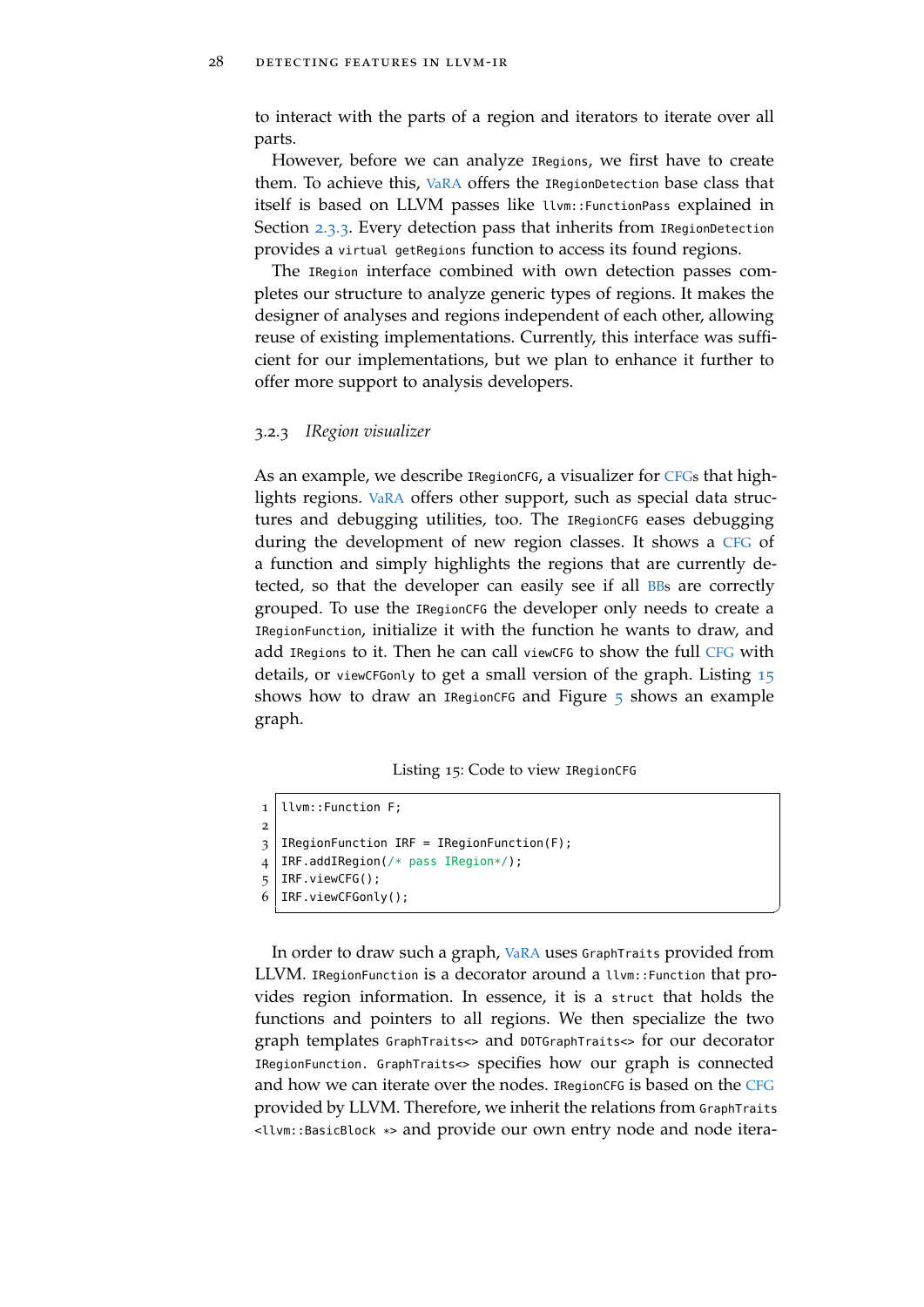to interact with the parts of a region and iterators to iterate over all parts.

However, before we can analyze IRegions, we first have to create them. To achieve this, [VaRA](#page-11-0) offers the IRegionDetection base class that itself is based on LLVM passes like llvm::FunctionPass explained in Section [2](#page-28-0).3.3. Every detection pass that inherits from IRegionDetection provides a virtual getRegions function to access its found regions.

The IRegion interface combined with own detection passes completes our structure to analyze generic types of regions. It makes the designer of analyses and regions independent of each other, allowing reuse of existing implementations. Currently, this interface was sufficient for our implementations, but we plan to enhance it further to offer more support to analysis developers.

#### <span id="page-39-0"></span>3.2.3 *IRegion visualizer*

As an example, we describe IRegionCFG, a visualizer for [CFGs](#page-11-1) that highlights regions. [VaRA](#page-11-0) offers other support, such as special data structures and debugging utilities, too. The IRegionCFG eases debugging during the development of new region classes. It shows a [CFG](#page-11-1) of a function and simply highlights the regions that are currently detected, so that the developer can easily see if all [BBs](#page-11-4) are correctly grouped. To use the IRegionCFG the developer only needs to create a IRegionFunction, initialize it with the function he wants to draw, and add IRegions to it. Then he can call view[CFG](#page-11-1) to show the full CFG with details, or viewCFGonly to get a small version of the graph. Listing [15](#page-39-1) shows how to draw an IRegionCFG and Figure  $\frac{1}{2}$  shows an example graph.

Listing 15: Code to view IRegionCFG

```
1 llvm::Function F;
2
3 IRegionFunction IRF = IRegionFunction(F);
4 IRF.addIRegion(/* pass IRegion*/);
5 IRF.viewCFG();
  IRF.viewCFGonly();
```
In order to draw such a graph, [VaRA](#page-11-0) uses GraphTraits provided from LLVM. IRegionFunction is a decorator around a llvm::Function that provides region information. In essence, it is a struct that holds the functions and pointers to all regions. We then specialize the two graph templates GraphTraits<> and DOTGraphTraits<> for our decorator IRegionFunction. GraphTraits<> specifies how our graph is connected and how we can iterate over the nodes. IRegion[CFG](#page-11-1) is based on the CFG provided by LLVM. Therefore, we inherit the relations from GraphTraits <llvm::BasicBlock \*> and provide our own entry node and node itera-

✆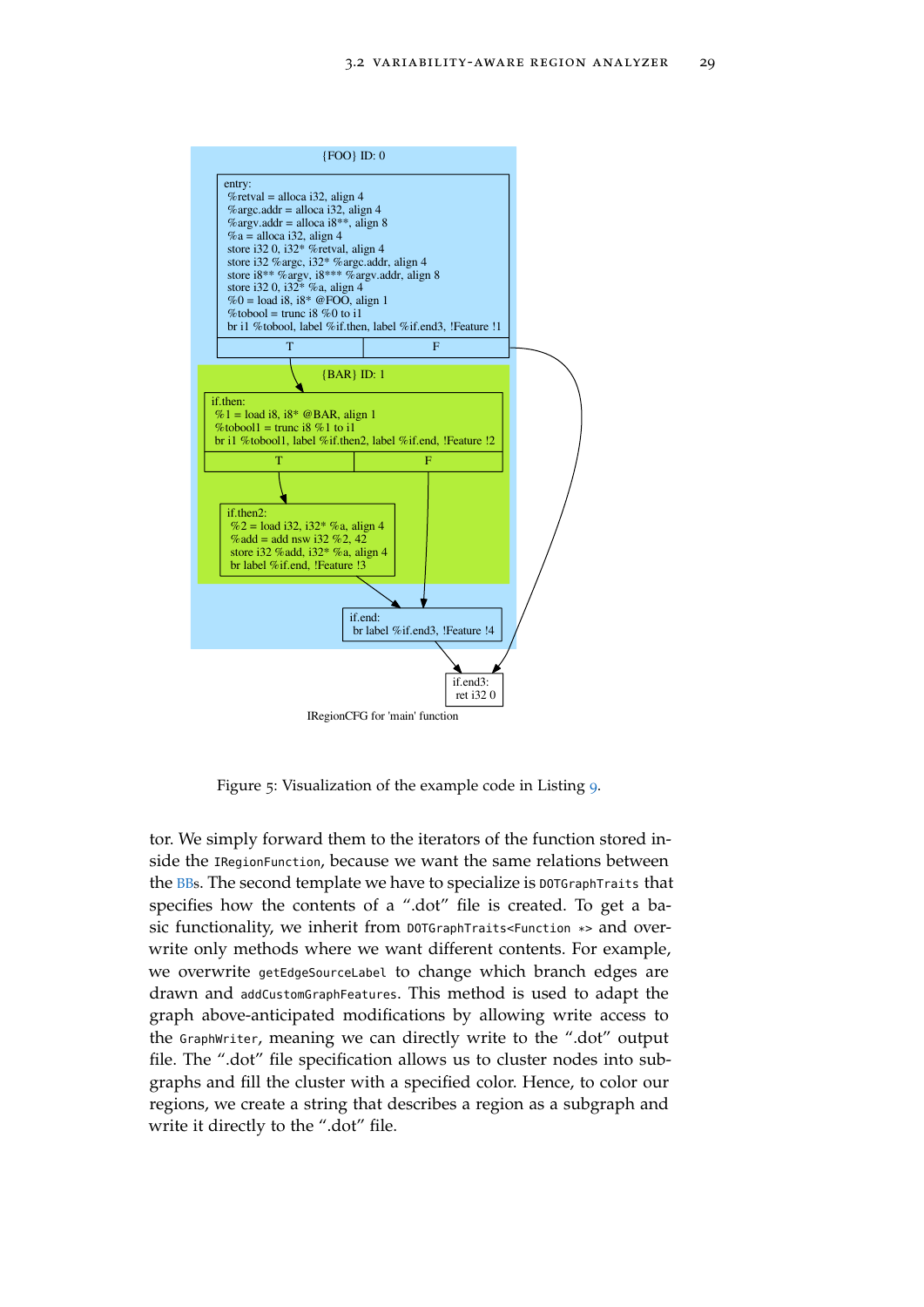<span id="page-40-0"></span>

Figure 5: Visualization of the example code in Listing [9](#page-33-0).

tor. We simply forward them to the iterators of the function stored inside the IRegionFunction, because we want the same relations between the [BBs](#page-11-4). The second template we have to specialize is DOTGraphTraits that specifies how the contents of a ".dot" file is created. To get a basic functionality, we inherit from DOTGraphTraits<Function \*> and overwrite only methods where we want different contents. For example, we overwrite getEdgeSourceLabel to change which branch edges are drawn and addCustomGraphFeatures. This method is used to adapt the graph above-anticipated modifications by allowing write access to the GraphWriter, meaning we can directly write to the ".dot" output file. The ".dot" file specification allows us to cluster nodes into subgraphs and fill the cluster with a specified color. Hence, to color our regions, we create a string that describes a region as a subgraph and write it directly to the ".dot" file.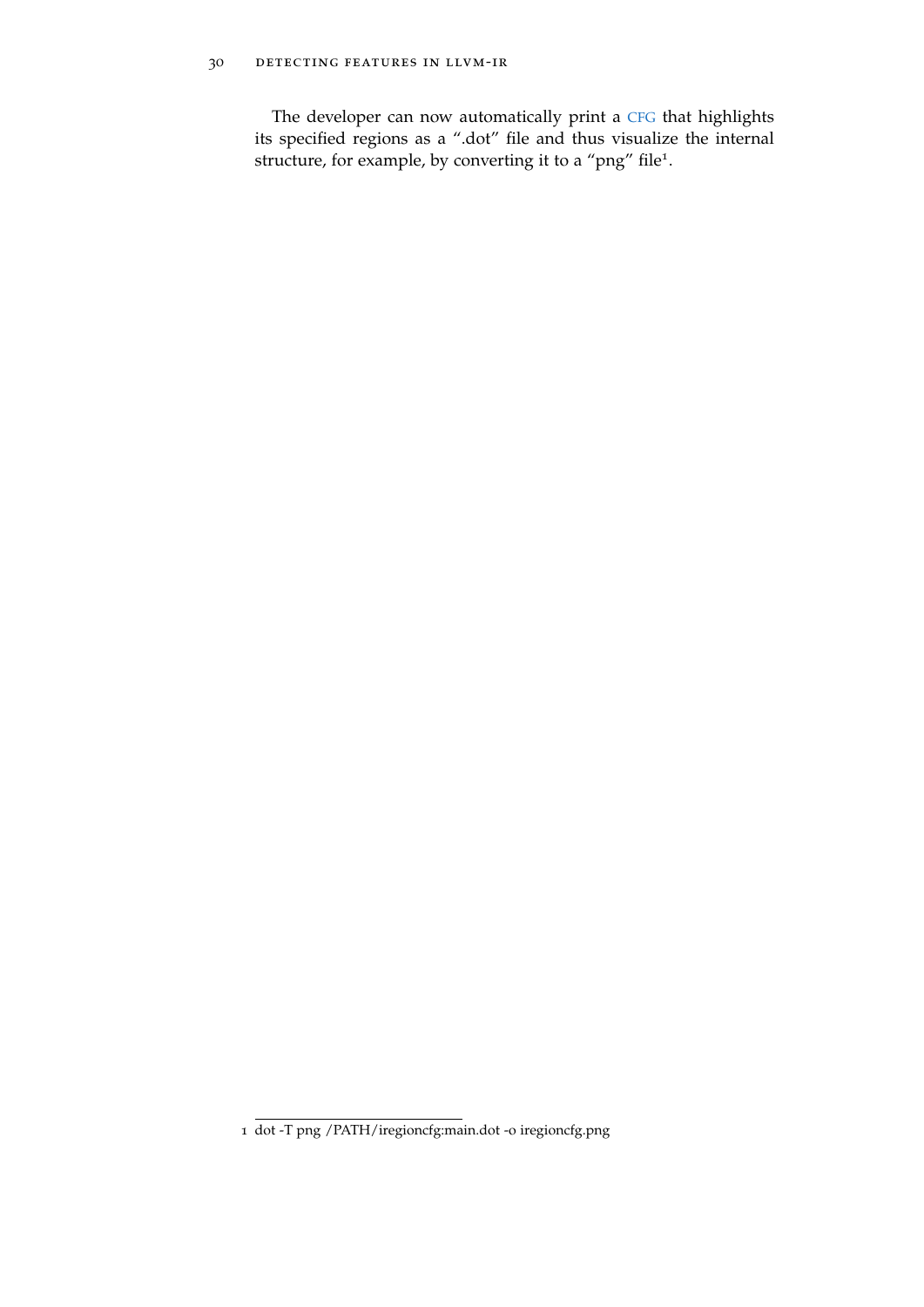# 30 detecting features in llvm-ir

The developer can now automatically print a [CFG](#page-11-1) that highlights its specified regions as a ".dot" file and thus visualize the internal structure, for example, by converting it to a "png" file<sup>1</sup>.

<sup>1</sup> dot -T png /PATH/iregioncfg:main.dot -o iregioncfg.png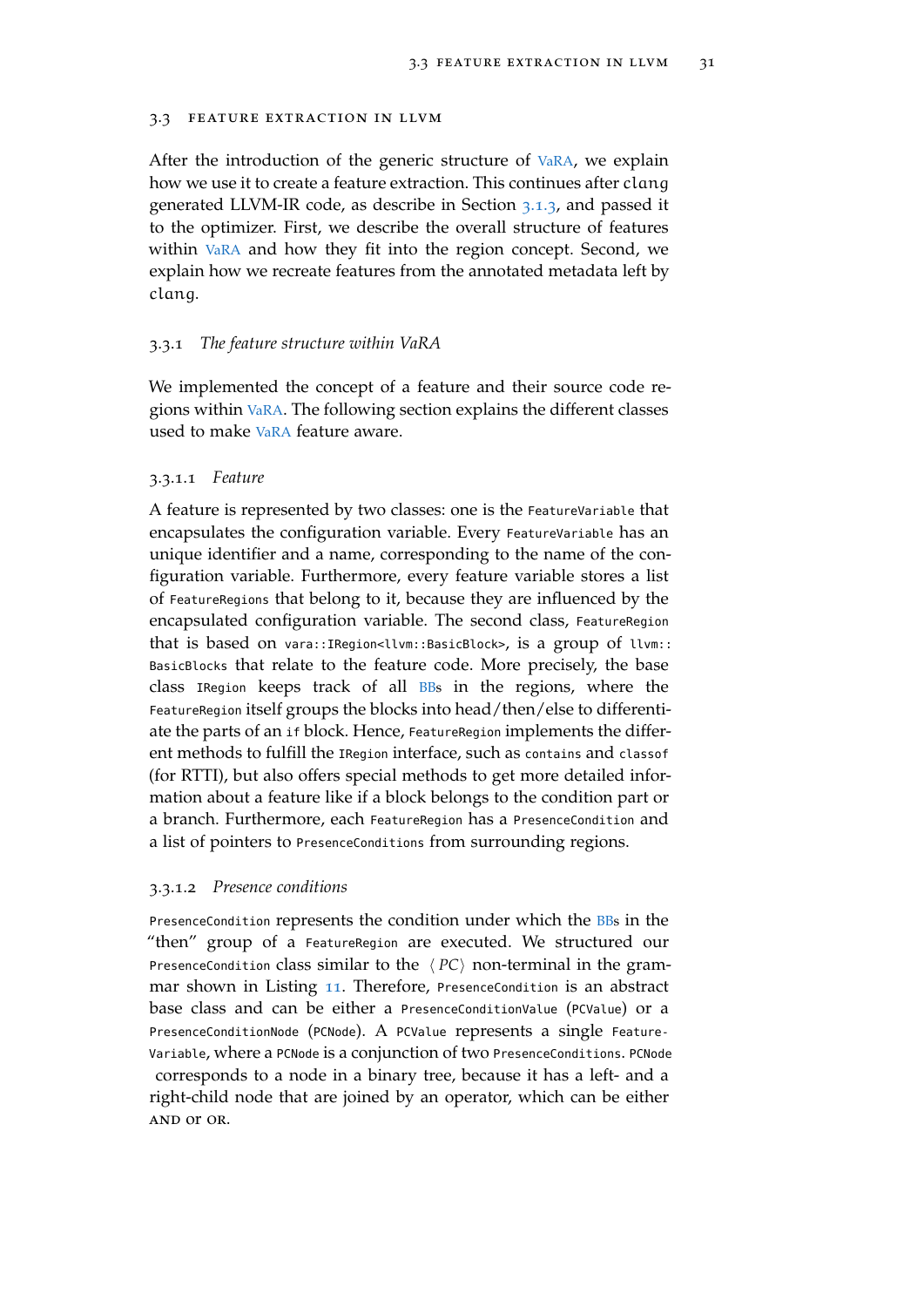#### <span id="page-42-0"></span>3.3 feature extraction in llvm

After the introduction of the generic structure of [VaRA](#page-11-0), we explain how we use it to create a feature extraction. This continues after clang generated LLVM-IR code, as describe in Section [3](#page-34-1).1.3, and passed it to the optimizer. First, we describe the overall structure of features within [VaRA](#page-11-0) and how they fit into the region concept. Second, we explain how we recreate features from the annotated metadata left by clang.

#### <span id="page-42-1"></span>3.3.1 *The feature structure within VaRA*

We implemented the concept of a feature and their source code regions within [VaRA](#page-11-0). The following section explains the different classes used to make [VaRA](#page-11-0) feature aware.

# 3.3.1.1 *Feature*

A feature is represented by two classes: one is the FeatureVariable that encapsulates the configuration variable. Every FeatureVariable has an unique identifier and a name, corresponding to the name of the configuration variable. Furthermore, every feature variable stores a list of FeatureRegions that belong to it, because they are influenced by the encapsulated configuration variable. The second class, FeatureRegion that is based on vara::IRegion<llvm::BasicBlock>, is a group of llvm:: BasicBlocks that relate to the feature code. More precisely, the base class IRegion keeps track of all [BBs](#page-11-4) in the regions, where the FeatureRegion itself groups the blocks into head/then/else to differentiate the parts of an if block. Hence, FeatureRegion implements the different methods to fulfill the IRegion interface, such as contains and classof (for RTTI), but also offers special methods to get more detailed information about a feature like if a block belongs to the condition part or a branch. Furthermore, each FeatureRegion has a PresenceCondition and a list of pointers to PresenceConditions from surrounding regions.

#### 3.3.1.2 *Presence conditions*

PresenceCondition represents the condition under which the [BBs](#page-11-4) in the "then" group of a FeatureRegion are executed. We structured our PresenceCondition class similar to the  $\langle PC \rangle$  non-terminal in the grammar shown in Listing [11](#page-34-2). Therefore, PresenceCondition is an abstract base class and can be either a PresenceConditionValue (PCValue) or a PresenceConditionNode (PCNode). A PCValue represents a single Feature-Variable, where a PCNode is a conjunction of two PresenceConditions. PCNode corresponds to a node in a binary tree, because it has a left- and a right-child node that are joined by an operator, which can be either and or or.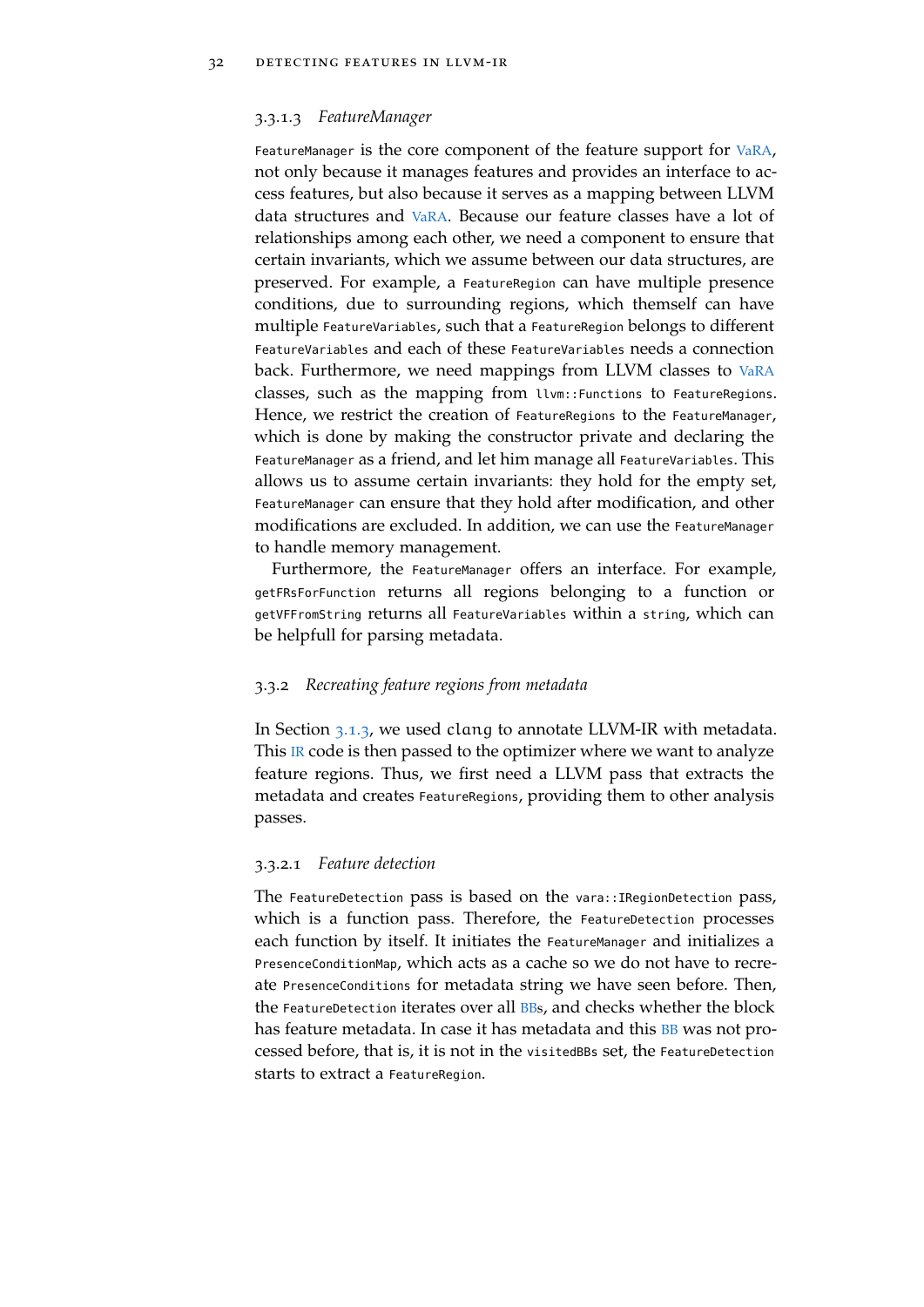#### 3.3.1.3 *FeatureManager*

FeatureManager is the core component of the feature support for [VaRA](#page-11-0), not only because it manages features and provides an interface to access features, but also because it serves as a mapping between LLVM data structures and [VaRA](#page-11-0). Because our feature classes have a lot of relationships among each other, we need a component to ensure that certain invariants, which we assume between our data structures, are preserved. For example, a FeatureRegion can have multiple presence conditions, due to surrounding regions, which themself can have multiple FeatureVariables, such that a FeatureRegion belongs to different FeatureVariables and each of these FeatureVariables needs a connection back. Furthermore, we need mappings from LLVM classes to [VaRA](#page-11-0) classes, such as the mapping from llvm::Functions to FeatureRegions. Hence, we restrict the creation of FeatureRegions to the FeatureManager, which is done by making the constructor private and declaring the FeatureManager as a friend, and let him manage all FeatureVariables. This allows us to assume certain invariants: they hold for the empty set, FeatureManager can ensure that they hold after modification, and other modifications are excluded. In addition, we can use the FeatureManager to handle memory management.

Furthermore, the FeatureManager offers an interface. For example, getFRsForFunction returns all regions belonging to a function or getVFFromString returns all FeatureVariables within a string, which can be helpfull for parsing metadata.

## <span id="page-43-0"></span>3.3.2 *Recreating feature regions from metadata*

In Section [3](#page-34-1).1.3, we used clang to annotate LLVM-IR with metadata. This  $\mathbb R$  code is then passed to the optimizer where we want to analyze feature regions. Thus, we first need a LLVM pass that extracts the metadata and creates FeatureRegions, providing them to other analysis passes.

#### 3.3.2.1 *Feature detection*

The FeatureDetection pass is based on the vara::IRegionDetection pass, which is a function pass. Therefore, the FeatureDetection processes each function by itself. It initiates the FeatureManager and initializes a PresenceConditionMap, which acts as a cache so we do not have to recreate PresenceConditions for metadata string we have seen before. Then, the FeatureDetection iterates over all [BBs](#page-11-4), and checks whether the block has feature metadata. In case it has metadata and this [BB](#page-11-4) was not processed before, that is, it is not in the visitedBBs set, the FeatureDetection starts to extract a FeatureRegion.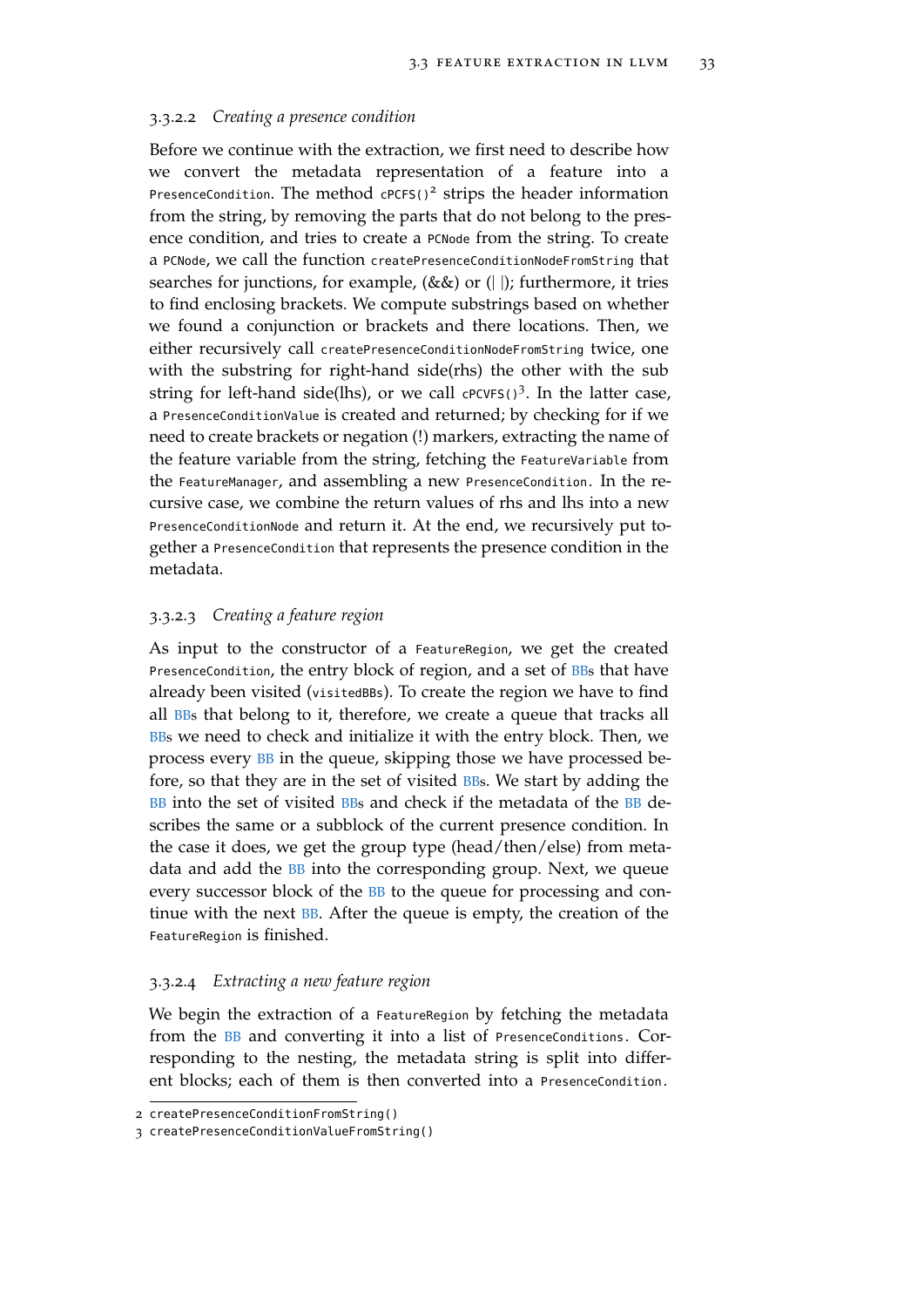#### 3.3.2.2 *Creating a presence condition*

Before we continue with the extraction, we first need to describe how we convert the metadata representation of a feature into a PresenceCondition. The method  $cPCFS()$ <sup>2</sup> strips the header information from the string, by removing the parts that do not belong to the presence condition, and tries to create a PCNode from the string. To create a PCNode, we call the function createPresenceConditionNodeFromString that searches for junctions, for example,  $(\&\&)$  or  $(||)$ ; furthermore, it tries to find enclosing brackets. We compute substrings based on whether we found a conjunction or brackets and there locations. Then, we either recursively call createPresenceConditionNodeFromString twice, one with the substring for right-hand side(rhs) the other with the sub string for left-hand side(lhs), or we call cPCVFS()<sup>3</sup>. In the latter case, a PresenceConditionValue is created and returned; by checking for if we need to create brackets or negation (!) markers, extracting the name of the feature variable from the string, fetching the FeatureVariable from the FeatureManager, and assembling a new PresenceCondition. In the recursive case, we combine the return values of rhs and lhs into a new PresenceConditionNode and return it. At the end, we recursively put together a PresenceCondition that represents the presence condition in the metadata.

# 3.3.2.3 *Creating a feature region*

As input to the constructor of a FeatureRegion, we get the created PresenceCondition, the entry block of region, and a set of [BBs](#page-11-4) that have already been visited (visitedBBs). To create the region we have to find all [BBs](#page-11-4) that belong to it, therefore, we create a queue that tracks all [BBs](#page-11-4) we need to check and initialize it with the entry block. Then, we process every [BB](#page-11-4) in the queue, skipping those we have processed before, so that they are in the set of visited [BBs](#page-11-4). We start by adding the [BB](#page-11-4) into the set of visited [BBs](#page-11-4) and check if the metadata of the BB describes the same or a subblock of the current presence condition. In the case it does, we get the group type (head/then/else) from metadata and add the **[BB](#page-11-4)** into the corresponding group. Next, we queue every successor block of the [BB](#page-11-4) to the queue for processing and continue with the next [BB](#page-11-4). After the queue is empty, the creation of the FeatureRegion is finished.

# 3.3.2.4 *Extracting a new feature region*

We begin the extraction of a FeatureRegion by fetching the metadata from the [BB](#page-11-4) and converting it into a list of PresenceConditions. Corresponding to the nesting, the metadata string is split into different blocks; each of them is then converted into a PresenceCondition.

<sup>2</sup> createPresenceConditionFromString()

<sup>3</sup> createPresenceConditionValueFromString()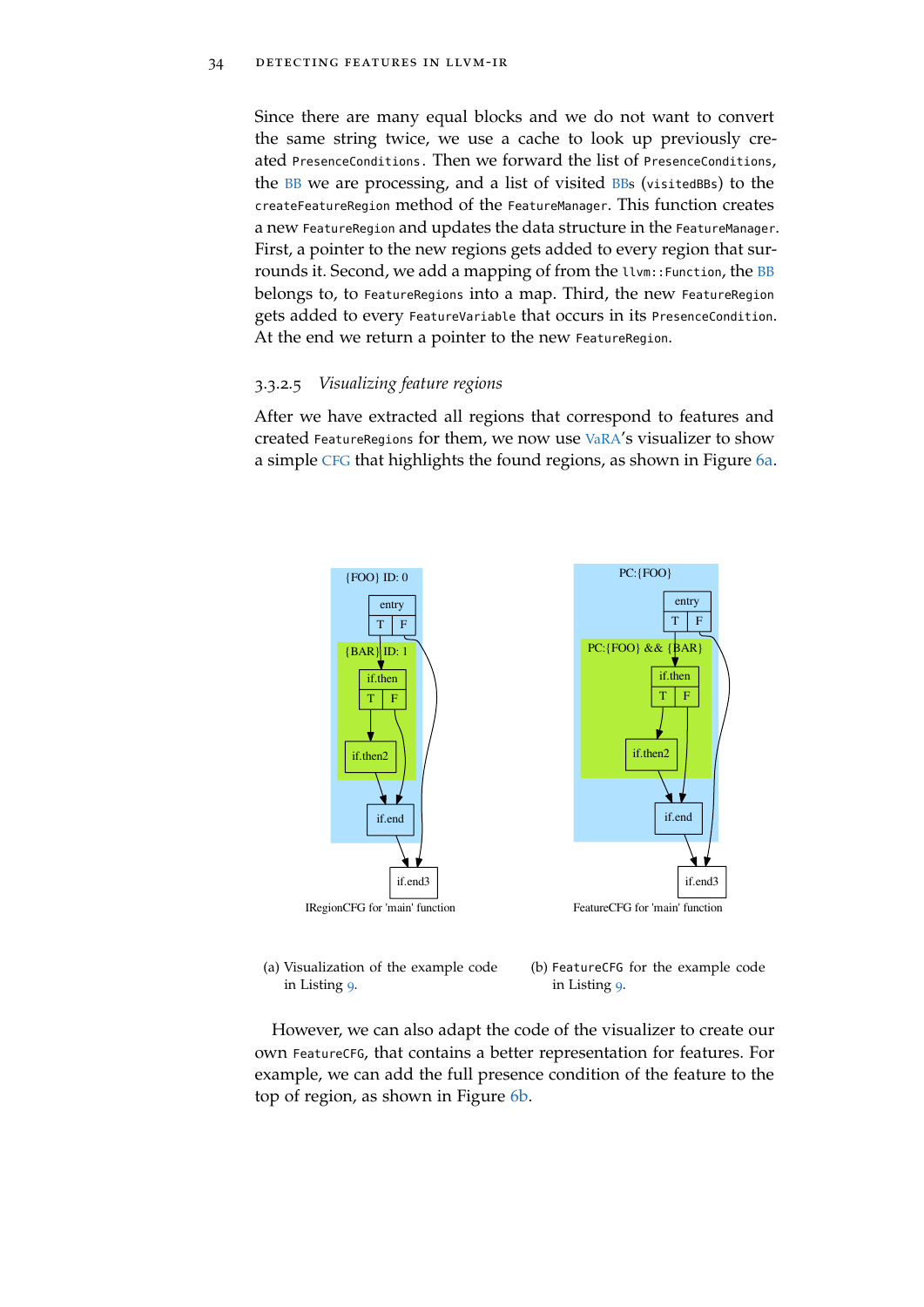Since there are many equal blocks and we do not want to convert the same string twice, we use a cache to look up previously created PresenceConditions. Then we forward the list of PresenceConditions, the [BB](#page-11-4) we are processing, and a list of visited [BBs](#page-11-4) (visitedBBs) to the createFeatureRegion method of the FeatureManager. This function creates a new FeatureRegion and updates the data structure in the FeatureManager. First, a pointer to the new regions gets added to every region that sur-rounds it. Second, we add a mapping of from the llvm:: Function, the [BB](#page-11-4) belongs to, to FeatureRegions into a map. Third, the new FeatureRegion gets added to every FeatureVariable that occurs in its PresenceCondition. At the end we return a pointer to the new FeatureRegion.

# 3.3.2.5 *Visualizing feature regions*

After we have extracted all regions that correspond to features and created FeatureRegions for them, we now use [VaRA](#page-11-0)'s visualizer to show a simple [CFG](#page-11-1) that highlights the found regions, as shown in Figure 6[a.](#page-45-0)

<span id="page-45-0"></span>

(a) Visualization of the example code in Listing [9](#page-33-0).

<span id="page-45-1"></span>(b) FeatureCFG for the example code in Listing [9](#page-33-0).

However, we can also adapt the code of the visualizer to create our own FeatureCFG, that contains a better representation for features. For example, we can add the full presence condition of the feature to the top of region, as shown in Figure 6[b.](#page-45-1)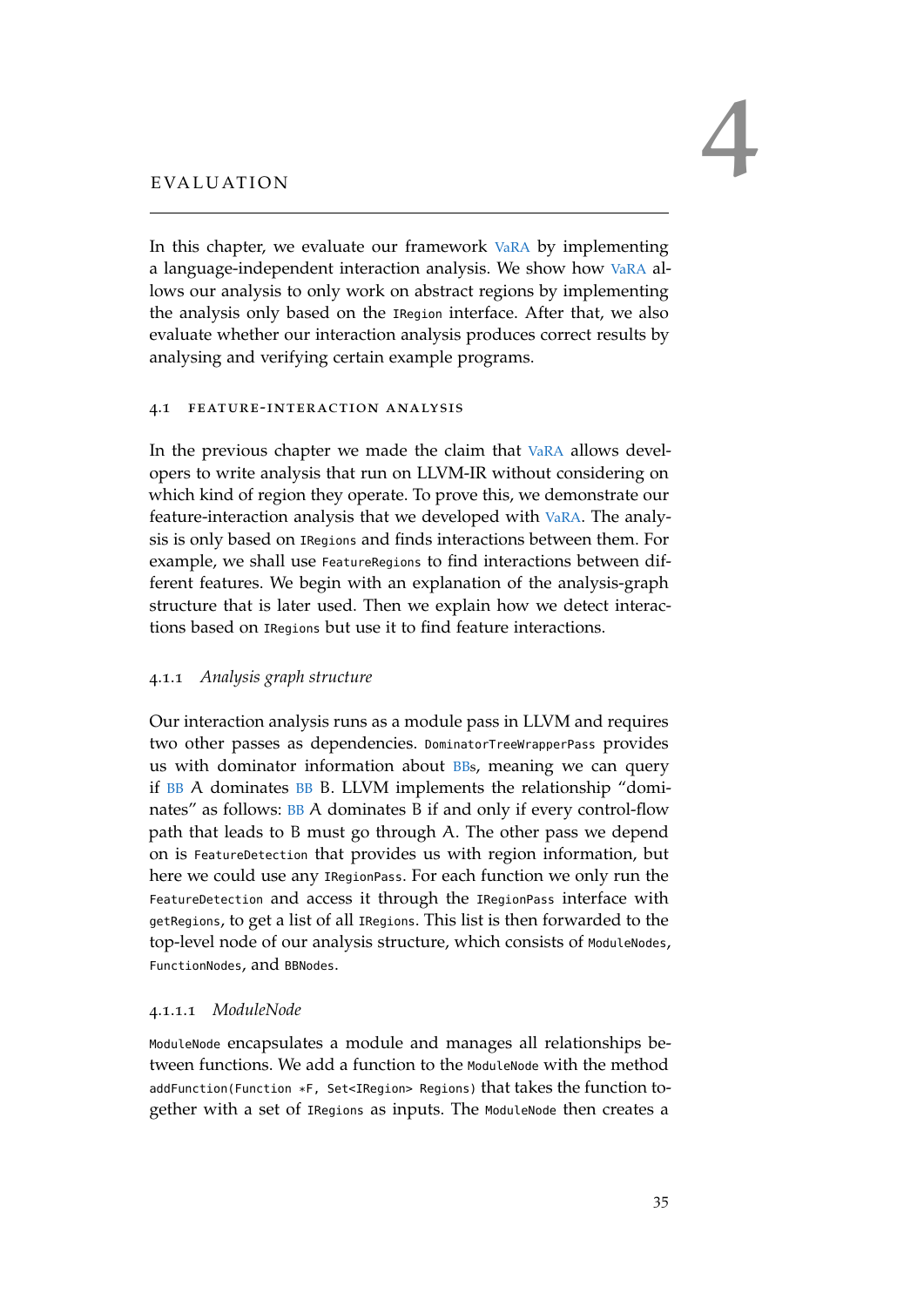<span id="page-46-0"></span>In this chapter, we evaluate our framework [VaRA](#page-11-0) by implementing a language-independent interaction analysis. We show how [VaRA](#page-11-0) allows our analysis to only work on abstract regions by implementing the analysis only based on the IRegion interface. After that, we also evaluate whether our interaction analysis produces correct results by analysing and verifying certain example programs.

#### <span id="page-46-1"></span>4.1 feature-interaction analysis

In the previous chapter we made the claim that [VaRA](#page-11-0) allows developers to write analysis that run on LLVM-IR without considering on which kind of region they operate. To prove this, we demonstrate our feature-interaction analysis that we developed with [VaRA](#page-11-0). The analysis is only based on IRegions and finds interactions between them. For example, we shall use FeatureRegions to find interactions between different features. We begin with an explanation of the analysis-graph structure that is later used. Then we explain how we detect interactions based on IRegions but use it to find feature interactions.

# <span id="page-46-2"></span>4.1.1 *Analysis graph structure*

Our interaction analysis runs as a module pass in LLVM and requires two other passes as dependencies. DominatorTreeWrapperPass provides us with dominator information about [BBs](#page-11-4), meaning we can query if [BB](#page-11-4) A dominates [BB](#page-11-4) B. LLVM implements the relationship "dominates" as follows: [BB](#page-11-4) A dominates B if and only if every control-flow path that leads to B must go through A. The other pass we depend on is FeatureDetection that provides us with region information, but here we could use any IRegionPass. For each function we only run the FeatureDetection and access it through the IRegionPass interface with getRegions, to get a list of all IRegions. This list is then forwarded to the top-level node of our analysis structure, which consists of ModuleNodes, FunctionNodes, and BBNodes.

# 4.1.1.1 *ModuleNode*

ModuleNode encapsulates a module and manages all relationships between functions. We add a function to the ModuleNode with the method addFunction(Function \*F, Set<IRegion> Regions) that takes the function together with a set of IRegions as inputs. The ModuleNode then creates a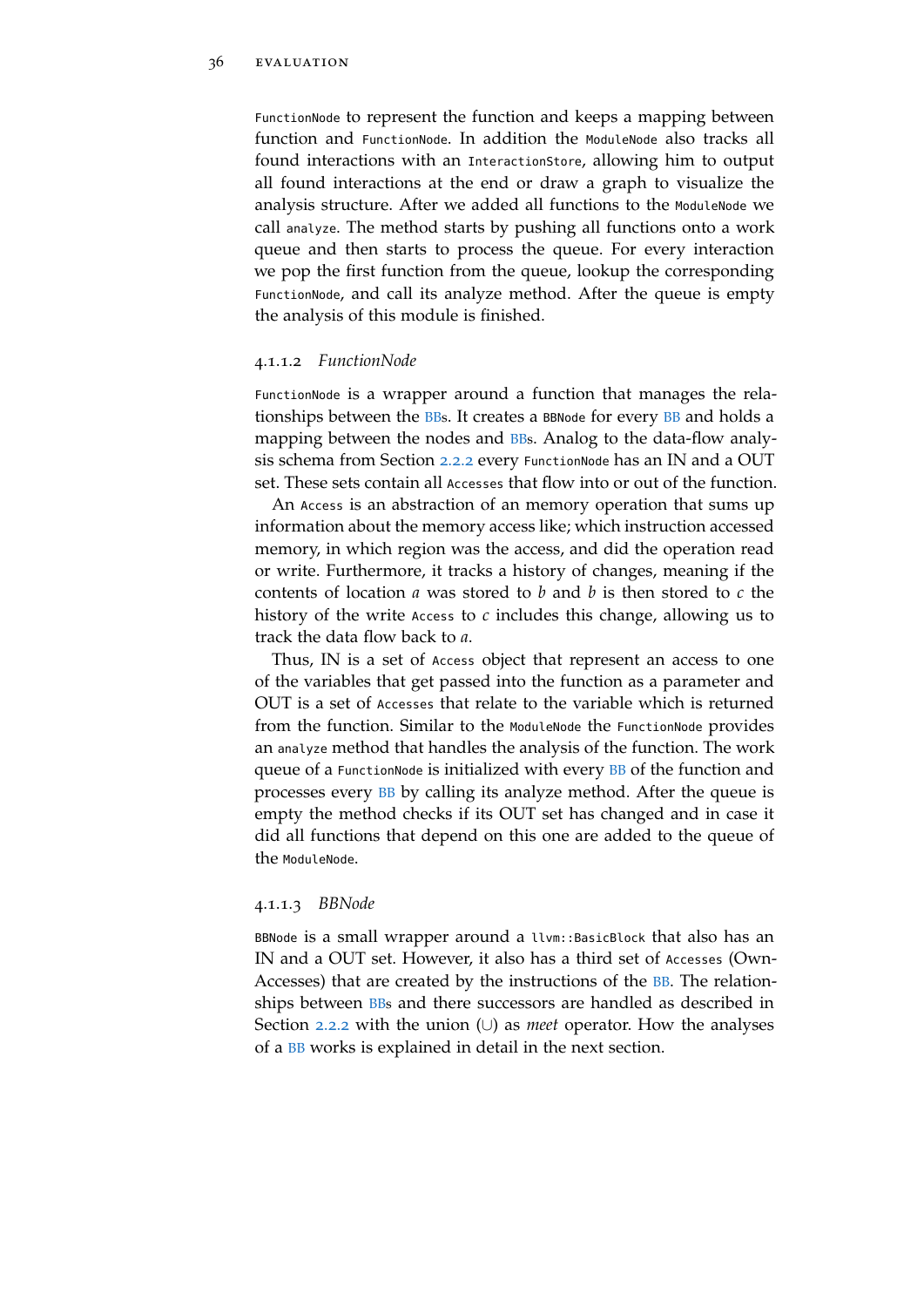FunctionNode to represent the function and keeps a mapping between function and FunctionNode. In addition the ModuleNode also tracks all found interactions with an InteractionStore, allowing him to output all found interactions at the end or draw a graph to visualize the analysis structure. After we added all functions to the ModuleNode we call analyze. The method starts by pushing all functions onto a work queue and then starts to process the queue. For every interaction we pop the first function from the queue, lookup the corresponding FunctionNode, and call its analyze method. After the queue is empty the analysis of this module is finished.

#### 4.1.1.2 *FunctionNode*

FunctionNode is a wrapper around a function that manages the relationships between the [BBs](#page-11-4). It creates a BBNode for every [BB](#page-11-4) and holds a mapping between the nodes and [BBs](#page-11-4). Analog to the data-flow analy-sis schema from Section [2](#page-20-0).2.2 every FunctionNode has an IN and a OUT set. These sets contain all Accesses that flow into or out of the function.

An Access is an abstraction of an memory operation that sums up information about the memory access like; which instruction accessed memory, in which region was the access, and did the operation read or write. Furthermore, it tracks a history of changes, meaning if the contents of location *a* was stored to *b* and *b* is then stored to *c* the history of the write Access to *c* includes this change, allowing us to track the data flow back to *a*.

Thus, IN is a set of Access object that represent an access to one of the variables that get passed into the function as a parameter and OUT is a set of Accesses that relate to the variable which is returned from the function. Similar to the ModuleNode the FunctionNode provides an analyze method that handles the analysis of the function. The work queue of a FunctionNode is initialized with every [BB](#page-11-4) of the function and processes every [BB](#page-11-4) by calling its analyze method. After the queue is empty the method checks if its OUT set has changed and in case it did all functions that depend on this one are added to the queue of the ModuleNode.

#### 4.1.1.3 *BBNode*

<span id="page-47-0"></span>BBNode is a small wrapper around a llvm::BasicBlock that also has an IN and a OUT set. However, it also has a third set of Accesses (Own-Accesses) that are created by the instructions of the [BB](#page-11-4). The relationships between **[BBs](#page-11-4)** and there successors are handled as described in Section [2](#page-20-0).2.2 with the union (∪) as *meet* operator. How the analyses of a [BB](#page-11-4) works is explained in detail in the next section.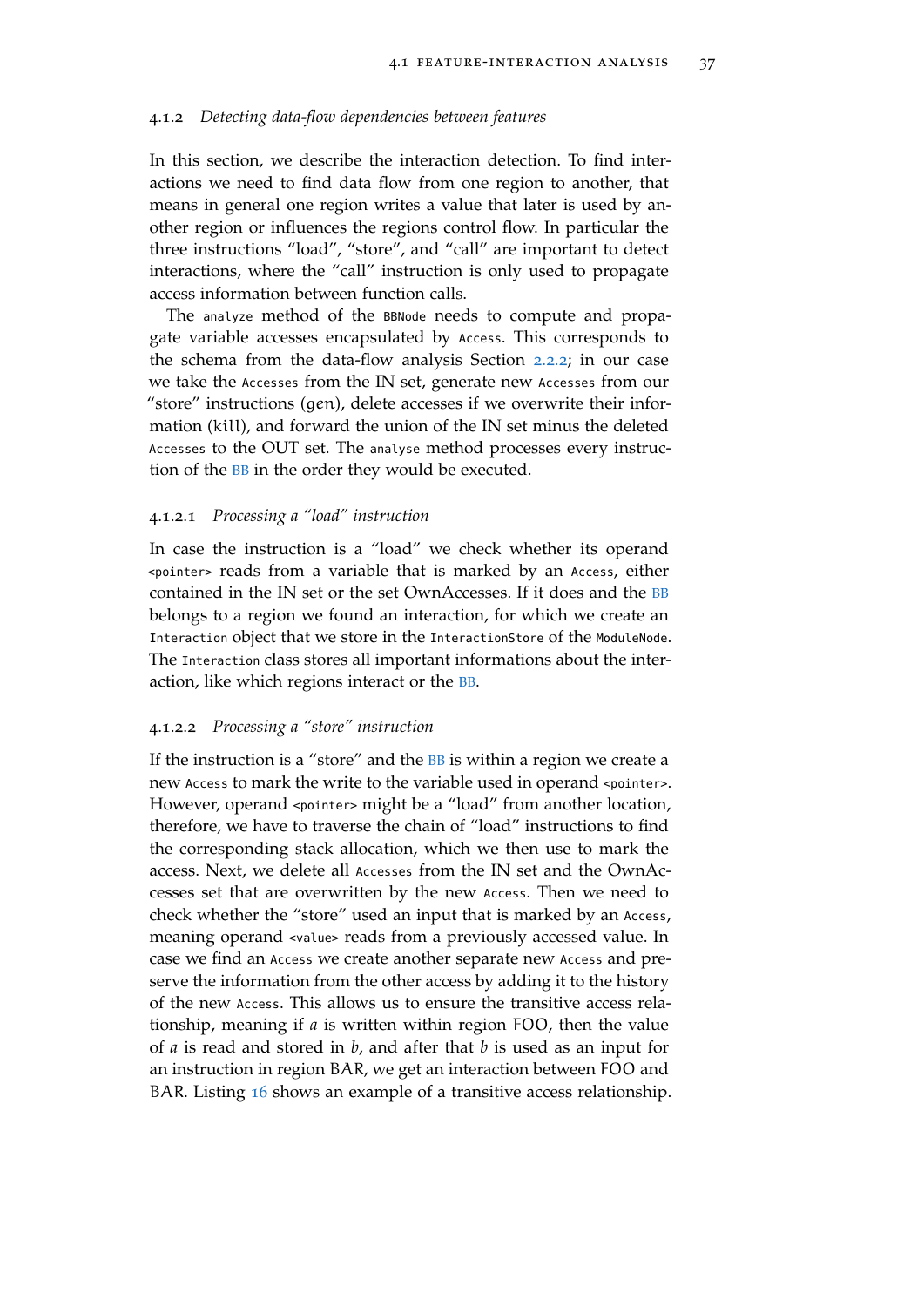#### 4.1.2 *Detecting data-flow dependencies between features*

In this section, we describe the interaction detection. To find interactions we need to find data flow from one region to another, that means in general one region writes a value that later is used by another region or influences the regions control flow. In particular the three instructions "load", "store", and "call" are important to detect interactions, where the "call" instruction is only used to propagate access information between function calls.

The analyze method of the BBNode needs to compute and propagate variable accesses encapsulated by Access. This corresponds to the schema from the data-flow analysis Section [2](#page-20-0).2.2; in our case we take the Accesses from the IN set, generate new Accesses from our "store" instructions (gen), delete accesses if we overwrite their information (kill), and forward the union of the IN set minus the deleted Accesses to the OUT set. The analyse method processes every instruction of the [BB](#page-11-4) in the order they would be executed.

#### 4.1.2.1 *Processing a "load" instruction*

In case the instruction is a "load" we check whether its operand <pointer> reads from a variable that is marked by an Access, either contained in the IN set or the set OwnAccesses. If it does and the [BB](#page-11-4) belongs to a region we found an interaction, for which we create an Interaction object that we store in the InteractionStore of the ModuleNode. The Interaction class stores all important informations about the interaction, like which regions interact or the [BB](#page-11-4).

# 4.1.2.2 *Processing a "store" instruction*

If the instruction is a "store" and the [BB](#page-11-4) is within a region we create a new Access to mark the write to the variable used in operand <pointer>. However, operand <pointer> might be a "load" from another location, therefore, we have to traverse the chain of "load" instructions to find the corresponding stack allocation, which we then use to mark the access. Next, we delete all Accesses from the IN set and the OwnAccesses set that are overwritten by the new Access. Then we need to check whether the "store" used an input that is marked by an Access, meaning operand <value> reads from a previously accessed value. In case we find an Access we create another separate new Access and preserve the information from the other access by adding it to the history of the new Access. This allows us to ensure the transitive access relationship, meaning if *a* is written within region FOO, then the value of *a* is read and stored in *b*, and after that *b* is used as an input for an instruction in region BAR, we get an interaction between FOO and BAR. Listing [16](#page-49-0) shows an example of a transitive access relationship.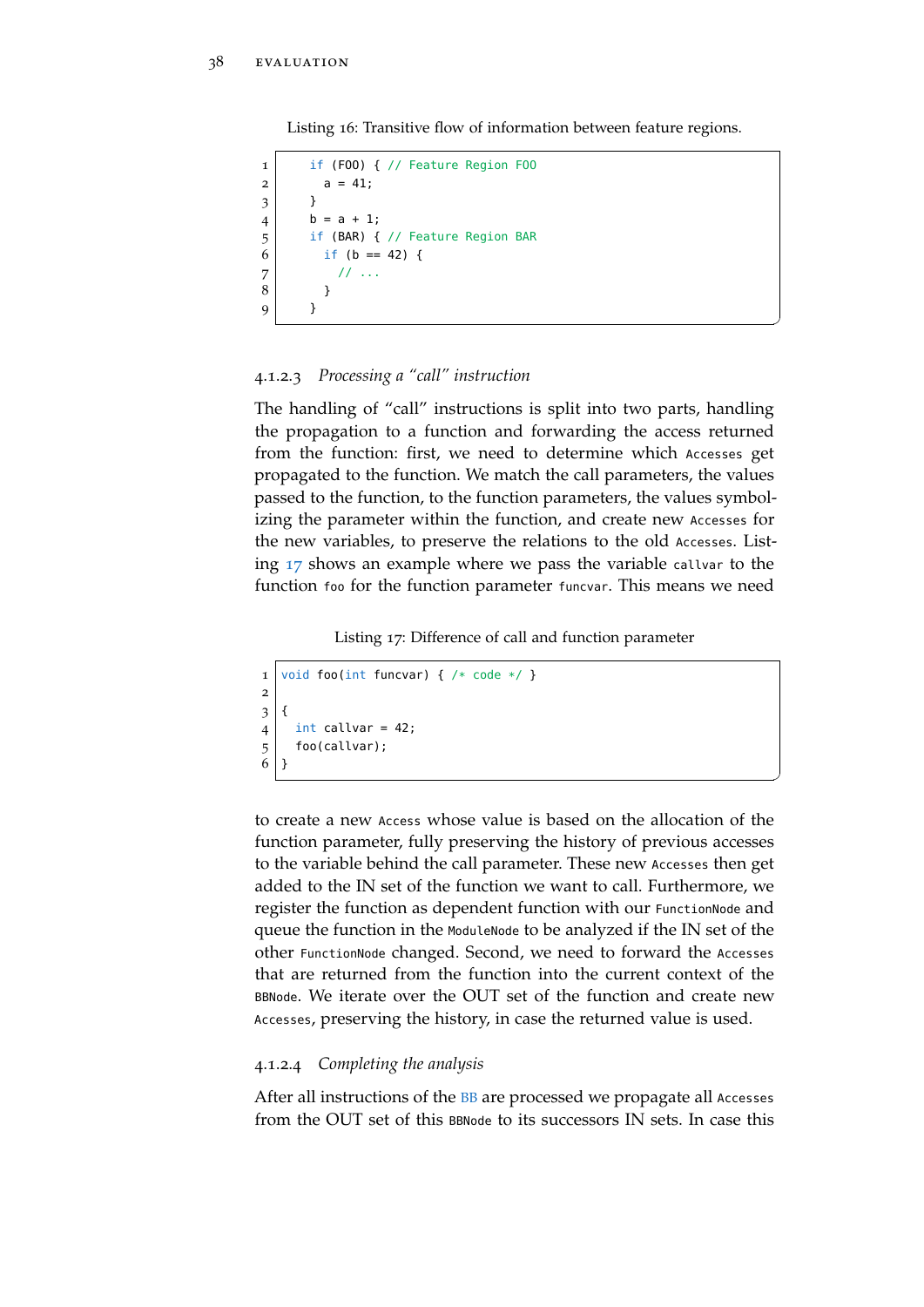<span id="page-49-0"></span>Listing 16: Transitive flow of information between feature regions.

```
1 if (FOO) { // Feature Region FOO
2 | a = 41;3 }
4 | b = a + 1;5 if (BAR) { // Feature Region BAR
6 if (b == 42) {
7 // ...
8 }
9 }
```
# 4.1.2.3 *Processing a "call" instruction*

The handling of "call" instructions is split into two parts, handling the propagation to a function and forwarding the access returned from the function: first, we need to determine which Accesses get propagated to the function. We match the call parameters, the values passed to the function, to the function parameters, the values symbolizing the parameter within the function, and create new Accesses for the new variables, to preserve the relations to the old Accesses. Listing [17](#page-49-1) shows an example where we pass the variable callvar to the function foo for the function parameter funcvar. This means we need

 $^{\prime}$ 

✆

Listing 17: Difference of call and function parameter

```
1 void foo(int funcvar) { /* code */ }
2
3 \mid \{4 int callvar = 42;
5 foo(callvar);
6 }
```
to create a new Access whose value is based on the allocation of the function parameter, fully preserving the history of previous accesses to the variable behind the call parameter. These new Accesses then get added to the IN set of the function we want to call. Furthermore, we register the function as dependent function with our FunctionNode and queue the function in the ModuleNode to be analyzed if the IN set of the other FunctionNode changed. Second, we need to forward the Accesses that are returned from the function into the current context of the BBNode. We iterate over the OUT set of the function and create new Accesses, preserving the history, in case the returned value is used.

# 4.1.2.4 *Completing the analysis*

After all instructions of the **[BB](#page-11-4)** are processed we propagate all Accesses from the OUT set of this BBNode to its successors IN sets. In case this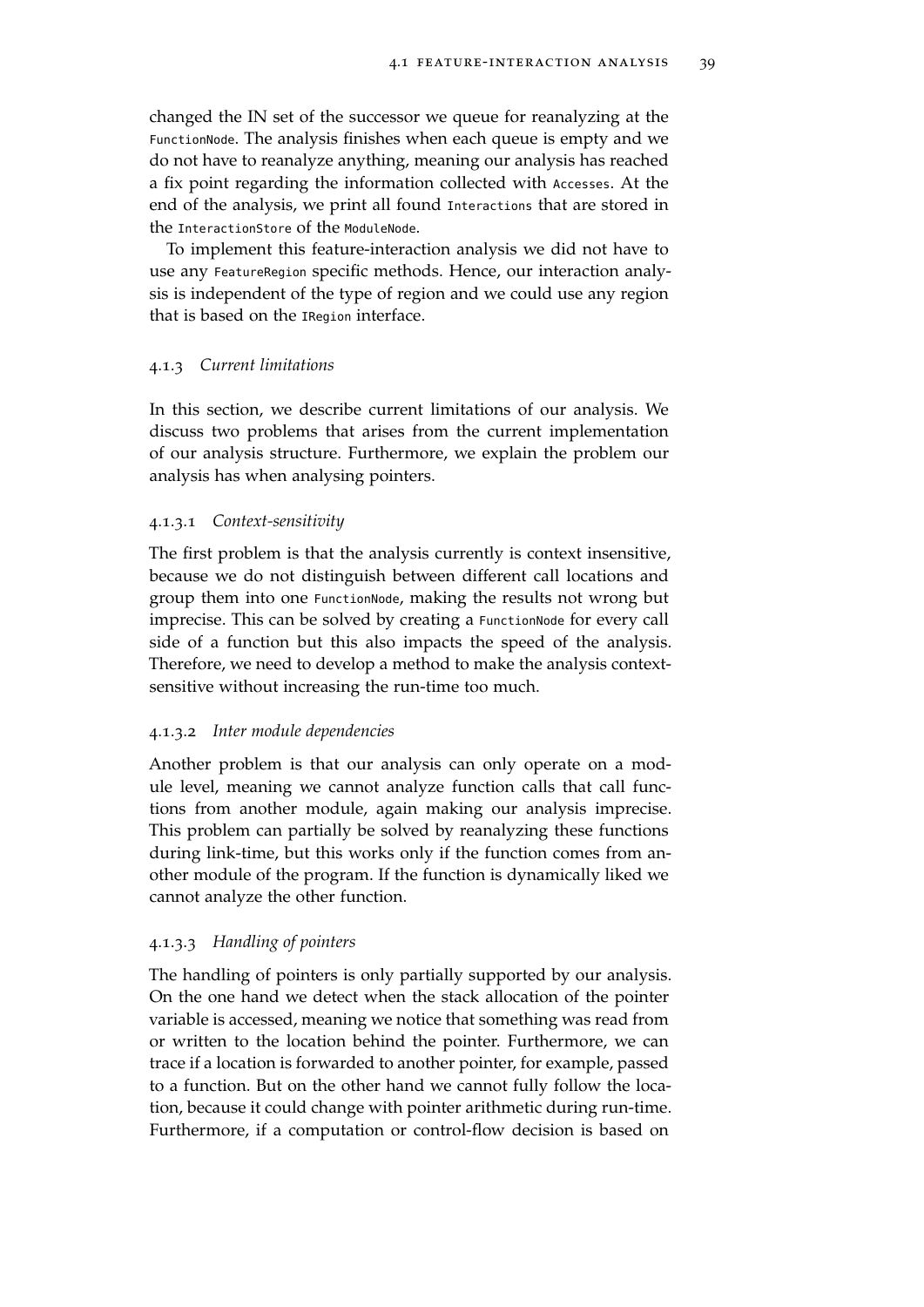changed the IN set of the successor we queue for reanalyzing at the FunctionNode. The analysis finishes when each queue is empty and we do not have to reanalyze anything, meaning our analysis has reached a fix point regarding the information collected with Accesses. At the end of the analysis, we print all found Interactions that are stored in the InteractionStore of the ModuleNode.

To implement this feature-interaction analysis we did not have to use any FeatureRegion specific methods. Hence, our interaction analysis is independent of the type of region and we could use any region that is based on the IRegion interface.

# <span id="page-50-0"></span>4.1.3 *Current limitations*

In this section, we describe current limitations of our analysis. We discuss two problems that arises from the current implementation of our analysis structure. Furthermore, we explain the problem our analysis has when analysing pointers.

# 4.1.3.1 *Context-sensitivity*

The first problem is that the analysis currently is context insensitive, because we do not distinguish between different call locations and group them into one FunctionNode, making the results not wrong but imprecise. This can be solved by creating a FunctionNode for every call side of a function but this also impacts the speed of the analysis. Therefore, we need to develop a method to make the analysis contextsensitive without increasing the run-time too much.

# 4.1.3.2 *Inter module dependencies*

Another problem is that our analysis can only operate on a module level, meaning we cannot analyze function calls that call functions from another module, again making our analysis imprecise. This problem can partially be solved by reanalyzing these functions during link-time, but this works only if the function comes from another module of the program. If the function is dynamically liked we cannot analyze the other function.

# 4.1.3.3 *Handling of pointers*

The handling of pointers is only partially supported by our analysis. On the one hand we detect when the stack allocation of the pointer variable is accessed, meaning we notice that something was read from or written to the location behind the pointer. Furthermore, we can trace if a location is forwarded to another pointer, for example, passed to a function. But on the other hand we cannot fully follow the location, because it could change with pointer arithmetic during run-time. Furthermore, if a computation or control-flow decision is based on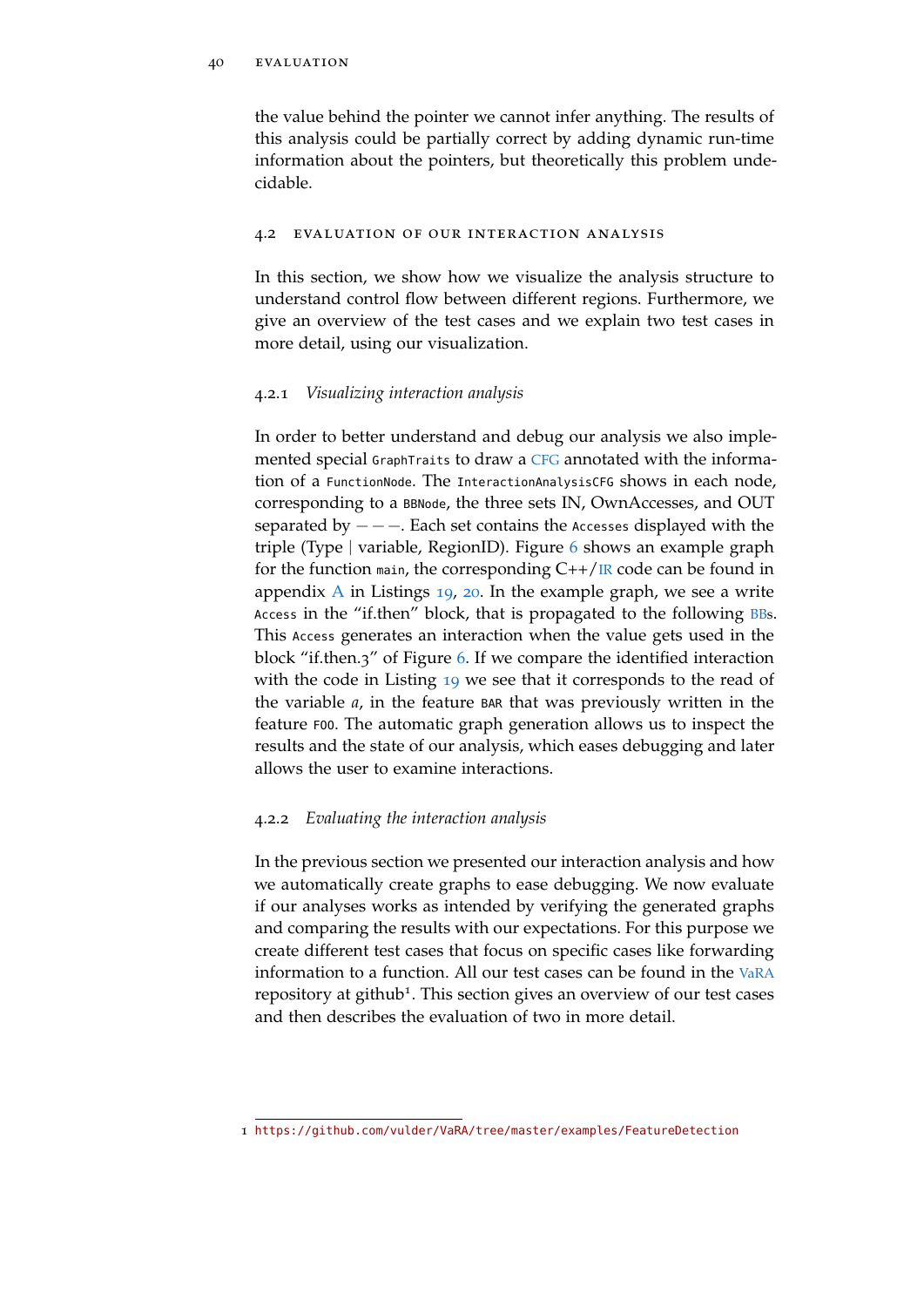the value behind the pointer we cannot infer anything. The results of this analysis could be partially correct by adding dynamic run-time information about the pointers, but theoretically this problem undecidable.

#### <span id="page-51-0"></span>4.2 evaluation of our interaction analysis

In this section, we show how we visualize the analysis structure to understand control flow between different regions. Furthermore, we give an overview of the test cases and we explain two test cases in more detail, using our visualization.

# <span id="page-51-1"></span>4.2.1 *Visualizing interaction analysis*

In order to better understand and debug our analysis we also implemented special GraphTraits to draw a [CFG](#page-11-1) annotated with the information of a FunctionNode. The InteractionAnalysisCFG shows in each node, corresponding to a BBNode, the three sets IN, OwnAccesses, and OUT separated by  $---$ . Each set contains the Accesses displayed with the triple (Type | variable, RegionID). Figure [6](#page-52-0) shows an example graph for the function main, the corresponding  $C++/IR$  $C++/IR$  code can be found in appendix [A](#page-62-0) in Listings [19](#page-62-2), [20](#page-63-0). In the example graph, we see a write Access in the "if.then" block, that is propagated to the following [BBs](#page-11-4). This Access generates an interaction when the value gets used in the block "if.then.3" of Figure [6](#page-52-0). If we compare the identified interaction with the code in Listing [19](#page-62-2) we see that it corresponds to the read of the variable *a*, in the feature BAR that was previously written in the feature FOO. The automatic graph generation allows us to inspect the results and the state of our analysis, which eases debugging and later allows the user to examine interactions.

# <span id="page-51-2"></span>4.2.2 *Evaluating the interaction analysis*

In the previous section we presented our interaction analysis and how we automatically create graphs to ease debugging. We now evaluate if our analyses works as intended by verifying the generated graphs and comparing the results with our expectations. For this purpose we create different test cases that focus on specific cases like forwarding information to a function. All our test cases can be found in the [VaRA](#page-11-0) repository at github<sup>1</sup>. This section gives an overview of our test cases and then describes the evaluation of two in more detail.

<sup>1</sup> <https://github.com/vulder/VaRA/tree/master/examples/FeatureDetection>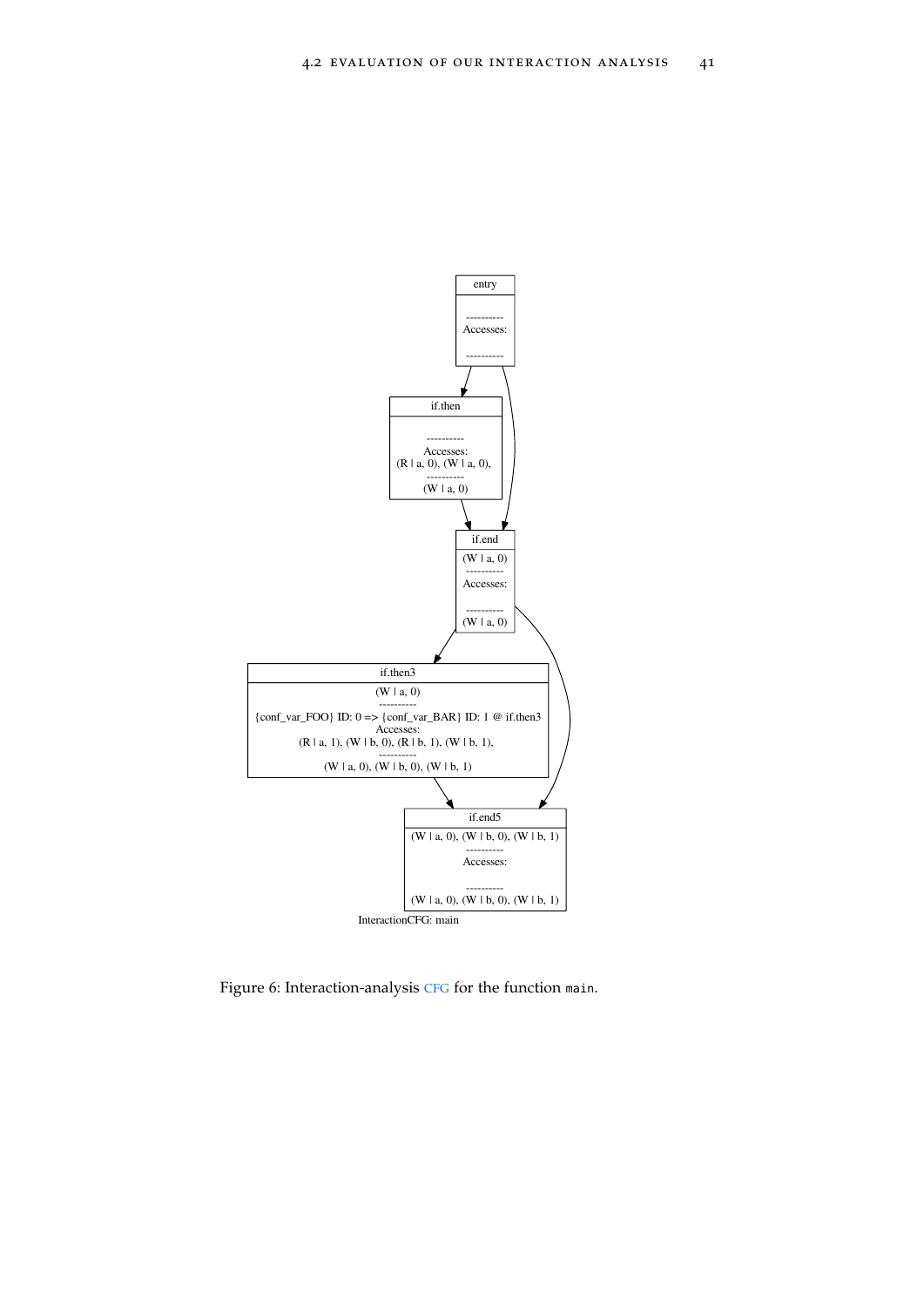<span id="page-52-0"></span>

Figure 6: Interaction-analysis [CFG](#page-11-1) for the function main.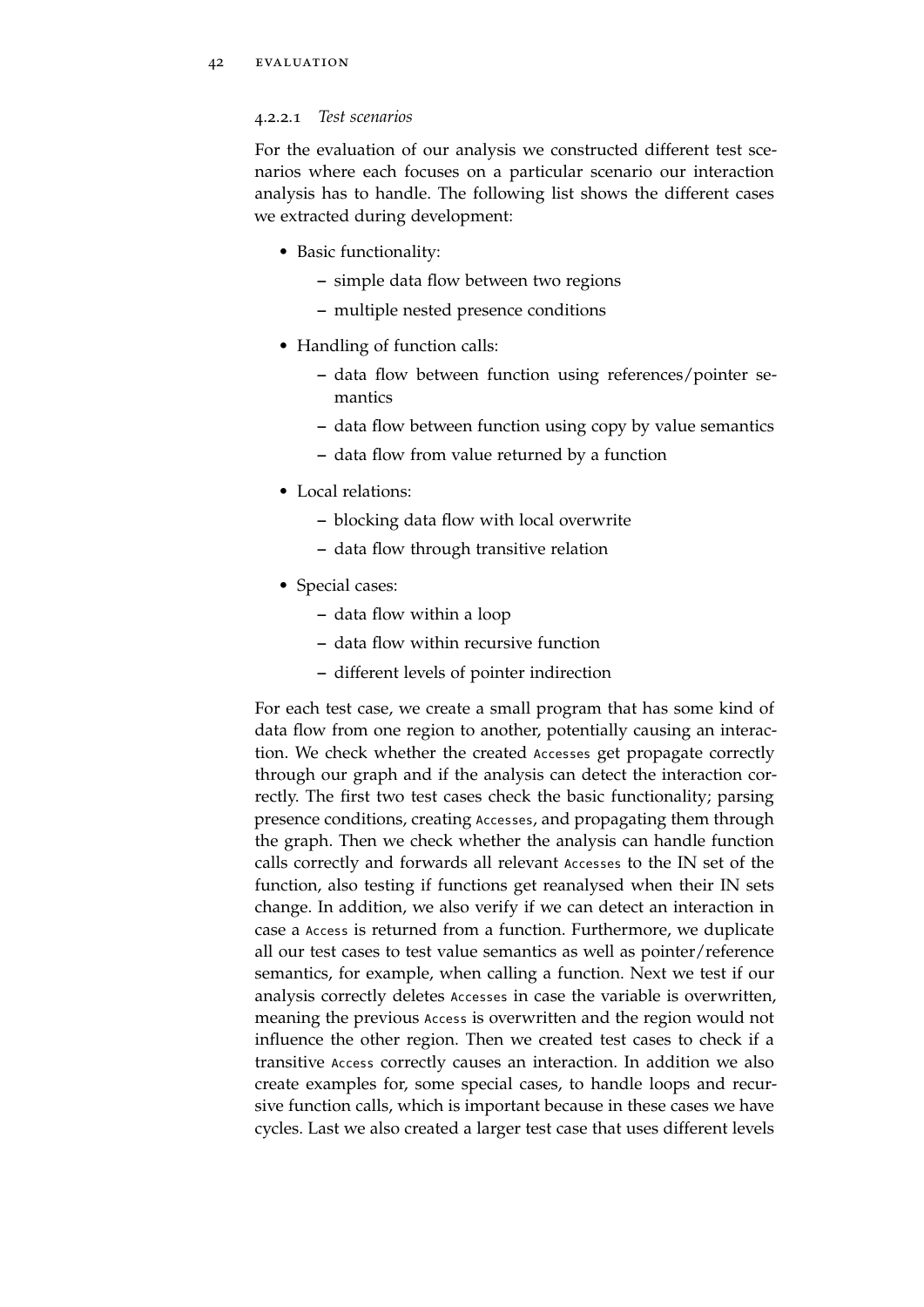# 4.2.2.1 *Test scenarios*

For the evaluation of our analysis we constructed different test scenarios where each focuses on a particular scenario our interaction analysis has to handle. The following list shows the different cases we extracted during development:

- Basic functionality:
	- **–** simple data flow between two regions
	- **–** multiple nested presence conditions
- Handling of function calls:
	- **–** data flow between function using references/pointer semantics
	- **–** data flow between function using copy by value semantics
	- **–** data flow from value returned by a function
- Local relations:
	- **–** blocking data flow with local overwrite
	- **–** data flow through transitive relation
- Special cases:
	- **–** data flow within a loop
	- **–** data flow within recursive function
	- **–** different levels of pointer indirection

For each test case, we create a small program that has some kind of data flow from one region to another, potentially causing an interaction. We check whether the created Accesses get propagate correctly through our graph and if the analysis can detect the interaction correctly. The first two test cases check the basic functionality; parsing presence conditions, creating Accesses, and propagating them through the graph. Then we check whether the analysis can handle function calls correctly and forwards all relevant Accesses to the IN set of the function, also testing if functions get reanalysed when their IN sets change. In addition, we also verify if we can detect an interaction in case a Access is returned from a function. Furthermore, we duplicate all our test cases to test value semantics as well as pointer/reference semantics, for example, when calling a function. Next we test if our analysis correctly deletes Accesses in case the variable is overwritten, meaning the previous Access is overwritten and the region would not influence the other region. Then we created test cases to check if a transitive Access correctly causes an interaction. In addition we also create examples for, some special cases, to handle loops and recursive function calls, which is important because in these cases we have cycles. Last we also created a larger test case that uses different levels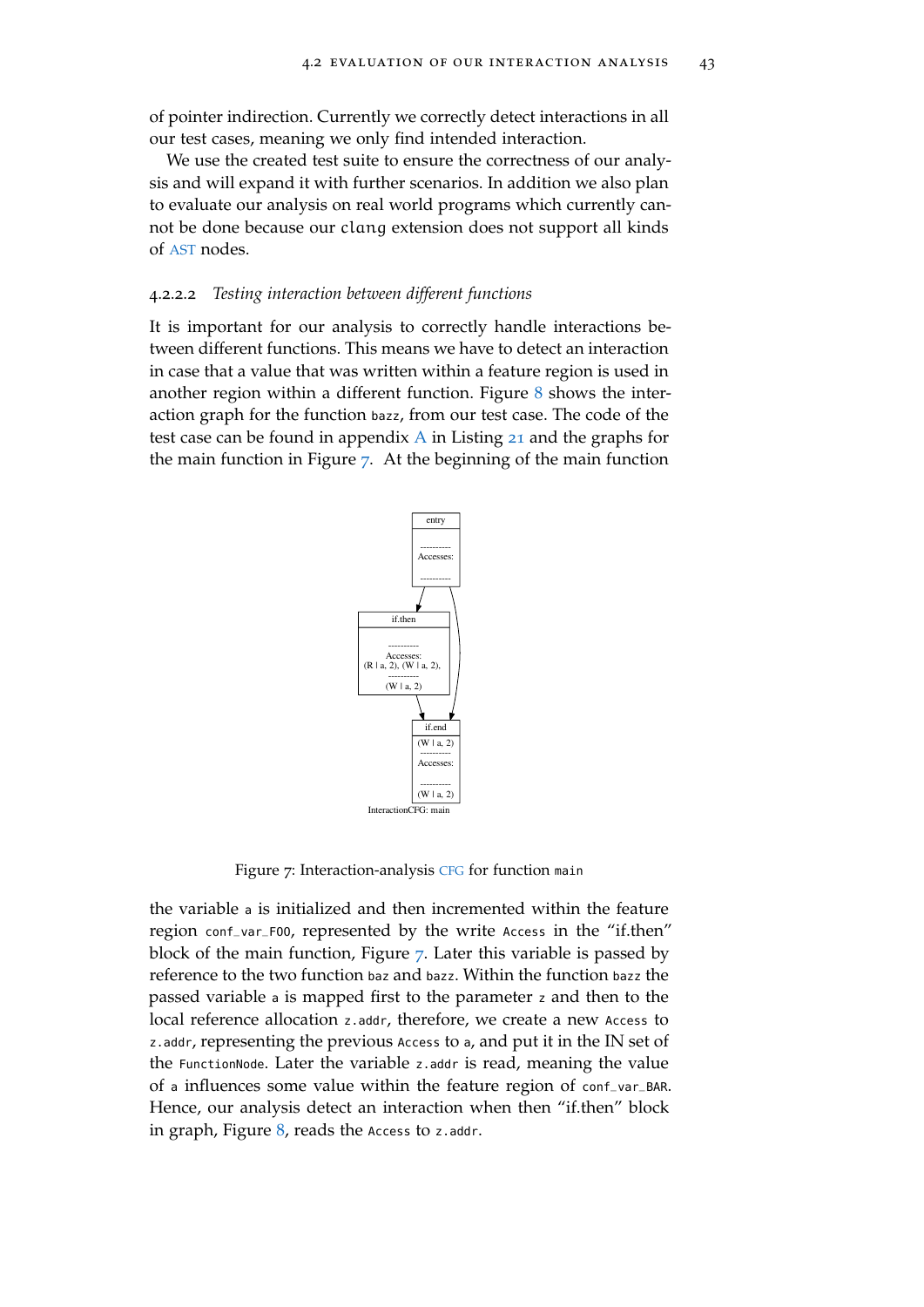of pointer indirection. Currently we correctly detect interactions in all our test cases, meaning we only find intended interaction.

We use the created test suite to ensure the correctness of our analysis and will expand it with further scenarios. In addition we also plan to evaluate our analysis on real world programs which currently cannot be done because our clang extension does not support all kinds of [AST](#page-11-2) nodes.

#### 4.2.2.2 *Testing interaction between different functions*

<span id="page-54-0"></span>It is important for our analysis to correctly handle interactions between different functions. This means we have to detect an interaction in case that a value that was written within a feature region is used in another region within a different function. Figure  $8$  shows the interaction graph for the function bazz, from our test case. The code of the test case can be found in appendix [A](#page-62-0) in Listing [21](#page-64-1) and the graphs for the main function in Figure [7](#page-54-0). At the beginning of the main function



Figure 7: Interaction-analysis [CFG](#page-11-1) for function main

the variable <sup>a</sup> is initialized and then incremented within the feature region conf\_var\_FOO, represented by the write Access in the "if.then" block of the main function, Figure [7](#page-54-0). Later this variable is passed by reference to the two function baz and bazz. Within the function bazz the passed variable <sup>a</sup> is mapped first to the parameter <sup>z</sup> and then to the local reference allocation z.addr, therefore, we create a new Access to z.addr, representing the previous Access to <sup>a</sup>, and put it in the IN set of the FunctionNode. Later the variable z.addr is read, meaning the value of <sup>a</sup> influences some value within the feature region of conf\_var\_BAR. Hence, our analysis detect an interaction when then "if.then" block in graph, Figure  $8$ , reads the Access to z.addr.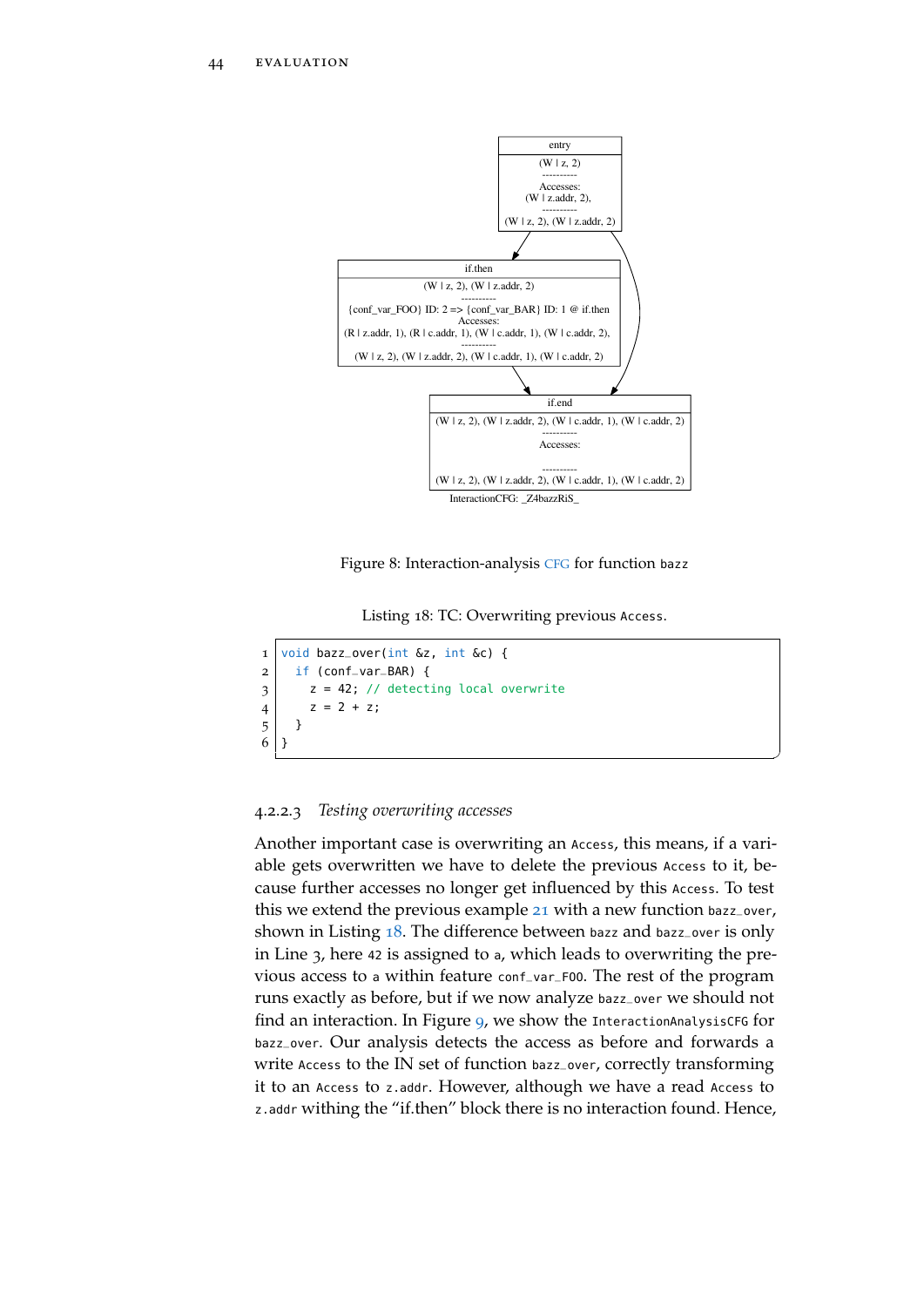<span id="page-55-0"></span>

Figure 8: Interaction-analysis [CFG](#page-11-1) for function bazz

Listing 18: TC: Overwriting previous Access.

✆

```
1 \vert void bazz_over(int &z, int &c) {
2 \mid if (conf_var_BAR) {
3 \mid z = 42; \text{ // detecting local overwrite}4 | z = 2 + z;5 \mid \}6 }
```
# 4.2.2.3 *Testing overwriting accesses*

Another important case is overwriting an Access, this means, if a variable gets overwritten we have to delete the previous Access to it, because further accesses no longer get influenced by this Access. To test this we extend the previous example [21](#page-64-1) with a new function bazz\_over, shown in Listing [18](#page-55-1). The difference between bazz and bazz\_over is only in Line 3, here <sup>42</sup> is assigned to <sup>a</sup>, which leads to overwriting the previous access to <sup>a</sup> within feature conf\_var\_FOO. The rest of the program runs exactly as before, but if we now analyze bazz\_over we should not find an interaction. In Figure [9](#page-56-0), we show the InteractionAnalysisCFG for bazz\_over. Our analysis detects the access as before and forwards a write Access to the IN set of function bazz\_over, correctly transforming it to an Access to z.addr. However, although we have a read Access to z.addr withing the "if.then" block there is no interaction found. Hence,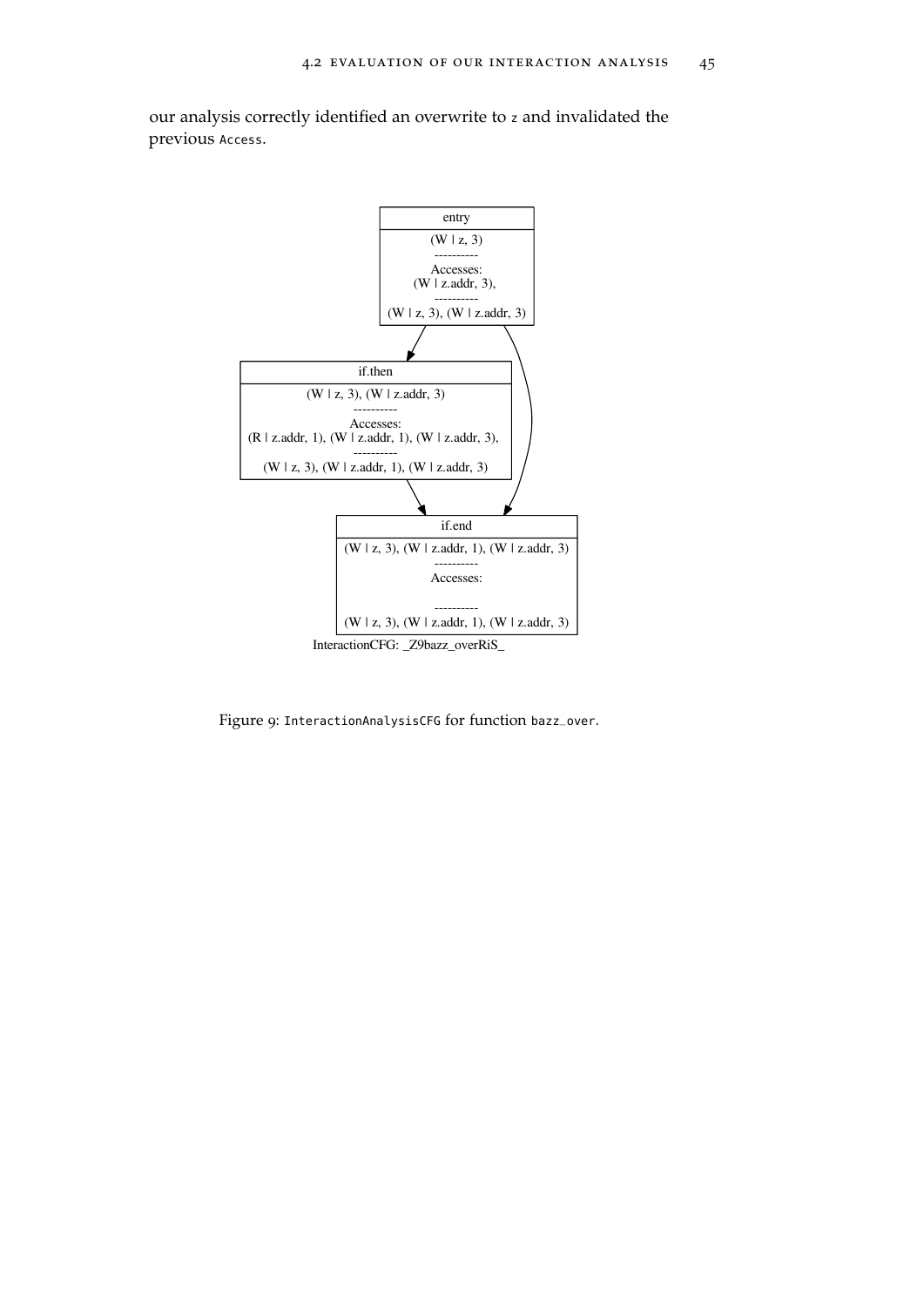

<span id="page-56-0"></span>our analysis correctly identified an overwrite to <sup>z</sup> and invalidated the previous Access.

Figure 9: InteractionAnalysisCFG for function bazz\_over.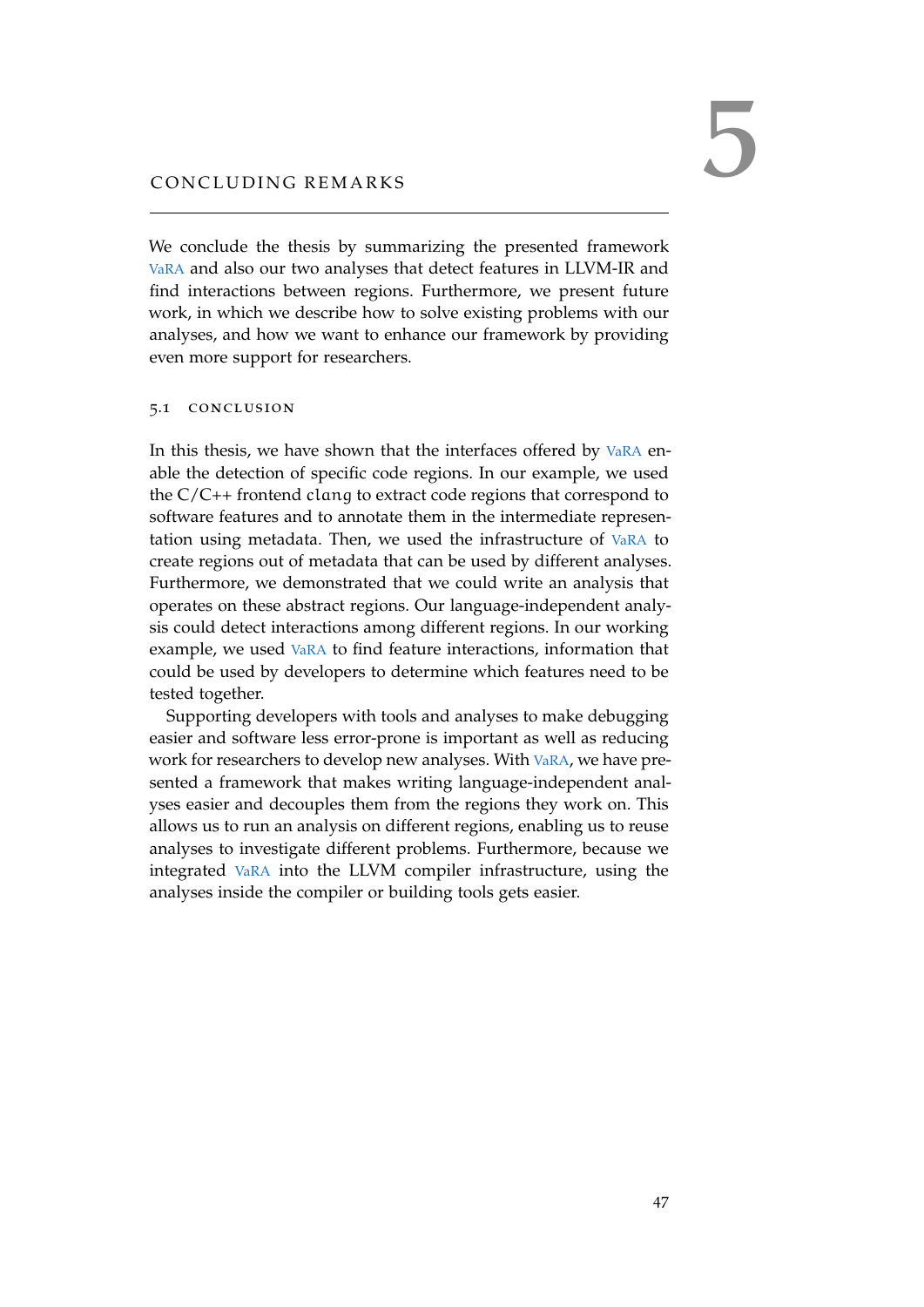<span id="page-58-0"></span>We conclude the thesis by summarizing the presented framework [VaRA](#page-11-0) and also our two analyses that detect features in LLVM-IR and find interactions between regions. Furthermore, we present future work, in which we describe how to solve existing problems with our analyses, and how we want to enhance our framework by providing even more support for researchers.

#### <span id="page-58-1"></span>5.1 conclusion

In this thesis, we have shown that the interfaces offered by [VaRA](#page-11-0) enable the detection of specific code regions. In our example, we used the C/C++ frontend clang to extract code regions that correspond to software features and to annotate them in the intermediate representation using metadata. Then, we used the infrastructure of [VaRA](#page-11-0) to create regions out of metadata that can be used by different analyses. Furthermore, we demonstrated that we could write an analysis that operates on these abstract regions. Our language-independent analysis could detect interactions among different regions. In our working example, we used [VaRA](#page-11-0) to find feature interactions, information that could be used by developers to determine which features need to be tested together.

Supporting developers with tools and analyses to make debugging easier and software less error-prone is important as well as reducing work for researchers to develop new analyses. With [VaRA](#page-11-0), we have presented a framework that makes writing language-independent analyses easier and decouples them from the regions they work on. This allows us to run an analysis on different regions, enabling us to reuse analyses to investigate different problems. Furthermore, because we integrated [VaRA](#page-11-0) into the LLVM compiler infrastructure, using the analyses inside the compiler or building tools gets easier.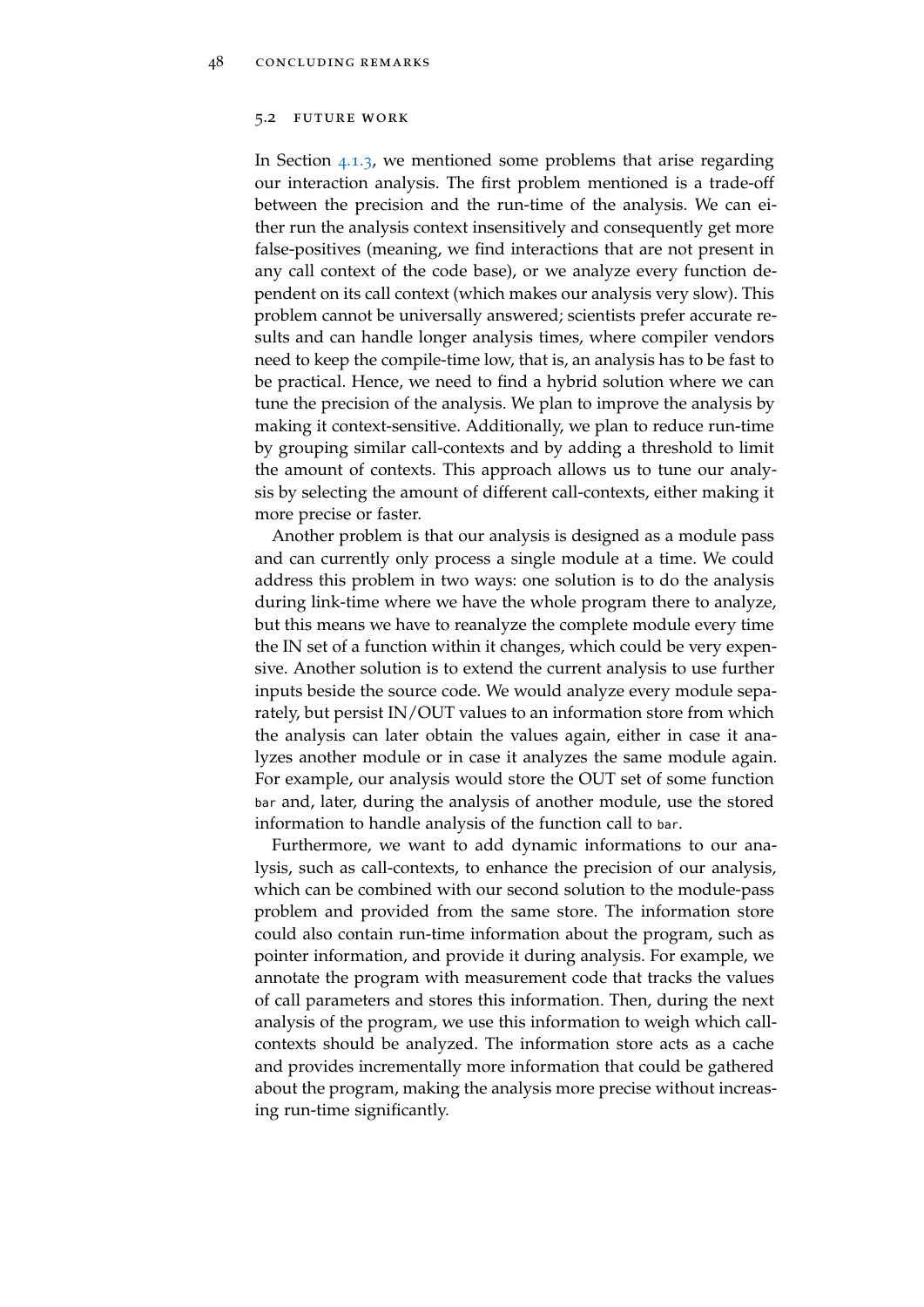#### <span id="page-59-0"></span>5.2 future work

In Section [4](#page-50-0).1.3, we mentioned some problems that arise regarding our interaction analysis. The first problem mentioned is a trade-off between the precision and the run-time of the analysis. We can either run the analysis context insensitively and consequently get more false-positives (meaning, we find interactions that are not present in any call context of the code base), or we analyze every function dependent on its call context (which makes our analysis very slow). This problem cannot be universally answered; scientists prefer accurate results and can handle longer analysis times, where compiler vendors need to keep the compile-time low, that is, an analysis has to be fast to be practical. Hence, we need to find a hybrid solution where we can tune the precision of the analysis. We plan to improve the analysis by making it context-sensitive. Additionally, we plan to reduce run-time by grouping similar call-contexts and by adding a threshold to limit the amount of contexts. This approach allows us to tune our analysis by selecting the amount of different call-contexts, either making it more precise or faster.

Another problem is that our analysis is designed as a module pass and can currently only process a single module at a time. We could address this problem in two ways: one solution is to do the analysis during link-time where we have the whole program there to analyze, but this means we have to reanalyze the complete module every time the IN set of a function within it changes, which could be very expensive. Another solution is to extend the current analysis to use further inputs beside the source code. We would analyze every module separately, but persist IN/OUT values to an information store from which the analysis can later obtain the values again, either in case it analyzes another module or in case it analyzes the same module again. For example, our analysis would store the OUT set of some function bar and, later, during the analysis of another module, use the stored information to handle analysis of the function call to bar.

Furthermore, we want to add dynamic informations to our analysis, such as call-contexts, to enhance the precision of our analysis, which can be combined with our second solution to the module-pass problem and provided from the same store. The information store could also contain run-time information about the program, such as pointer information, and provide it during analysis. For example, we annotate the program with measurement code that tracks the values of call parameters and stores this information. Then, during the next analysis of the program, we use this information to weigh which callcontexts should be analyzed. The information store acts as a cache and provides incrementally more information that could be gathered about the program, making the analysis more precise without increasing run-time significantly.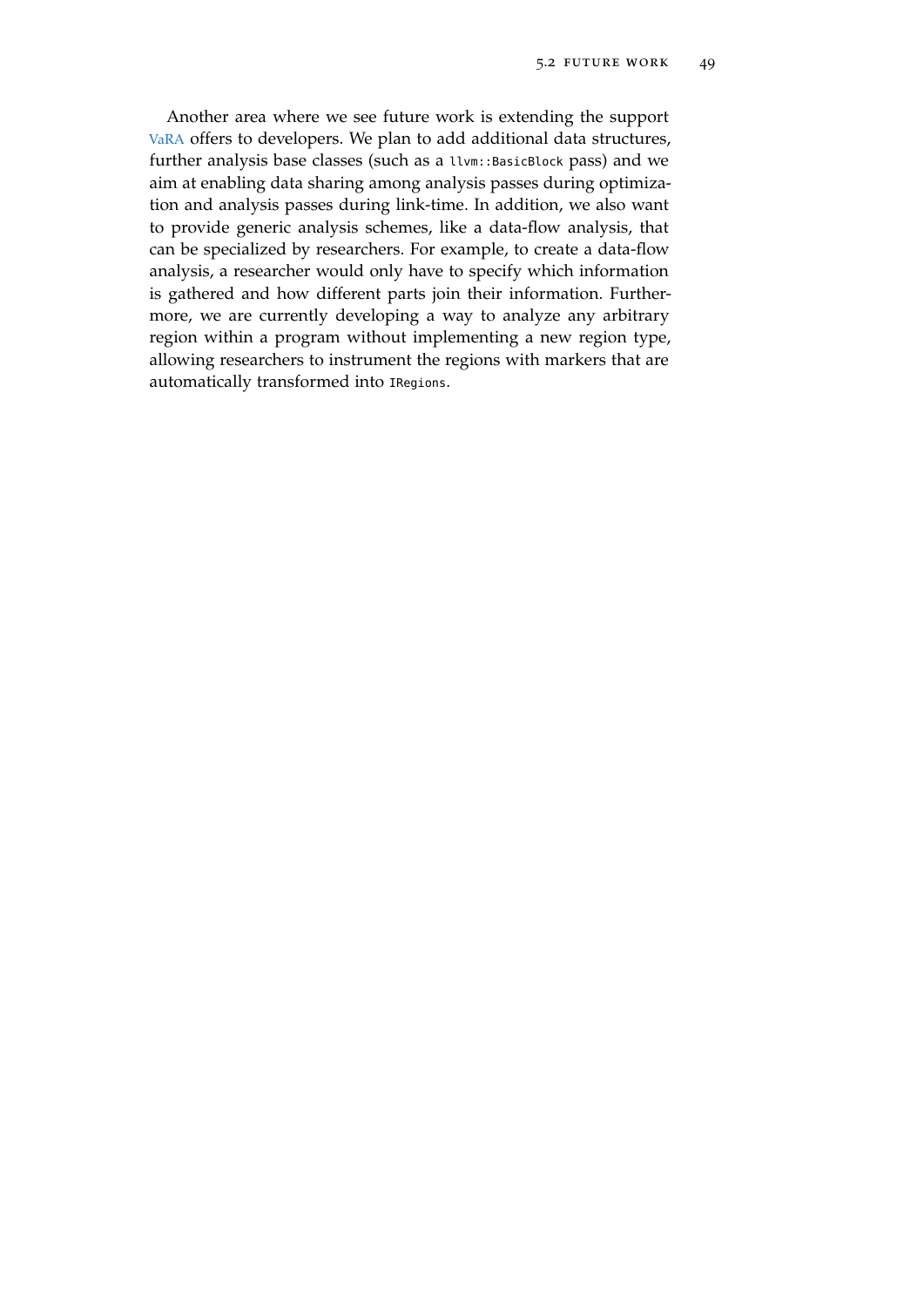Another area where we see future work is extending the support [VaRA](#page-11-0) offers to developers. We plan to add additional data structures, further analysis base classes (such as a llvm::BasicBlock pass) and we aim at enabling data sharing among analysis passes during optimization and analysis passes during link-time. In addition, we also want to provide generic analysis schemes, like a data-flow analysis, that can be specialized by researchers. For example, to create a data-flow analysis, a researcher would only have to specify which information is gathered and how different parts join their information. Furthermore, we are currently developing a way to analyze any arbitrary region within a program without implementing a new region type, allowing researchers to instrument the regions with markers that are automatically transformed into IRegions.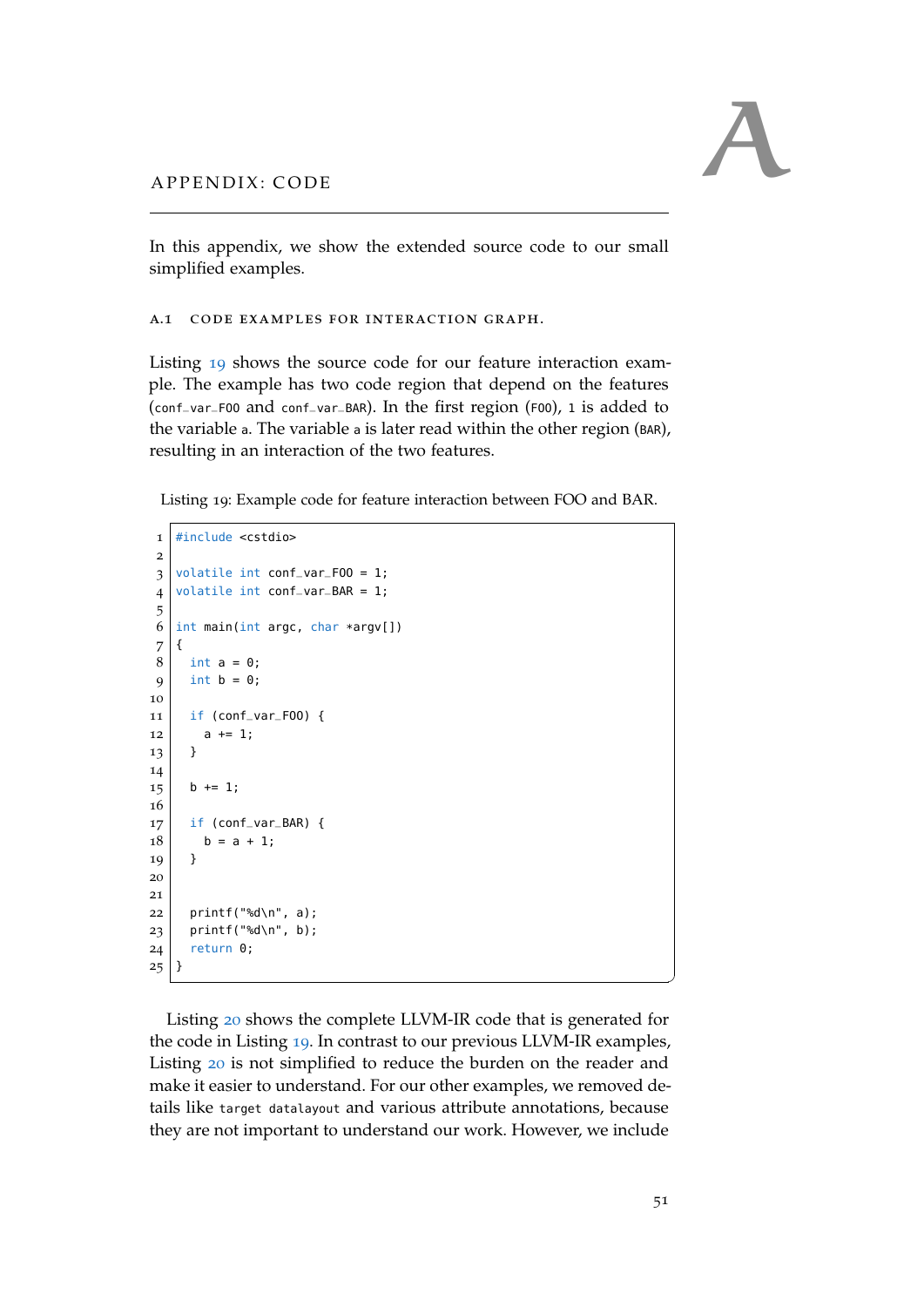<span id="page-62-0"></span>

In this appendix, we show the extended source code to our small simplified examples.

<span id="page-62-1"></span>a.1 code examples for interaction graph.

Listing [19](#page-62-2) shows the source code for our feature interaction example. The example has two code region that depend on the features (conf\_var\_FOO and conf\_var\_BAR). In the first region (FOO), <sup>1</sup> is added to the variable <sup>a</sup>. The variable <sup>a</sup> is later read within the other region (BAR), resulting in an interaction of the two features.

<span id="page-62-2"></span>Listing 19: Example code for feature interaction between FOO and BAR.

```
1 \nparallel \#include <cstdio>
2
3 volatile int conf_var_F00 = 1;
 \frac{1}{4} volatile int conf_var_BAR = 1;
 5
 6 \text{ int main(int argc, char *argv[])}7 {
8 \mid int a = 0;
9 int b = 0;
10
11 if (conf_var_F00) {
12 a += 1;
13 }
14
15 b += 1;
16
17 if (conf_var_BAR) {
18 b = a + 1;
19 \mid \}20
21
22 printf("%d\n", a);
23 printf("%d\n", b);
24 return 0;
25 }
```
Listing [20](#page-63-0) shows the complete LLVM-IR code that is generated for the code in Listing [19](#page-62-2). In contrast to our previous LLVM-IR examples, Listing [20](#page-63-0) is not simplified to reduce the burden on the reader and make it easier to understand. For our other examples, we removed details like target datalayout and various attribute annotations, because they are not important to understand our work. However, we include

✆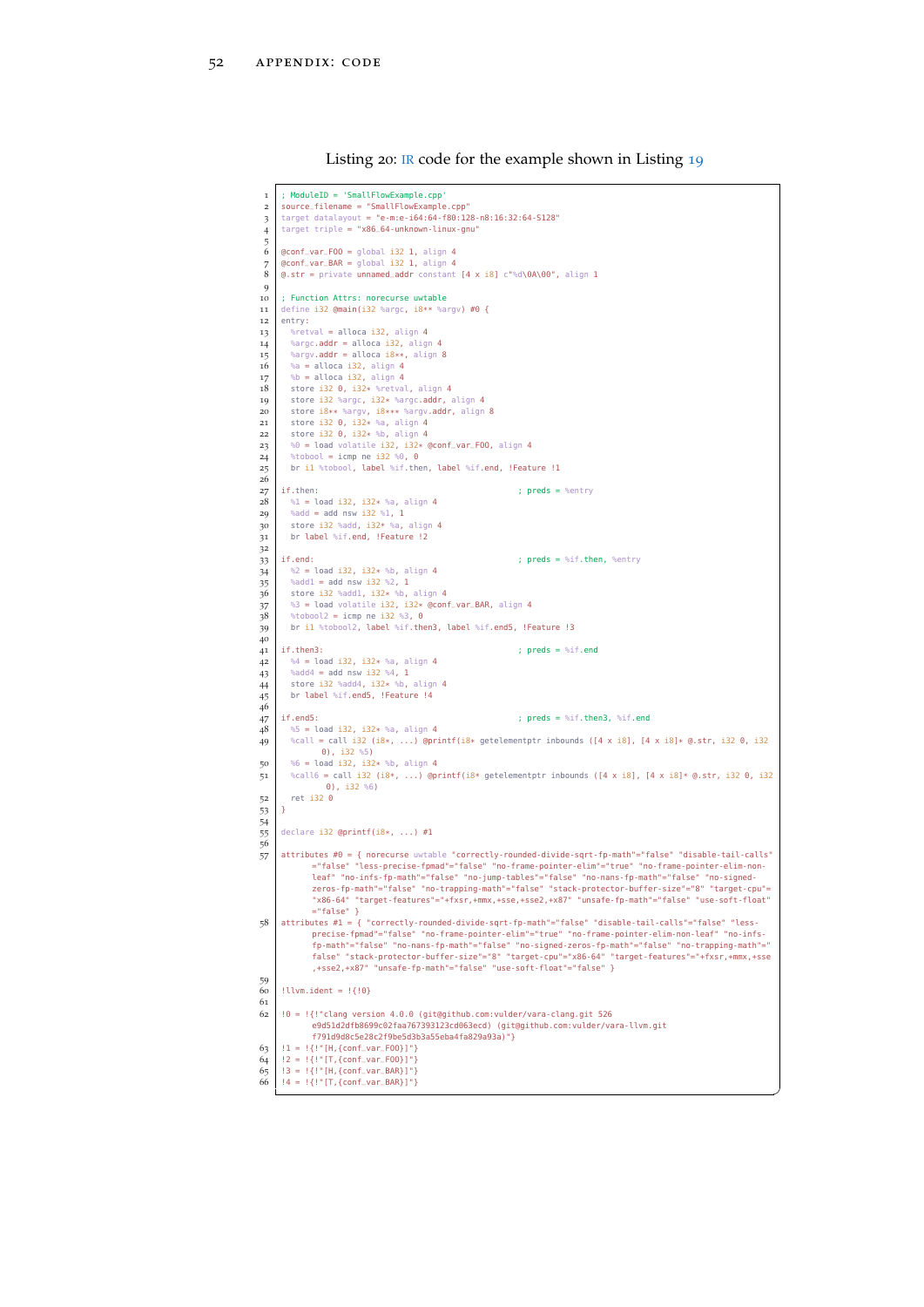Listing 20: [IR](#page-11-3) code for the example shown in Listing [19](#page-62-2)

<span id="page-63-0"></span>

| 1<br>$\overline{2}$<br>3<br>$\overline{4}$ | ; ModuleID = 'SmallFlowExample.cpp'<br>source_filename = "SmallFlowExample.cpp"<br>target datalayout = "e-m:e-i64:64-f80:128-n8:16:32:64-S128"<br>$target$ $triple$ = " $x86_64$ -unknown-linux-gnu"                                                                                                                                                                                                                                                                                                                                   |
|--------------------------------------------|----------------------------------------------------------------------------------------------------------------------------------------------------------------------------------------------------------------------------------------------------------------------------------------------------------------------------------------------------------------------------------------------------------------------------------------------------------------------------------------------------------------------------------------|
| 5<br>6<br>7<br>8<br>9                      | $Qcont_Var_FOO = global$ i32 1, align 4<br>@conf_var_BAR = global i32 1, align 4<br>$Q. str = private$ unnamed_addr constant $[4 \times 18]$ c"%d\0A\00", align 1                                                                                                                                                                                                                                                                                                                                                                      |
| 10<br>11<br>12                             | ; Function Attrs: norecurse uwtable<br>define i32 @main(i32 %argc, i8** %argv) #0 {<br>entry:                                                                                                                                                                                                                                                                                                                                                                                                                                          |
| 13<br>14<br>15                             | %retval = alloca i32, align 4<br>%argc.addr = alloca i32, align 4<br>%argv.addr = alloca i8**, align 8                                                                                                                                                                                                                                                                                                                                                                                                                                 |
| 16<br>17<br>18<br>19                       | %a = alloca i32, align 4<br>%b = alloca i32, align 4<br>store i32 0, i32* %retval, align 4<br>store i32 %argc, i32* %argc.addr, align 4                                                                                                                                                                                                                                                                                                                                                                                                |
| 20<br>21<br>22                             | store i8** %argv, i8*** %argv.addr, align 8<br>store i32 0, i32* %a, align 4<br>store i32 0, i32* %b, align 4                                                                                                                                                                                                                                                                                                                                                                                                                          |
| 23<br>24<br>25                             | %0 = load volatile i32, i32* @conf_var_F00, align 4<br>%tobool = icmp ne i32 %0, 0<br>br il %tobool, label %if.then, label %if.end, !Feature !1                                                                                                                                                                                                                                                                                                                                                                                        |
| 26<br>27                                   | if.then:<br>; $preds = %entry$                                                                                                                                                                                                                                                                                                                                                                                                                                                                                                         |
| 28<br>29                                   | %1 = load i32, i32* %a, align 4<br>%add = add nsw i32 %1, 1                                                                                                                                                                                                                                                                                                                                                                                                                                                                            |
| 30<br>31<br>32                             | store i32 %add, i32* %a, align 4<br>br label %if.end, !Feature !2                                                                                                                                                                                                                                                                                                                                                                                                                                                                      |
| 33<br>34<br>35                             | ; $preds = %if.then, %entry$<br>if.end:<br>%2 = load i32, i32* %b, align 4<br>%add1 = add nsw i32 %2, 1                                                                                                                                                                                                                                                                                                                                                                                                                                |
| 36<br>37<br>$38\,$<br>39                   | store i32 %add1, i32* %b, align 4<br>%3 = load volatile i32, i32* @conf_var_BAR, align 4<br>%tobool2 = icmp ne i32 %3, 0<br>br il %tobool2, label %if.then3, label %if.end5, !Feature !3                                                                                                                                                                                                                                                                                                                                               |
| 40<br>41                                   | ; $preds = %if.end$<br>if.then3:                                                                                                                                                                                                                                                                                                                                                                                                                                                                                                       |
| 42<br>43<br>44<br>45<br>46                 | $%4 =$ load i32, i32* %a, align 4<br>%add4 = add nsw i32 %4, 1<br>store i32 %add4, i32* %b, align 4<br>br label %if.end5, !Feature !4                                                                                                                                                                                                                                                                                                                                                                                                  |
| 47<br>48<br>49                             | ; $preds = %if.then3, %if.end$<br>if.end5:<br>$\$5 =$ load i32, i32* %a, align 4<br>%call = call i32 (i8*, ) @printf(i8* getelementptr inbounds ([4 x i8], [4 x i8]* @.str, i32 0, i32                                                                                                                                                                                                                                                                                                                                                 |
| 50<br>51                                   | $\theta$ ), i32 %5)<br>%6 = load i32, i32* %b, align 4<br>%call6 = call i32 (i8*, ) @printf(i8* getelementptr inbounds ([4 x i8], [4 x i8]* @.str, i32 0, i32                                                                                                                                                                                                                                                                                                                                                                          |
| 52<br>53                                   | $\theta$ ), i32 %6)<br>$ret$ i32 $0$<br>Υ.                                                                                                                                                                                                                                                                                                                                                                                                                                                                                             |
| 54<br>55<br>56                             | declare i32 $Qprint(i8*, \ldots) #1$                                                                                                                                                                                                                                                                                                                                                                                                                                                                                                   |
| 57                                         | attributes #0 = { norecurse uwtable "correctly-rounded-divide-sqrt-fp-math"="false" "disable-tail-calls"<br>="false" "less-precise-fpmad"="false" "no-frame-pointer-elim"="true" "no-frame-pointer-elim-non-<br>leaf" "no-infs-fp-math"="false" "no-jump-tables"="false" "no-nans-fp-math"="false" "no-signed-<br>zeros-fp-math"="false" "no-trapping-math"="false" "stack-protector-buffer-size"="8" "target-cpu"=<br>"x86-64" "target-features"="+fxsr,+mmx,+sse,+sse2,+x87" "unsafe-fp-math"="false" "use-soft-float"<br>$='false"$ |
| 58                                         | attributes #1 = { "correctly-rounded-divide-sqrt-fp-math"="false" "disable-tail-calls"="false" "less-<br>precise-fpmad"="false" "no-frame-pointer-elim"="true" "no-frame-pointer-elim-non-leaf" "no-infs-<br>fp-math"="false" "no-nans-fp-math"="false" "no-signed-zeros-fp-math"="false" "no-trapping-math"="<br>false" "stack-protector-buffer-size"="8" "target-cpu"="x86-64" "target-features"="+fxsr,+mmx,+sse<br>, +sse2, +x87" "unsafe-fp-math"="false" "use-soft-float"="false" }                                              |
| 59<br>60<br>61                             | $!$ llvm.ident = $!$ {!0}                                                                                                                                                                                                                                                                                                                                                                                                                                                                                                              |
| 62                                         | $\theta = \frac{1}{2}$ . The set of the component of $\theta$ is component to $\theta$ is component of $\theta$ is component to $\theta$ is $\theta$ is $\theta$ is $\theta$ is $\theta$ is $\theta$ is $\theta$ is $\theta$ is $\theta$ is $\theta$ is component to $\theta$ is $\theta$ is $\theta$ is<br>e9d51d2dfb8699c02faa767393123cd063ecd) (git@github.com:vulder/vara-llvm.git<br>f791d9d8c5e28c2f9be5d3b3a55eba4fa829a93a)"}                                                                                                 |
| 63<br>64<br>65                             | $!1 = !{!} " [H, {conf\_var_F00}]"]$<br>$!2 = !{!} " [T, {conf-var_F00}]"]$<br>$!3 = !{! " [H, {conf\_var_BAR}]"}$                                                                                                                                                                                                                                                                                                                                                                                                                     |
| 66                                         | $!4 = !{!} " [T, {conf-var_BAR}]"]$                                                                                                                                                                                                                                                                                                                                                                                                                                                                                                    |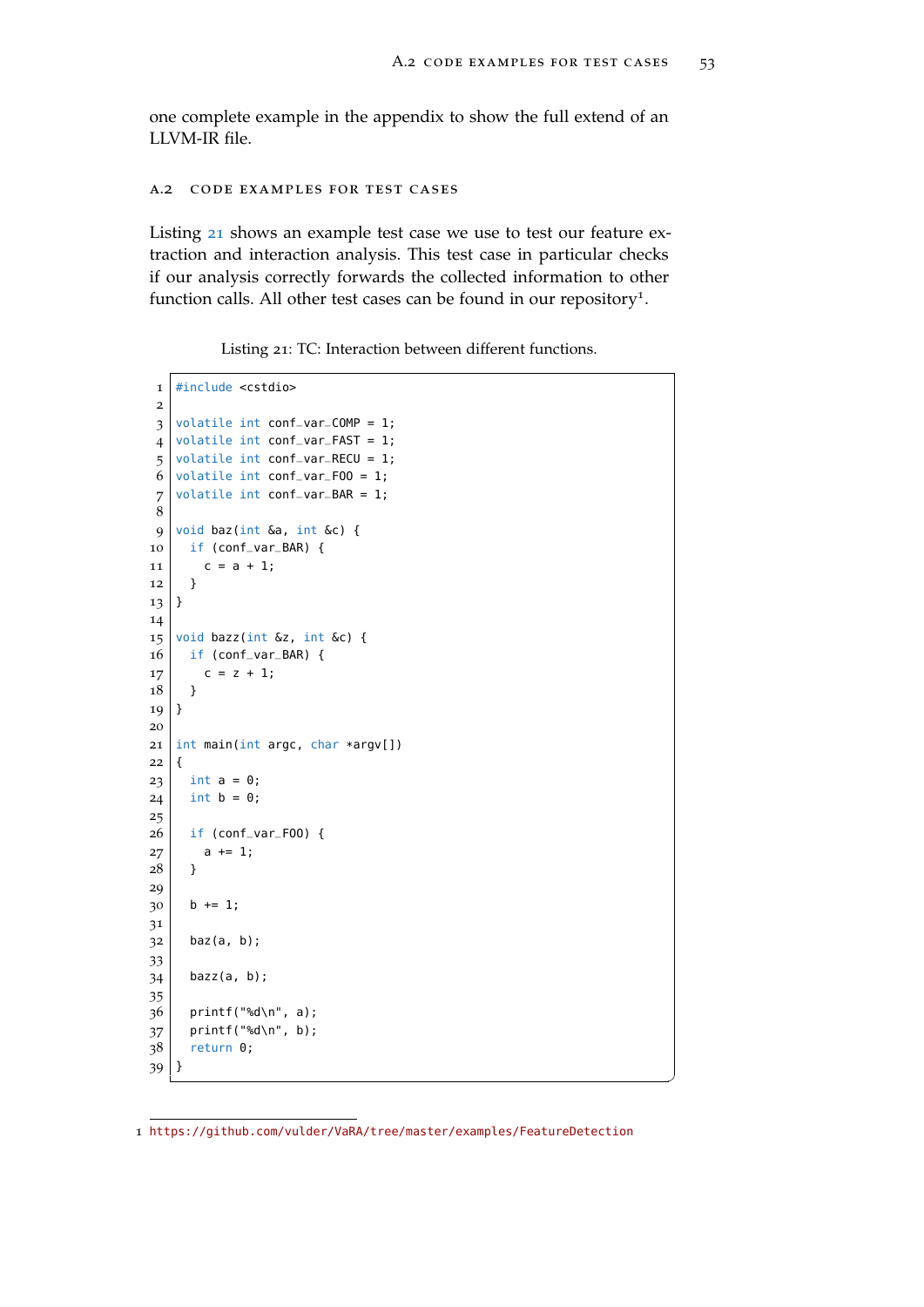<span id="page-64-0"></span>one complete example in the appendix to show the full extend of an LLVM-IR file.

#### a.2 code examples for test cases

Listing [21](#page-64-1) shows an example test case we use to test our feature extraction and interaction analysis. This test case in particular checks if our analysis correctly forwards the collected information to other function calls. All other test cases can be found in our repository<sup>1</sup>.

Listing 21: TC: Interaction between different functions.

```
1 \mid \text{\#include } < \textsf{cstdio}2
 3 volatile int conf_var_COMP = 1;
 4 \times 4 volatile int conf_var_FAST = 1;
 5 volatile int conf_var_RECU = 1;
 6 volatile int conf_var_F00 = 1;
 7 volatile int conf_var_BAR = 1;
 8
 9 \vert void baz(int &a, int &c) {
10 if (conf_var_BAR) {
11 c = a + 1;
12 }
13}
14
15 void bazz(int \&z, int \&c) {
16 if (conf_var_BAR) {
17 c = z + 1;
18 }
19 \mid \}20
21 int main(int argc, char *argv[])
22 \mid \{23 \mid \text{int } a = 0;24 int b = 0;
25
26 if (conf_var_F00) {
27 a += 1;
28 | }
29
30 b += 1;
31
32 baz(a, b);
33
34 bazz(a, b);
35
36 printf("%d\n", a);
37 printf("%d\n", b);
38 return 0;
39 }
```
 $^{\prime}$ 

<https://github.com/vulder/VaRA/tree/master/examples/FeatureDetection>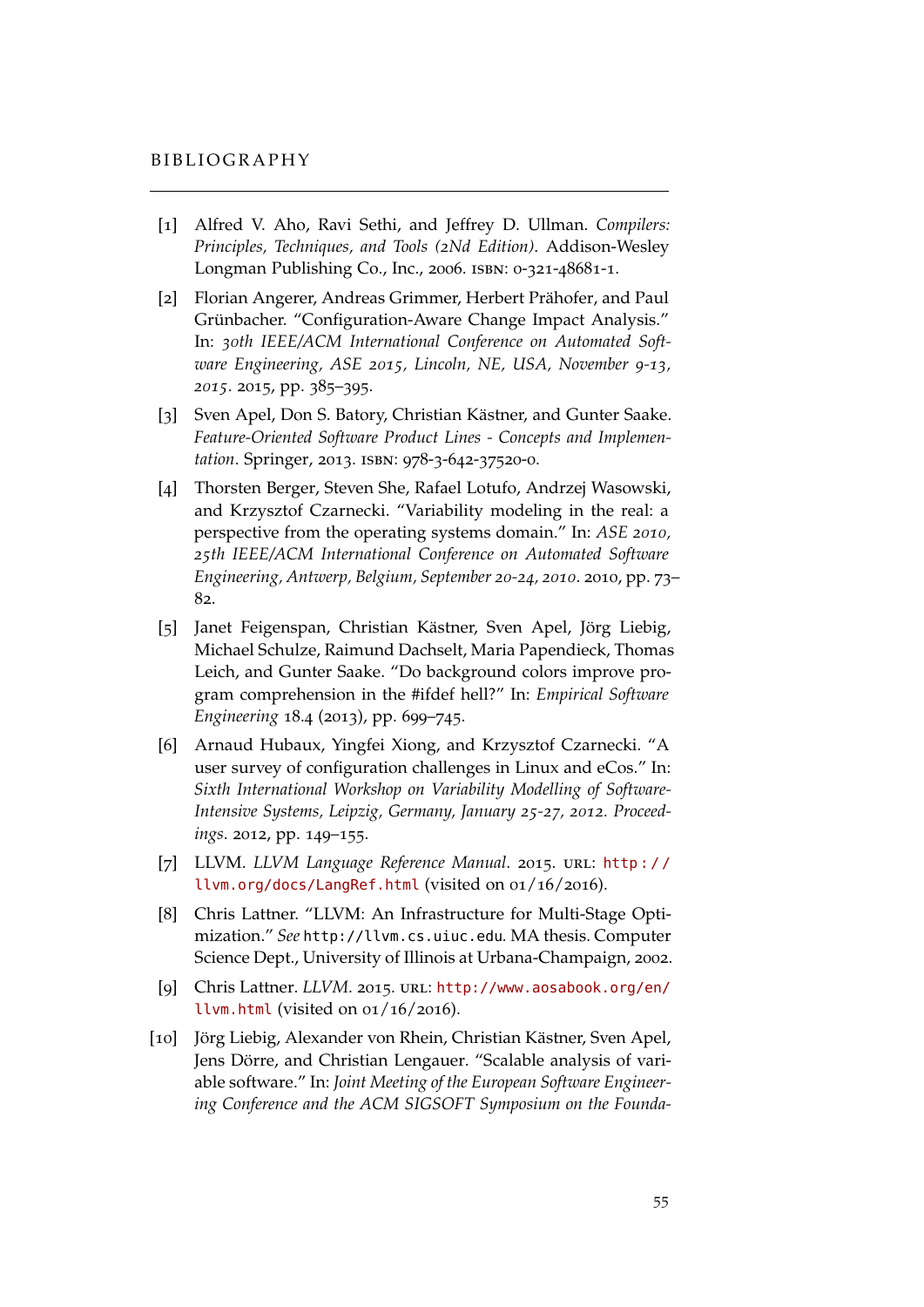- <span id="page-66-1"></span><span id="page-66-0"></span>[1] Alfred V. Aho, Ravi Sethi, and Jeffrey D. Ullman. *Compilers: Principles, Techniques, and Tools (2Nd Edition)*. Addison-Wesley Longman Publishing Co., Inc., 2006. isbn: 0-321-48681-1.
- <span id="page-66-5"></span>[2] Florian Angerer, Andreas Grimmer, Herbert Prähofer, and Paul Grünbacher. "Configuration-Aware Change Impact Analysis." In: *30th IEEE/ACM International Conference on Automated Software Engineering, ASE 2015, Lincoln, NE, USA, November 9-13, 2015*. 2015, pp. 385–395.
- <span id="page-66-6"></span>[3] Sven Apel, Don S. Batory, Christian Kästner, and Gunter Saake. *Feature-Oriented Software Product Lines - Concepts and Implementation*. Springer, 2013. isbn: 978-3-642-37520-0.
- <span id="page-66-7"></span>[4] Thorsten Berger, Steven She, Rafael Lotufo, Andrzej Wasowski, and Krzysztof Czarnecki. "Variability modeling in the real: a perspective from the operating systems domain." In: *ASE 2010, 25th IEEE/ACM International Conference on Automated Software Engineering, Antwerp, Belgium, September 20-24, 2010*. 2010, pp. 73– 82.
- <span id="page-66-3"></span>[5] Janet Feigenspan, Christian Kästner, Sven Apel, Jörg Liebig, Michael Schulze, Raimund Dachselt, Maria Papendieck, Thomas Leich, and Gunter Saake. "Do background colors improve program comprehension in the #ifdef hell?" In: *Empirical Software Engineering* 18.4 (2013), pp. 699–745.
- <span id="page-66-8"></span>[6] Arnaud Hubaux, Yingfei Xiong, and Krzysztof Czarnecki. "A user survey of configuration challenges in Linux and eCos." In: *Sixth International Workshop on Variability Modelling of Software-Intensive Systems, Leipzig, Germany, January 25-27, 2012. Proceedings*. 2012, pp. 149–155.
- <span id="page-66-10"></span>[7] LLVM. *LLVM Language Reference Manual*. 2015. url: [http : / /](http://llvm.org/docs/LangRef.html) [llvm.org/docs/LangRef.html](http://llvm.org/docs/LangRef.html) (visited on 01/16/2016).
- <span id="page-66-9"></span>[8] Chris Lattner. "LLVM: An Infrastructure for Multi-Stage Optimization." *See* http://llvm.cs.uiuc.edu*.* MA thesis. Computer Science Dept., University of Illinois at Urbana-Champaign, 2002.
- <span id="page-66-2"></span>[9] Chris Lattner. *LLVM*. 2015. URL: [http://www.aosabook.org/en/](http://www.aosabook.org/en/llvm.html) [llvm.html](http://www.aosabook.org/en/llvm.html) (visited on 01/16/2016).
- <span id="page-66-4"></span>[10] Jörg Liebig, Alexander von Rhein, Christian Kästner, Sven Apel, Jens Dörre, and Christian Lengauer. "Scalable analysis of variable software." In: *Joint Meeting of the European Software Engineering Conference and the ACM SIGSOFT Symposium on the Founda-*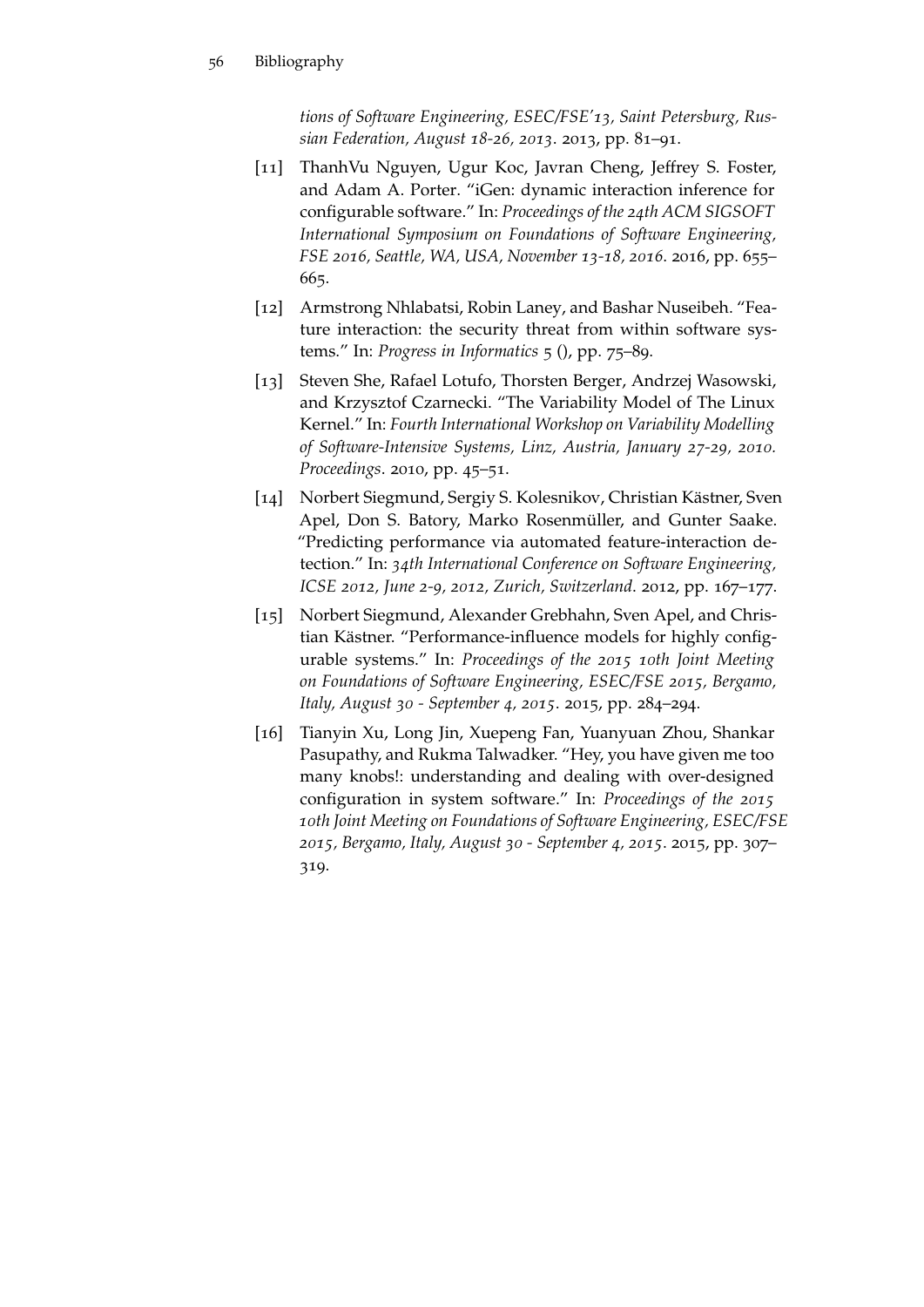*tions of Software Engineering, ESEC/FSE'13, Saint Petersburg, Russian Federation, August 18-26, 2013*. 2013, pp. 81–91.

- <span id="page-67-1"></span>[11] ThanhVu Nguyen, Ugur Koc, Javran Cheng, Jeffrey S. Foster, and Adam A. Porter. "iGen: dynamic interaction inference for configurable software." In: *Proceedings of the 24th ACM SIGSOFT International Symposium on Foundations of Software Engineering, FSE 2016, Seattle, WA, USA, November 13-18, 2016*. 2016, pp. 655– 665.
- <span id="page-67-0"></span>[12] Armstrong Nhlabatsi, Robin Laney, and Bashar Nuseibeh. "Feature interaction: the security threat from within software systems." In: *Progress in Informatics* 5 (), pp. 75–89.
- <span id="page-67-4"></span>[13] Steven She, Rafael Lotufo, Thorsten Berger, Andrzej Wasowski, and Krzysztof Czarnecki. "The Variability Model of The Linux Kernel." In: *Fourth International Workshop on Variability Modelling of Software-Intensive Systems, Linz, Austria, January 27-29, 2010. Proceedings*. 2010, pp. 45–51.
- <span id="page-67-2"></span>[14] Norbert Siegmund, Sergiy S. Kolesnikov, Christian Kästner, Sven Apel, Don S. Batory, Marko Rosenmüller, and Gunter Saake. "Predicting performance via automated feature-interaction detection." In: *34th International Conference on Software Engineering, ICSE 2012, June 2-9, 2012, Zurich, Switzerland*. 2012, pp. 167–177.
- <span id="page-67-3"></span>[15] Norbert Siegmund, Alexander Grebhahn, Sven Apel, and Christian Kästner. "Performance-influence models for highly configurable systems." In: *Proceedings of the 2015 10th Joint Meeting on Foundations of Software Engineering, ESEC/FSE 2015, Bergamo, Italy, August 30 - September 4, 2015*. 2015, pp. 284–294.
- <span id="page-67-5"></span>[16] Tianyin Xu, Long Jin, Xuepeng Fan, Yuanyuan Zhou, Shankar Pasupathy, and Rukma Talwadker. "Hey, you have given me too many knobs!: understanding and dealing with over-designed configuration in system software." In: *Proceedings of the 2015 10th Joint Meeting on Foundations of Software Engineering, ESEC/FSE 2015, Bergamo, Italy, August 30 - September 4, 2015*. 2015, pp. 307– 319.